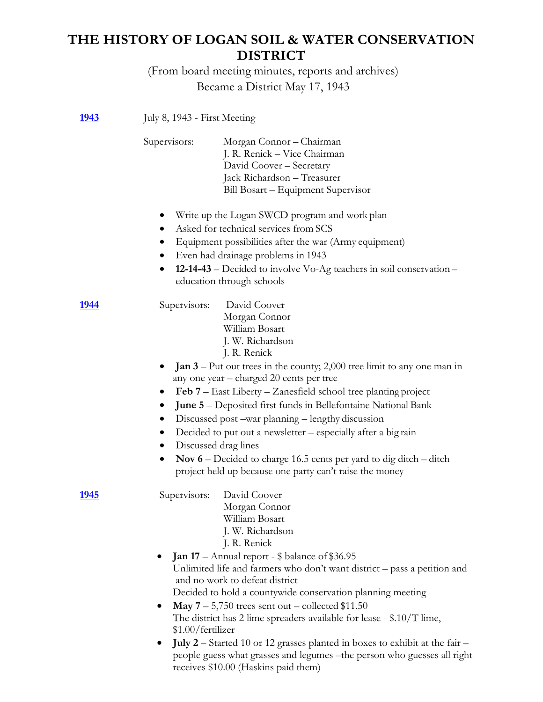# **THE HISTORY OF LOGAN SOIL & WATER CONSERVATION DISTRICT**

(From board meeting minutes, reports and archives) Became a District May 17, 1943

| <u>1943</u>   | July 8, 1943 - First Meeting                     |                                                                                                                                                                                                                                                                                                                                                                                                                                                                                                                                                     |
|---------------|--------------------------------------------------|-----------------------------------------------------------------------------------------------------------------------------------------------------------------------------------------------------------------------------------------------------------------------------------------------------------------------------------------------------------------------------------------------------------------------------------------------------------------------------------------------------------------------------------------------------|
|               | Supervisors:                                     | Morgan Connor - Chairman<br>J. R. Renick - Vice Chairman<br>David Coover - Secretary<br>Jack Richardson - Treasurer<br>Bill Bosart – Equipment Supervisor                                                                                                                                                                                                                                                                                                                                                                                           |
|               | $\bullet$                                        | Write up the Logan SWCD program and work plan<br>Asked for technical services from SCS<br>Equipment possibilities after the war (Army equipment)<br>Even had drainage problems in 1943<br><b>12-14-43</b> – Decided to involve Vo-Ag teachers in soil conservation –<br>education through schools                                                                                                                                                                                                                                                   |
| 1944          | Supervisors:                                     | David Coover<br>Morgan Connor<br>William Bosart<br>J. W. Richardson<br>J. R. Renick                                                                                                                                                                                                                                                                                                                                                                                                                                                                 |
|               | $\bullet$<br>$\bullet$<br>$\bullet$<br>$\bullet$ | <b>Jan 3</b> – Put out trees in the county; 2,000 tree limit to any one man in<br>any one year – charged 20 cents per tree<br><b>Feb 7</b> – East Liberty – Zanesfield school tree planting project<br>June 5 - Deposited first funds in Bellefontaine National Bank<br>Discussed post –war planning – lengthy discussion<br>Decided to put out a newsletter - especially after a big rain<br>Discussed drag lines<br>Nov 6 – Decided to charge 16.5 cents per yard to dig ditch – ditch<br>project held up because one party can't raise the money |
| <u> 1945 </u> | Supervisors:                                     | David Coover<br>Morgan Connor<br>William Bosart<br>J. W. Richardson<br>J. R. Renick                                                                                                                                                                                                                                                                                                                                                                                                                                                                 |
|               | $\bullet$<br>\$1.00/fertilizer                   | <b>Jan 17</b> – Annual report - \$ balance of \$36.95<br>Unlimited life and farmers who don't want district - pass a petition and<br>and no work to defeat district<br>Decided to hold a countywide conservation planning meeting<br><b>May</b> $7 - 5,750$ trees sent out – collected \$11.50<br>The district has 2 lime spreaders available for lease $-$ \$.10/T lime,                                                                                                                                                                           |
|               | $\bullet$                                        | July 2 – Started 10 or 12 grasses planted in boxes to exhibit at the fair –<br>people guess what grasses and legumes -the person who guesses all right<br>receives \$10.00 (Haskins paid them)                                                                                                                                                                                                                                                                                                                                                      |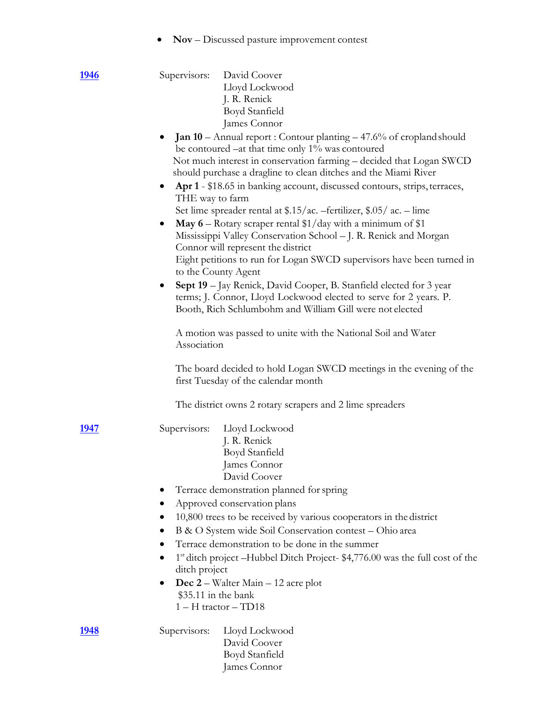• **Nov** – Discussed pasture improvement contest

| <u>1946</u> |                              | Supervisors: David Coover                                                                                                              |
|-------------|------------------------------|----------------------------------------------------------------------------------------------------------------------------------------|
|             |                              | Lloyd Lockwood                                                                                                                         |
|             |                              | J. R. Renick                                                                                                                           |
|             |                              | Boyd Stanfield                                                                                                                         |
|             |                              | James Connor                                                                                                                           |
|             |                              | <b>Jan 10</b> – Annual report: Contour planting $-47.6%$ of cropland should                                                            |
|             |                              | be contoured $-at$ that time only $1\%$ was contoured                                                                                  |
|             |                              | Not much interest in conservation farming - decided that Logan SWCD<br>should purchase a dragline to clean ditches and the Miami River |
|             | $\bullet$<br>THE way to farm | Apr 1 - \$18.65 in banking account, discussed contours, strips, terraces,                                                              |
|             |                              | Set lime spreader rental at \$.15/ac. -fertilizer, \$.05/ac. - lime                                                                    |
|             | $\bullet$                    | May $6$ – Rotary scraper rental \$1/day with a minimum of \$1                                                                          |
|             |                              | Mississippi Valley Conservation School - J. R. Renick and Morgan<br>Connor will represent the district                                 |
|             |                              | Eight petitions to run for Logan SWCD supervisors have been turned in                                                                  |
|             | to the County Agent          |                                                                                                                                        |
|             | $\bullet$                    | Sept 19 - Jay Renick, David Cooper, B. Stanfield elected for 3 year                                                                    |
|             |                              | terms; J. Connor, Lloyd Lockwood elected to serve for 2 years. P.                                                                      |
|             |                              | Booth, Rich Schlumbohm and William Gill were not elected                                                                               |
|             |                              | A motion was passed to unite with the National Soil and Water                                                                          |
|             | Association                  |                                                                                                                                        |
|             |                              | The board decided to hold Logan SWCD meetings in the evening of the<br>first Tuesday of the calendar month                             |
|             |                              | The district owns 2 rotary scrapers and 2 lime spreaders                                                                               |
| 1947        | Supervisors:                 | Lloyd Lockwood                                                                                                                         |
|             |                              | J. R. Renick                                                                                                                           |
|             |                              | Boyd Stanfield                                                                                                                         |
|             |                              | James Connor                                                                                                                           |
|             |                              | David Coover                                                                                                                           |
|             |                              | Terrace demonstration planned for spring                                                                                               |
|             |                              | Approved conservation plans                                                                                                            |
|             |                              | 10,800 trees to be received by various cooperators in the district                                                                     |
|             |                              | B & O System wide Soil Conservation contest - Ohio area                                                                                |
|             |                              | Terrace demonstration to be done in the summer                                                                                         |
|             |                              | 1 <sup>st</sup> ditch project –Hubbel Ditch Project-\$4,776.00 was the full cost of the                                                |
|             | ditch project                |                                                                                                                                        |
|             |                              | Dec 2 – Walter Main – 12 acre plot                                                                                                     |
|             | \$35.11 in the bank          |                                                                                                                                        |
|             |                              | $1 - H$ tractor $- TD18$                                                                                                               |
| 1948        | Supervisors:                 | Lloyd Lockwood                                                                                                                         |
|             |                              | David Coover                                                                                                                           |
|             |                              | Boyd Stanfield                                                                                                                         |

James Connor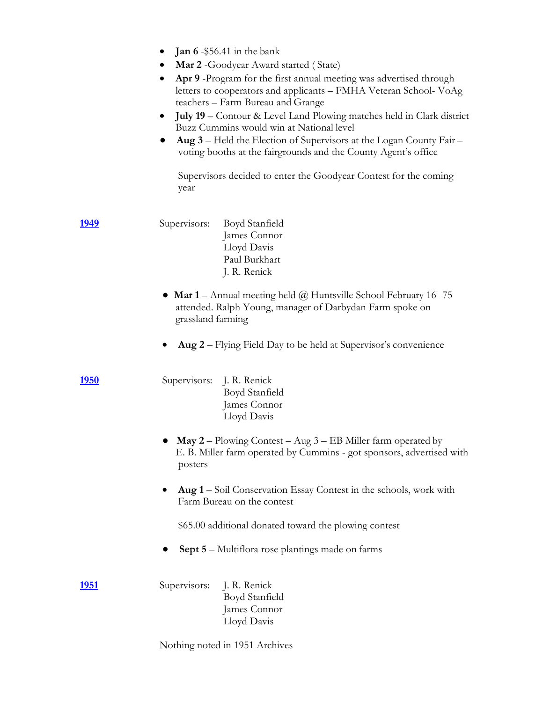|               | <b>Jan 6</b> - \$56.41 in the bank<br>$\bullet$<br>Mar 2 -Goodyear Award started (State)<br>Apr 9 -Program for the first annual meeting was advertised through<br>$\bullet$<br>letters to cooperators and applicants – FMHA Veteran School-VoAg<br>teachers - Farm Bureau and Grange<br><b>July 19</b> – Contour & Level Land Plowing matches held in Clark district<br>$\bullet$<br>Buzz Cummins would win at National level<br>Aug 3 - Held the Election of Supervisors at the Logan County Fair -<br>voting booths at the fairgrounds and the County Agent's office<br>Supervisors decided to enter the Goodyear Contest for the coming<br>year |
|---------------|----------------------------------------------------------------------------------------------------------------------------------------------------------------------------------------------------------------------------------------------------------------------------------------------------------------------------------------------------------------------------------------------------------------------------------------------------------------------------------------------------------------------------------------------------------------------------------------------------------------------------------------------------|
| <u> 1949 </u> | Supervisors: Boyd Stanfield<br>James Connor<br>Lloyd Davis<br>Paul Burkhart<br>J. R. Renick                                                                                                                                                                                                                                                                                                                                                                                                                                                                                                                                                        |
|               | • Mar $1$ – Annual meeting held $@$ Huntsville School February 16 -75<br>attended. Ralph Young, manager of Darbydan Farm spoke on<br>grassland farming                                                                                                                                                                                                                                                                                                                                                                                                                                                                                             |
|               | Aug 2 - Flying Field Day to be held at Supervisor's convenience                                                                                                                                                                                                                                                                                                                                                                                                                                                                                                                                                                                    |
| <u> 1950 </u> | Supervisors: J. R. Renick<br>Boyd Stanfield<br>James Connor<br>Lloyd Davis                                                                                                                                                                                                                                                                                                                                                                                                                                                                                                                                                                         |
|               | May 2 - Plowing Contest - Aug 3 - EB Miller farm operated by<br>E. B. Miller farm operated by Cummins - got sponsors, advertised with<br>posters                                                                                                                                                                                                                                                                                                                                                                                                                                                                                                   |
|               | Aug 1 – Soil Conservation Essay Contest in the schools, work with<br>Farm Bureau on the contest                                                                                                                                                                                                                                                                                                                                                                                                                                                                                                                                                    |
|               | \$65.00 additional donated toward the plowing contest                                                                                                                                                                                                                                                                                                                                                                                                                                                                                                                                                                                              |
|               | <b>Sept 5</b> – Multiflora rose plantings made on farms                                                                                                                                                                                                                                                                                                                                                                                                                                                                                                                                                                                            |
| <u> 1951 </u> | Supervisors:<br>J. R. Renick<br>Boyd Stanfield<br>James Connor<br>Lloyd Davis                                                                                                                                                                                                                                                                                                                                                                                                                                                                                                                                                                      |
|               | Nothing noted in 1951 Archives                                                                                                                                                                                                                                                                                                                                                                                                                                                                                                                                                                                                                     |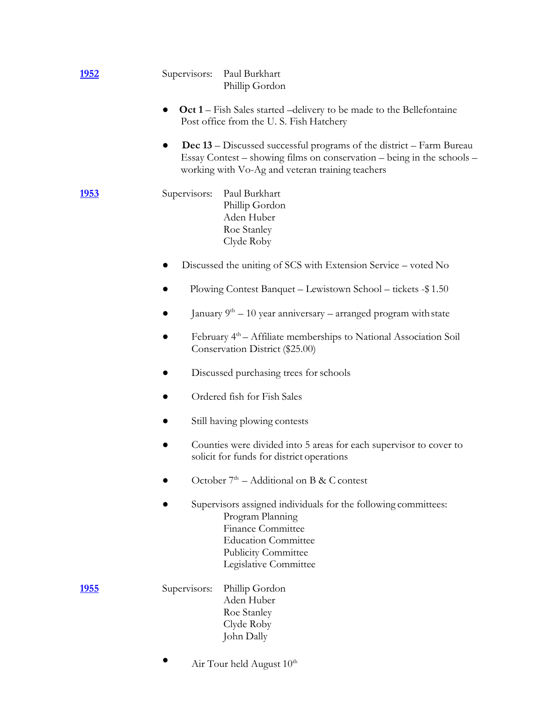| <u> 1952 </u> | Supervisors:<br>Paul Burkhart<br>Phillip Gordon                                                                                                                                                           |  |  |  |  |
|---------------|-----------------------------------------------------------------------------------------------------------------------------------------------------------------------------------------------------------|--|--|--|--|
|               | <b>Oct 1</b> – Fish Sales started – delivery to be made to the Bellefontaine<br>$\bullet$<br>Post office from the U.S. Fish Hatchery                                                                      |  |  |  |  |
|               | <b>Dec 13</b> – Discussed successful programs of the district – Farm Bureau<br>Essay Contest – showing films on conservation – being in the schools –<br>working with Vo-Ag and veteran training teachers |  |  |  |  |
| <u>1953</u>   | Paul Burkhart<br>Supervisors:<br>Phillip Gordon<br>Aden Huber<br>Roe Stanley<br>Clyde Roby                                                                                                                |  |  |  |  |
|               | Discussed the uniting of SCS with Extension Service - voted No                                                                                                                                            |  |  |  |  |
|               | Plowing Contest Banquet - Lewistown School - tickets -\$1.50                                                                                                                                              |  |  |  |  |
|               | January $9th - 10$ year anniversary – arranged program with state                                                                                                                                         |  |  |  |  |
|               | February 4 <sup>th</sup> – Affiliate memberships to National Association Soil<br>Conservation District (\$25.00)                                                                                          |  |  |  |  |
|               | Discussed purchasing trees for schools                                                                                                                                                                    |  |  |  |  |
|               | Ordered fish for Fish Sales                                                                                                                                                                               |  |  |  |  |
|               | Still having plowing contests                                                                                                                                                                             |  |  |  |  |
|               | Counties were divided into 5 areas for each supervisor to cover to<br>solicit for funds for district operations                                                                                           |  |  |  |  |
|               | October $7th$ – Additional on B & C contest                                                                                                                                                               |  |  |  |  |
|               | Supervisors assigned individuals for the following committees:<br>Program Planning<br><b>Finance Committee</b><br><b>Education Committee</b><br>Publicity Committee<br>Legislative Committee              |  |  |  |  |
| <u> 1955 </u> | Supervisors:<br>Phillip Gordon<br>Aden Huber<br>Roe Stanley<br>Clyde Roby<br>John Dally                                                                                                                   |  |  |  |  |
|               | Air Tour held August 10 <sup>th</sup>                                                                                                                                                                     |  |  |  |  |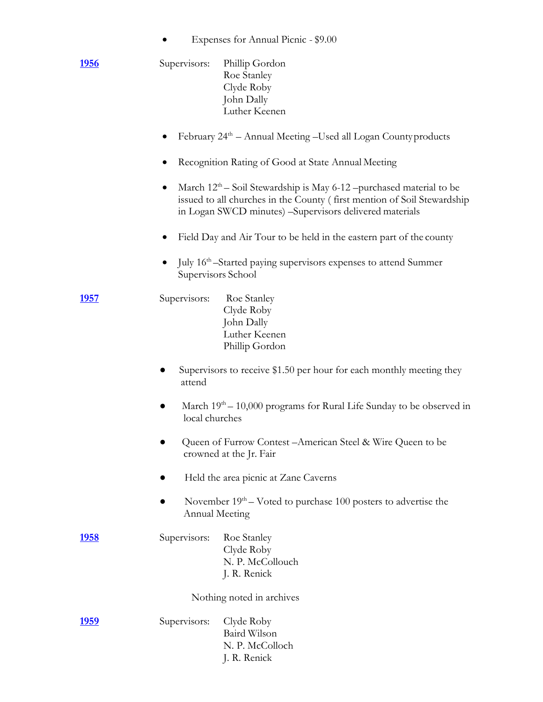• Expenses for Annual Picnic - \$9.00

| <u>1956</u>   | Supervisors:          | Phillip Gordon<br>Roe Stanley<br>Clyde Roby<br>John Dally<br>Luther Keenen                                                                                                                                  |
|---------------|-----------------------|-------------------------------------------------------------------------------------------------------------------------------------------------------------------------------------------------------------|
|               |                       | February 24 <sup>th</sup> – Annual Meeting –Used all Logan County products                                                                                                                                  |
|               |                       | Recognition Rating of Good at State Annual Meeting                                                                                                                                                          |
|               | $\bullet$             | March $12th$ – Soil Stewardship is May 6-12 –purchased material to be<br>issued to all churches in the County (first mention of Soil Stewardship<br>in Logan SWCD minutes) -Supervisors delivered materials |
|               |                       | Field Day and Air Tour to be held in the eastern part of the county                                                                                                                                         |
|               | Supervisors School    | July 16 <sup>th</sup> –Started paying supervisors expenses to attend Summer                                                                                                                                 |
| <u>1957</u>   | Supervisors:          | Roe Stanley<br>Clyde Roby<br>John Dally<br>Luther Keenen<br>Phillip Gordon                                                                                                                                  |
|               | attend                | Supervisors to receive \$1.50 per hour for each monthly meeting they                                                                                                                                        |
|               | local churches        | March $19th - 10,000$ programs for Rural Life Sunday to be observed in                                                                                                                                      |
|               |                       | Queen of Furrow Contest - American Steel & Wire Queen to be<br>crowned at the Jr. Fair                                                                                                                      |
|               |                       | Held the area picnic at Zane Caverns                                                                                                                                                                        |
|               | <b>Annual Meeting</b> | November $19th - V$ oted to purchase 100 posters to advertise the                                                                                                                                           |
| <u>1958</u>   | Supervisors:          | Roe Stanley<br>Clyde Roby<br>N. P. McCollouch<br>J. R. Renick                                                                                                                                               |
|               |                       | Nothing noted in archives                                                                                                                                                                                   |
| <u> 1959 </u> | Supervisors:          | Clyde Roby<br>Baird Wilson<br>N. P. McColloch<br>J. R. Renick                                                                                                                                               |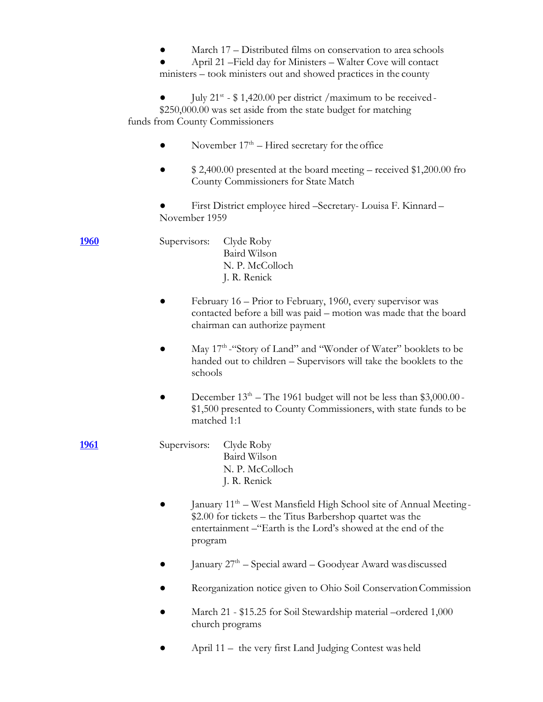March 17 – Distributed films on conservation to area schools April 21 – Field day for Ministers – Walter Cove will contact ministers – took ministers out and showed practices in the county  $\bullet$  July 21<sup>st</sup> - \$1,420.00 per district / maximum to be received -\$250,000.00 was set aside from the state budget for matching funds from County Commissioners • November  $17<sup>th</sup>$  – Hired secretary for the office  $$ 2,400.00$  presented at the board meeting – received \$1,200.00 fro County Commissioners for State Match First District employee hired –Secretary- Louisa F. Kinnard – November 1959 **1960** Supervisors: Clyde Roby Baird Wilson N. P. McColloch J. R. Renick February 16 – Prior to February, 1960, every supervisor was contacted before a bill was paid – motion was made that the board chairman can authorize payment • May 17<sup>th</sup> - "Story of Land" and "Wonder of Water" booklets to be handed out to children – Supervisors will take the booklets to the schools • December  $13<sup>th</sup>$  – The 1961 budget will not be less than \$3,000.00 -\$1,500 presented to County Commissioners, with state funds to be matched 1:1 **1961** Supervisors: Clyde Roby Baird Wilson N. P. McColloch J. R. Renick • January 11<sup>th</sup> – West Mansfield High School site of Annual Meeting-\$2.00 for tickets – the Titus Barbershop quartet was the entertainment –"Earth is the Lord's showed at the end of the program  $\bullet$  January 27<sup>th</sup> – Special award – Goodyear Award was discussed Reorganization notice given to Ohio Soil Conservation Commission March 21 - \$15.25 for Soil Stewardship material –ordered 1,000 church programs April 11 – the very first Land Judging Contest was held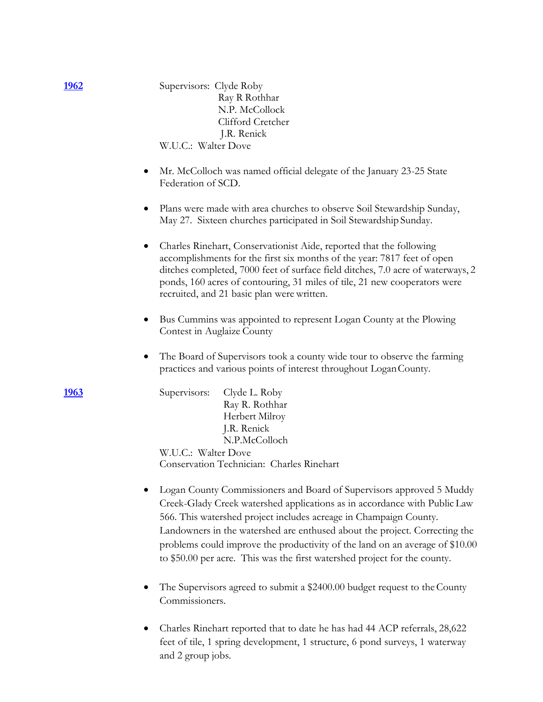| <u> 1962</u> | Supervisors: Clyde Roby<br>Ray R Rothhar<br>N.P. McCollock<br>Clifford Cretcher<br>J.R. Renick<br>W.U.C.: Walter Dove                                                                                                                                                                                                                                                                                                                                             |
|--------------|-------------------------------------------------------------------------------------------------------------------------------------------------------------------------------------------------------------------------------------------------------------------------------------------------------------------------------------------------------------------------------------------------------------------------------------------------------------------|
|              | Mr. McColloch was named official delegate of the January 23-25 State<br>$\bullet$<br>Federation of SCD.                                                                                                                                                                                                                                                                                                                                                           |
|              | Plans were made with area churches to observe Soil Stewardship Sunday,<br>May 27. Sixteen churches participated in Soil Stewardship Sunday.                                                                                                                                                                                                                                                                                                                       |
|              | Charles Rinehart, Conservationist Aide, reported that the following<br>$\bullet$<br>accomplishments for the first six months of the year: 7817 feet of open<br>ditches completed, 7000 feet of surface field ditches, 7.0 acre of waterways, 2<br>ponds, 160 acres of contouring, 31 miles of tile, 21 new cooperators were<br>recruited, and 21 basic plan were written.                                                                                         |
|              | Bus Cummins was appointed to represent Logan County at the Plowing<br>Contest in Auglaize County                                                                                                                                                                                                                                                                                                                                                                  |
|              | The Board of Supervisors took a county wide tour to observe the farming<br>practices and various points of interest throughout Logan County.                                                                                                                                                                                                                                                                                                                      |
| <u> 1963</u> | Clyde L. Roby<br>Supervisors:<br>Ray R. Rothhar<br>Herbert Milroy<br>J.R. Renick<br>N.P.McColloch<br>W.U.C.: Walter Dove<br>Conservation Technician: Charles Rinehart                                                                                                                                                                                                                                                                                             |
|              | Logan County Commissioners and Board of Supervisors approved 5 Muddy<br>Creek-Glady Creek watershed applications as in accordance with Public Law<br>566. This watershed project includes acreage in Champaign County.<br>Landowners in the watershed are enthused about the project. Correcting the<br>problems could improve the productivity of the land on an average of \$10.00<br>to \$50.00 per acre. This was the first watershed project for the county. |
|              | The Supervisors agreed to submit a \$2400.00 budget request to the County<br>Commissioners.                                                                                                                                                                                                                                                                                                                                                                       |
|              | Charles Rinehart reported that to date he has had 44 ACP referrals, 28,622<br>feet of tile, 1 spring development, 1 structure, 6 pond surveys, 1 waterway                                                                                                                                                                                                                                                                                                         |

and 2 group jobs.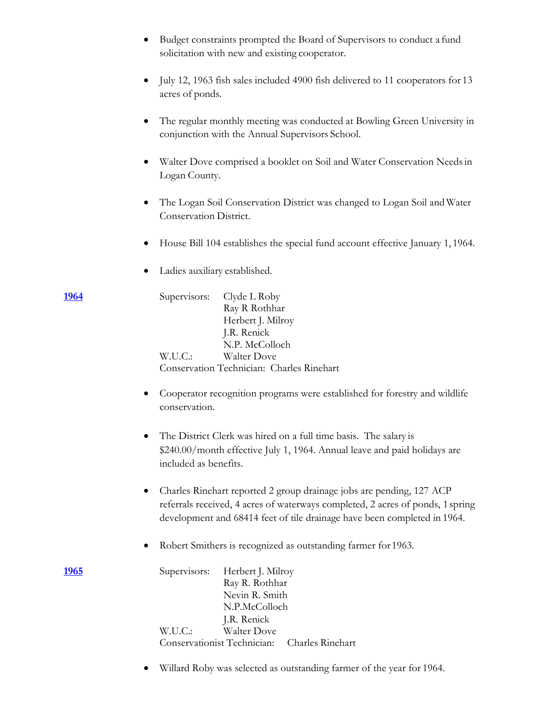|               | Budget constraints prompted the Board of Supervisors to conduct a fund<br>solicitation with new and existing cooperator.                                                                                                           |
|---------------|------------------------------------------------------------------------------------------------------------------------------------------------------------------------------------------------------------------------------------|
|               | July 12, 1963 fish sales included 4900 fish delivered to 11 cooperators for 13<br>$\bullet$<br>acres of ponds.                                                                                                                     |
|               | The regular monthly meeting was conducted at Bowling Green University in<br>conjunction with the Annual Supervisors School.                                                                                                        |
|               | Walter Dove comprised a booklet on Soil and Water Conservation Needs in<br>Logan County.                                                                                                                                           |
|               | The Logan Soil Conservation District was changed to Logan Soil and Water<br>Conservation District.                                                                                                                                 |
|               | House Bill 104 establishes the special fund account effective January 1, 1964.                                                                                                                                                     |
|               | Ladies auxiliary established.                                                                                                                                                                                                      |
| 1964          | Supervisors:<br>Clyde L Roby<br>Ray R Rothhar<br>Herbert J. Milroy<br>J.R. Renick<br>N.P. McColloch<br>W.U.C.:<br>Walter Dove<br>Conservation Technician: Charles Rinehart                                                         |
|               | Cooperator recognition programs were established for forestry and wildlife<br>conservation.                                                                                                                                        |
|               | The District Clerk was hired on a full time basis. The salary is<br>\$240.00/month effective July 1, 1964. Annual leave and paid holidays are<br>included as benefits.                                                             |
|               | Charles Rinehart reported 2 group drainage jobs are pending, 127 ACP<br>referrals received, 4 acres of waterways completed, 2 acres of ponds, 1 spring<br>development and 68414 feet of tile drainage have been completed in 1964. |
|               | Robert Smithers is recognized as outstanding farmer for 1963.                                                                                                                                                                      |
| <u> 1965 </u> | Herbert J. Milroy<br>Supervisors:<br>Ray R. Rothhar<br>Nevin R. Smith<br>N.P.McColloch<br>J.R. Renick                                                                                                                              |
|               | Walter Dove<br>W.U.C.:<br>Conservationist Technician:<br>Charles Rinehart                                                                                                                                                          |

• Willard Roby was selected as outstanding farmer of the year for 1964.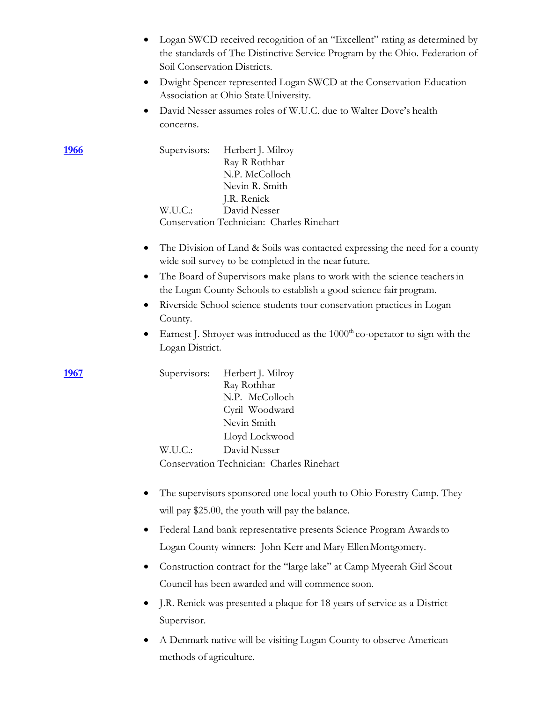|              | Logan SWCD received recognition of an "Excellent" rating as determined by<br>the standards of The Distinctive Service Program by the Ohio. Federation of<br>Soil Conservation Districts. |
|--------------|------------------------------------------------------------------------------------------------------------------------------------------------------------------------------------------|
|              | Dwight Spencer represented Logan SWCD at the Conservation Education<br>$\bullet$<br>Association at Ohio State University.                                                                |
|              | David Nesser assumes roles of W.U.C. due to Walter Dove's health<br>$\bullet$<br>concerns.                                                                                               |
| <u> 1966</u> | Supervisors:<br>Herbert J. Milroy<br>Ray R Rothhar<br>N.P. McColloch<br>Nevin R. Smith<br>J.R. Renick                                                                                    |
|              | W.U.C.<br>David Nesser<br>Conservation Technician: Charles Rinehart                                                                                                                      |
|              | The Division of Land & Soils was contacted expressing the need for a county<br>$\bullet$<br>wide soil survey to be completed in the near future.                                         |
|              | The Board of Supervisors make plans to work with the science teachers in<br>$\bullet$<br>the Logan County Schools to establish a good science fair program.                              |
|              | Riverside School science students tour conservation practices in Logan<br>$\bullet$<br>County.                                                                                           |
|              | Earnest J. Shroyer was introduced as the $1000th$ co-operator to sign with the<br>$\bullet$<br>Logan District.                                                                           |
| 1967         | Supervisors:<br>Herbert J. Milroy<br>Ray Rothhar<br>N.P. McColloch<br>Cyril Woodward<br>Nevin Smith<br>Lloyd Lockwood                                                                    |
|              | David Nesser<br>W.U.C.:                                                                                                                                                                  |
|              | Conservation Technician: Charles Rinehart                                                                                                                                                |
|              | The supervisors sponsored one local youth to Ohio Forestry Camp. They                                                                                                                    |
|              | will pay \$25.00, the youth will pay the balance.                                                                                                                                        |
|              | Federal Land bank representative presents Science Program Awards to<br>٠                                                                                                                 |
|              | Logan County winners: John Kerr and Mary Ellen Montgomery.                                                                                                                               |
|              | Construction contract for the "large lake" at Camp Myeerah Girl Scout<br>٠<br>Council has been awarded and will commence soon.                                                           |
|              |                                                                                                                                                                                          |
|              | J.R. Renick was presented a plaque for 18 years of service as a District<br>$\bullet$<br>Supervisor.                                                                                     |
|              |                                                                                                                                                                                          |
|              | A Denmark native will be visiting Logan County to observe American<br>$\bullet$<br>methods of agriculture.                                                                               |
|              |                                                                                                                                                                                          |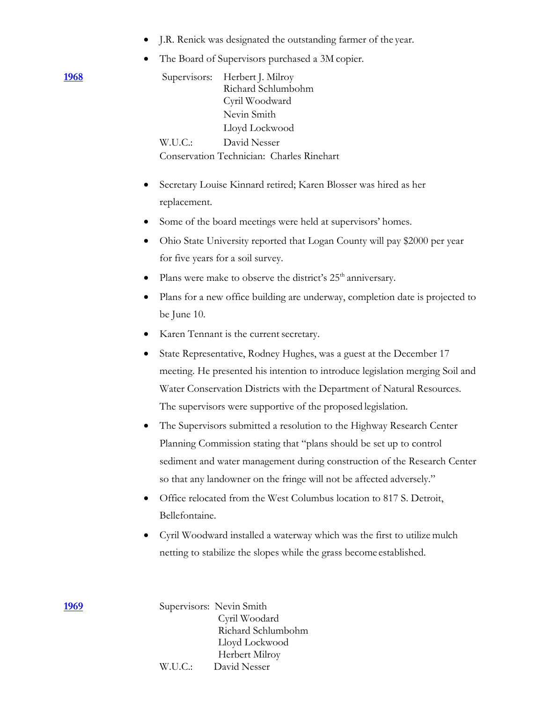|  |  | J.R. Renick was designated the outstanding farmer of the year. |  |  |
|--|--|----------------------------------------------------------------|--|--|
|  |  |                                                                |  |  |

• The Board of Supervisors purchased a 3M copier.

|               | The Doard of Duple visols puremased a 3m copier.                                                                                                                                   |
|---------------|------------------------------------------------------------------------------------------------------------------------------------------------------------------------------------|
| <u> 1968 </u> | Supervisors:<br>Herbert J. Milroy<br>Richard Schlumbohm<br>Cyril Woodward<br>Nevin Smith<br>Lloyd Lockwood<br>W.U.C.:<br>David Nesser<br>Conservation Technician: Charles Rinehart |
|               | Secretary Louise Kinnard retired; Karen Blosser was hired as her                                                                                                                   |
|               | replacement.                                                                                                                                                                       |
|               | Some of the board meetings were held at supervisors' homes.                                                                                                                        |
|               | Ohio State University reported that Logan County will pay \$2000 per year                                                                                                          |
|               | for five years for a soil survey.                                                                                                                                                  |
|               | Plans were make to observe the district's 25 <sup>th</sup> anniversary.<br>٠                                                                                                       |
|               | Plans for a new office building are underway, completion date is projected to                                                                                                      |
|               | be June 10.                                                                                                                                                                        |
|               | Karen Tennant is the current secretary.                                                                                                                                            |
|               | State Representative, Rodney Hughes, was a guest at the December 17<br>$\bullet$                                                                                                   |
|               | meeting. He presented his intention to introduce legislation merging Soil and                                                                                                      |
|               | Water Conservation Districts with the Department of Natural Resources.                                                                                                             |
|               | The supervisors were supportive of the proposed legislation.                                                                                                                       |
|               | The Supervisors submitted a resolution to the Highway Research Center<br>$\bullet$                                                                                                 |
|               | Planning Commission stating that "plans should be set up to control                                                                                                                |
|               | sediment and water management during construction of the Research Center<br>so that any landowner on the fringe will not be affected adversely."                                   |
|               | Office relocated from the West Columbus location to 817 S. Detroit,<br>٠                                                                                                           |
|               | Bellefontaine.                                                                                                                                                                     |
|               | Cyril Woodward installed a waterway which was the first to utilize mulch<br>$\bullet$                                                                                              |
|               | netting to stabilize the slopes while the grass become established.                                                                                                                |
| 1969          | Supervisors: Nevin Smith<br>Cyril Woodard<br>Richard Schlumbohm<br>Lloyd Lockwood<br>Herbert Milroy                                                                                |

W.U.C.: David Nesser

**1969**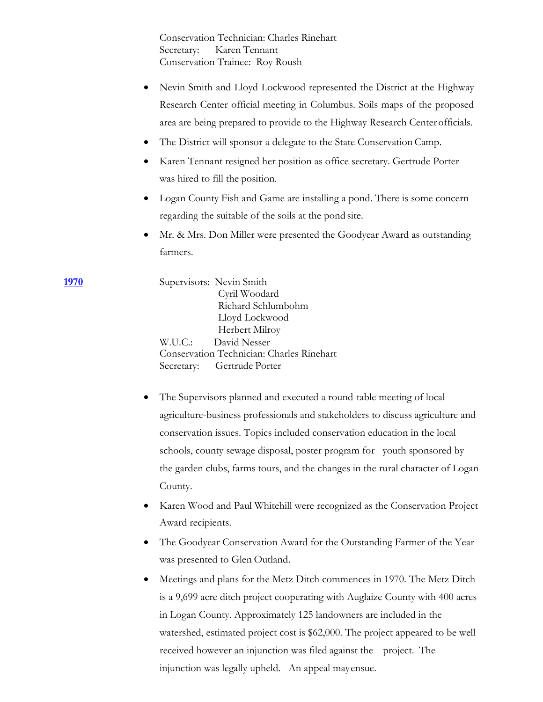Conservation Technician: Charles Rinehart Secretary: Karen Tennant Conservation Trainee: Roy Roush

- Nevin Smith and Lloyd Lockwood represented the District at the Highway Research Center official meeting in Columbus. Soils maps of the proposed area are being prepared to provide to the Highway Research Centerofficials.
- The District will sponsor a delegate to the State Conservation Camp.
- Karen Tennant resigned her position as office secretary. Gertrude Porter was hired to fill the position.
- Logan County Fish and Game are installing a pond. There is some concern regarding the suitable of the soils at the pond site.
- Mr. & Mrs. Don Miller were presented the Goodyear Award as outstanding farmers.

**1970** Supervisors: Nevin Smith Cyril Woodard Richard Schlumbohm Lloyd Lockwood Herbert Milroy W.U.C.: David Nesser Conservation Technician: Charles Rinehart Secretary: Gertrude Porter

- The Supervisors planned and executed a round-table meeting of local agriculture-business professionals and stakeholders to discuss agriculture and conservation issues. Topics included conservation education in the local schools, county sewage disposal, poster program for youth sponsored by the garden clubs, farms tours, and the changes in the rural character of Logan County.
- Karen Wood and Paul Whitehill were recognized as the Conservation Project Award recipients.
- The Goodyear Conservation Award for the Outstanding Farmer of the Year was presented to Glen Outland.
- Meetings and plans for the Metz Ditch commences in 1970. The Metz Ditch is a 9,699 acre ditch project cooperating with Auglaize County with 400 acres in Logan County. Approximately 125 landowners are included in the watershed, estimated project cost is \$62,000. The project appeared to be well received however an injunction was filed against the project. The injunction was legally upheld. An appeal mayensue.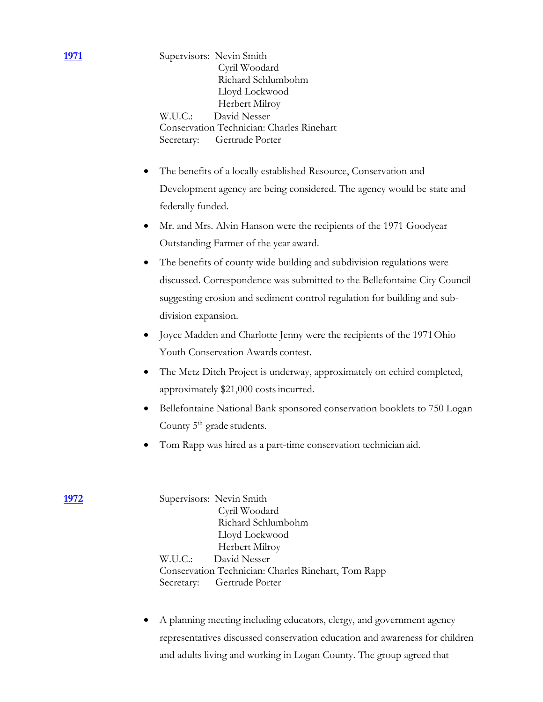**1971** Supervisors: Nevin Smith Cyril Woodard Richard Schlumbohm Lloyd Lockwood Herbert Milroy W.U.C.: David Nesser Conservation Technician: Charles Rinehart Secretary: Gertrude Porter

- The benefits of a locally established Resource, Conservation and Development agency are being considered. The agency would be state and federally funded.
- Mr. and Mrs. Alvin Hanson were the recipients of the 1971 Goodyear Outstanding Farmer of the year award.
- The benefits of county wide building and subdivision regulations were discussed. Correspondence was submitted to the Bellefontaine City Council suggesting erosion and sediment control regulation for building and subdivision expansion.
- Joyce Madden and Charlotte Jenny were the recipients of the 1971Ohio Youth Conservation Awards contest.
- The Metz Ditch Project is underway, approximately on echird completed, approximately \$21,000 costsincurred.
- Bellefontaine National Bank sponsored conservation booklets to 750 Logan County  $5<sup>th</sup>$  grade students.
- Tom Rapp was hired as a part-time conservation technician aid.

**1972** Supervisors: Nevin Smith Cyril Woodard Richard Schlumbohm Lloyd Lockwood Herbert Milroy W.U.C.: David Nesser Conservation Technician: Charles Rinehart, Tom Rapp Secretary: Gertrude Porter

> • A planning meeting including educators, clergy, and government agency representatives discussed conservation education and awareness for children and adults living and working in Logan County. The group agreed that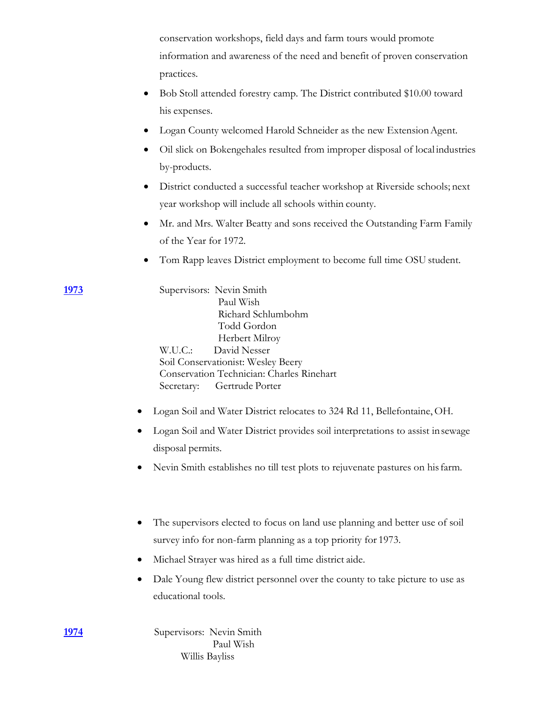conservation workshops, field days and farm tours would promote information and awareness of the need and benefit of proven conservation practices.

- Bob Stoll attended forestry camp. The District contributed \$10.00 toward his expenses.
- Logan County welcomed Harold Schneider as the new Extension Agent.
- Oil slick on Bokengehales resulted from improper disposal of local industries by-products.
- District conducted a successful teacher workshop at Riverside schools; next year workshop will include all schools within county.
- Mr. and Mrs. Walter Beatty and sons received the Outstanding Farm Family of the Year for 1972.
- Tom Rapp leaves District employment to become full time OSU student.

**1973** Supervisors: Nevin Smith Paul Wish Richard Schlumbohm Todd Gordon Herbert Milroy W.U.C.: David Nesser Soil Conservationist: Wesley Beery Conservation Technician: Charles Rinehart Secretary: Gertrude Porter

- Logan Soil and Water District relocates to 324 Rd 11, Bellefontaine, OH.
- Logan Soil and Water District provides soil interpretations to assist insewage disposal permits.
- Nevin Smith establishes no till test plots to rejuvenate pastures on hisfarm.
- The supervisors elected to focus on land use planning and better use of soil survey info for non-farm planning as a top priority for 1973.
- Michael Strayer was hired as a full time district aide.
- Dale Young flew district personnel over the county to take picture to use as educational tools.

**1974** Supervisors: Nevin Smith Paul Wish Willis Bayliss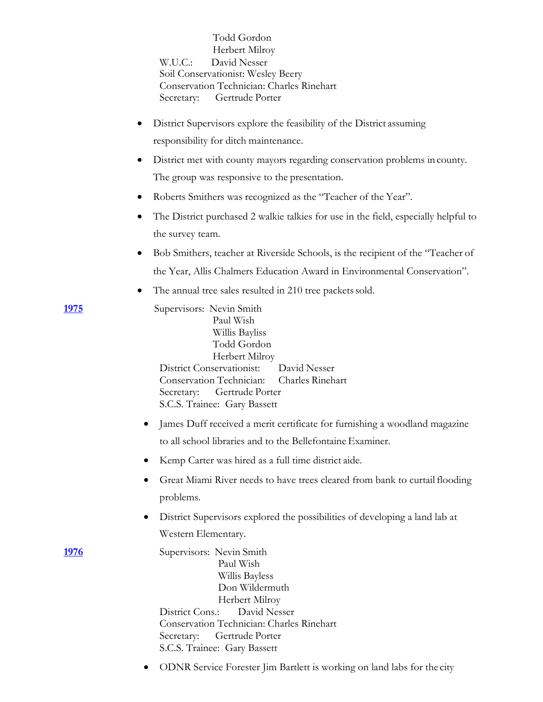|               | Todd Gordon<br>Herbert Milroy<br>David Nesser<br>W.U.C.:<br>Soil Conservationist: Wesley Beery<br>Conservation Technician: Charles Rinehart<br>Secretary: Gertrude Porter                                                                     |
|---------------|-----------------------------------------------------------------------------------------------------------------------------------------------------------------------------------------------------------------------------------------------|
|               | District Supervisors explore the feasibility of the District assuming                                                                                                                                                                         |
|               | responsibility for ditch maintenance.                                                                                                                                                                                                         |
|               | District met with county mayors regarding conservation problems in county.                                                                                                                                                                    |
|               | The group was responsive to the presentation.                                                                                                                                                                                                 |
|               | Roberts Smithers was recognized as the "Teacher of the Year".<br>٠                                                                                                                                                                            |
|               | The District purchased 2 walkie talkies for use in the field, especially helpful to<br>the survey team.                                                                                                                                       |
|               | Bob Smithers, teacher at Riverside Schools, is the recipient of the "Teacher of                                                                                                                                                               |
|               | the Year, Allis Chalmers Education Award in Environmental Conservation".                                                                                                                                                                      |
|               | The annual tree sales resulted in 210 tree packets sold.<br>٠                                                                                                                                                                                 |
| <u> 1975 </u> | Supervisors: Nevin Smith<br>Paul Wish<br>Willis Bayliss<br>Todd Gordon<br>Herbert Milroy<br>District Conservationist: David Nesser<br>Conservation Technician: Charles Rinehart<br>Secretary: Gertrude Porter<br>S.C.S. Trainee: Gary Bassett |
|               | James Duff received a merit certificate for furnishing a woodland magazine                                                                                                                                                                    |
|               | to all school libraries and to the Bellefontaine Examiner.                                                                                                                                                                                    |
|               | Kemp Carter was hired as a full time district aide.                                                                                                                                                                                           |
|               | Great Miami River needs to have trees cleared from bank to curtail flooding<br>problems.                                                                                                                                                      |
|               | District Supervisors explored the possibilities of developing a land lab at                                                                                                                                                                   |
|               | Western Elementary.                                                                                                                                                                                                                           |
| <u> 1976</u>  | Supervisors: Nevin Smith<br>Paul Wish<br>Willis Bayless<br>Don Wildermuth<br>Herbert Milroy<br>David Nesser<br>District Cons.:<br>Conservation Technician: Charles Rinehart<br>Secretary:<br>Gertrude Porter<br>S.C.S. Trainee: Gary Bassett  |
|               | ODNR Service Forester Jim Bartlett is working on land labs for the city<br>$\bullet$                                                                                                                                                          |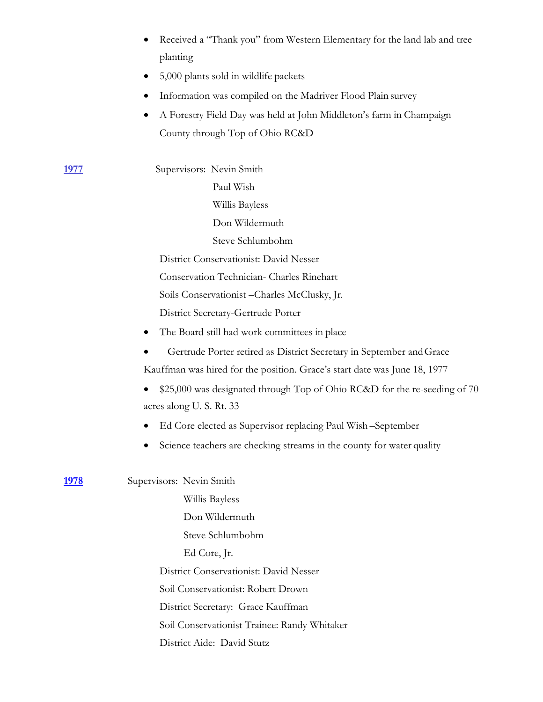| • Received a "Thank you" from Western Elementary for the land lab and tree |
|----------------------------------------------------------------------------|
| planting                                                                   |

- 5,000 plants sold in wildlife packets
- Information was compiled on the Madriver Flood Plain survey
- A Forestry Field Day was held at John Middleton's farm in Champaign County through Top of Ohio RC&D

**1977** Supervisors: Nevin Smith Paul Wish Willis Bayless Don Wildermuth Steve Schlumbohm District Conservationist: David Nesser Conservation Technician- Charles Rinehart Soils Conservationist –Charles McClusky, Jr. District Secretary-Gertrude Porter

- The Board still had work committees in place
- Gertrude Porter retired as District Secretary in September andGrace Kauffman was hired for the position. Grace's start date was June 18, 1977
- \$25,000 was designated through Top of Ohio RC&D for the re-seeding of 70 acres along U. S. Rt. 33
- Ed Core elected as Supervisor replacing Paul Wish –September
- Science teachers are checking streams in the county for water quality

**1978** Supervisors: Nevin Smith Willis Bayless Don Wildermuth Steve Schlumbohm Ed Core, Jr. District Conservationist: David Nesser Soil Conservationist: Robert Drown District Secretary: Grace Kauffman Soil Conservationist Trainee: Randy Whitaker District Aide: David Stutz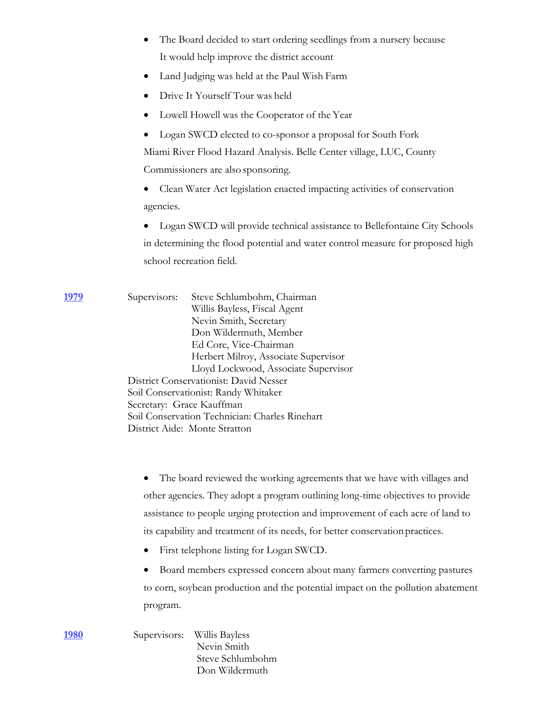- The Board decided to start ordering seedlings from a nursery because It would help improve the district account
- Land Judging was held at the Paul Wish Farm
- Drive It Yourself Tour was held
- Lowell Howell was the Cooperator of the Year
- Logan SWCD elected to co-sponsor a proposal for South Fork

Miami River Flood Hazard Analysis. Belle Center village, LUC, County Commissioners are also sponsoring.

• Clean Water Act legislation enacted impacting activities of conservation agencies.

• Logan SWCD will provide technical assistance to Bellefontaine City Schools in determining the flood potential and water control measure for proposed high school recreation field.

**1979** Supervisors: Steve Schlumbohm, Chairman Willis Bayless, Fiscal Agent Nevin Smith, Secretary Don Wildermuth, Member Ed Core, Vice-Chairman Herbert Milroy, Associate Supervisor Lloyd Lockwood, Associate Supervisor District Conservationist: David Nesser Soil Conservationist: Randy Whitaker Secretary: Grace Kauffman Soil Conservation Technician: Charles Rinehart District Aide: Monte Stratton

> The board reviewed the working agreements that we have with villages and other agencies. They adopt a program outlining long-time objectives to provide assistance to people urging protection and improvement of each acre of land to its capability and treatment of its needs, for better conservationpractices.

• First telephone listing for Logan SWCD.

• Board members expressed concern about many farmers converting pastures to corn, soybean production and the potential impact on the pollution abatement program.

**1980** Supervisors: Willis Bayless Nevin Smith Steve Schlumbohm Don Wildermuth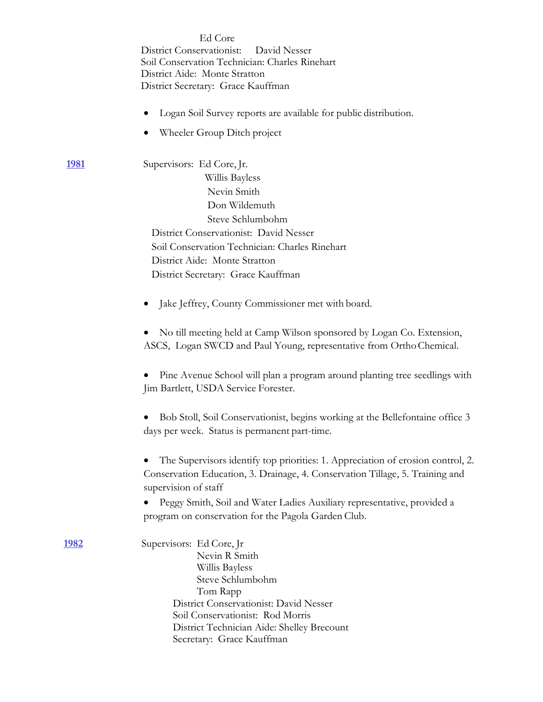|               | Ed Core<br>District Conservationist:<br>David Nesser<br>Soil Conservation Technician: Charles Rinehart<br>District Aide: Monte Stratton<br>District Secretary: Grace Kauffman<br>Logan Soil Survey reports are available for public distribution.<br>Wheeler Group Ditch project                                                                                                                                                                           |
|---------------|------------------------------------------------------------------------------------------------------------------------------------------------------------------------------------------------------------------------------------------------------------------------------------------------------------------------------------------------------------------------------------------------------------------------------------------------------------|
| <u>1981</u>   | Supervisors: Ed Core, Jr.<br>Willis Bayless<br>Nevin Smith<br>Don Wildemuth<br>Steve Schlumbohm<br>District Conservationist: David Nesser<br>Soil Conservation Technician: Charles Rinehart<br>District Aide: Monte Stratton<br>District Secretary: Grace Kauffman                                                                                                                                                                                         |
|               | Jake Jeffrey, County Commissioner met with board.<br>No till meeting held at Camp Wilson sponsored by Logan Co. Extension,<br>ASCS, Logan SWCD and Paul Young, representative from Ortho Chemical.<br>Pine Avenue School will plan a program around planting tree seedlings with<br>Jim Bartlett, USDA Service Forester.<br>Bob Stoll, Soil Conservationist, begins working at the Bellefontaine office 3<br>days per week. Status is permanent part-time. |
|               | The Supervisors identify top priorities: 1. Appreciation of erosion control, 2.<br>Conservation Education, 3. Drainage, 4. Conservation Tillage, 5. Training and<br>supervision of staff<br>Peggy Smith, Soil and Water Ladies Auxiliary representative, provided a<br>program on conservation for the Pagola Garden Club.                                                                                                                                 |
| <u> 1982 </u> | Supervisors: Ed Core, Jr<br>Nevin R Smith<br>Willis Bayless<br>Steve Schlumbohm<br>Tom Rapp<br>District Conservationist: David Nesser<br>Soil Conservationist: Rod Morris<br>District Technician Aide: Shelley Brecount<br>Secretary: Grace Kauffman                                                                                                                                                                                                       |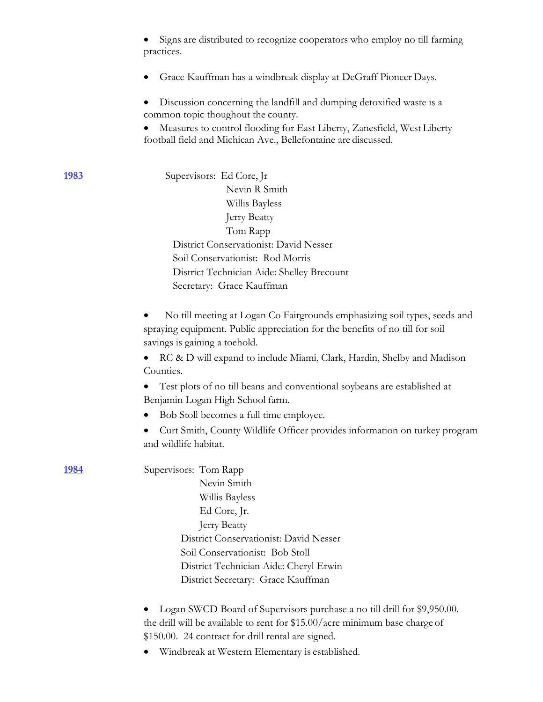|              | Signs are distributed to recognize cooperators who employ no till farming<br>practices.                                                   |
|--------------|-------------------------------------------------------------------------------------------------------------------------------------------|
|              | Grace Kauffman has a windbreak display at DeGraff Pioneer Days.                                                                           |
|              | Discussion concerning the landfill and dumping detoxified waste is a<br>common topic thoughout the county.                                |
|              | Measures to control flooding for East Liberty, Zanesfield, West Liberty<br>football field and Michican Ave., Bellefontaine are discussed. |
| 1983         | Supervisors: Ed Core, Jr                                                                                                                  |
|              | Nevin R Smith                                                                                                                             |
|              | Willis Bayless                                                                                                                            |
|              | Jerry Beatty                                                                                                                              |
|              | Tom Rapp                                                                                                                                  |
|              | District Conservationist: David Nesser                                                                                                    |
|              | Soil Conservationist: Rod Morris                                                                                                          |
|              | District Technician Aide: Shelley Brecount                                                                                                |
|              | Secretary: Grace Kauffman                                                                                                                 |
|              | No till meeting at Logan Co Fairgrounds emphasizing soil types, seeds and                                                                 |
|              | spraying equipment. Public appreciation for the benefits of no till for soil                                                              |
|              | savings is gaining a toehold.                                                                                                             |
|              | RC & D will expand to include Miami, Clark, Hardin, Shelby and Madison<br>Counties.                                                       |
|              | Test plots of no till beans and conventional soybeans are established at<br>Benjamin Logan High School farm.                              |
|              | Bob Stoll becomes a full time employee.                                                                                                   |
|              | Curt Smith, County Wildlife Officer provides information on turkey program<br>and wildlife habitat.                                       |
| <u> 1984</u> | Supervisors: Tom Rapp                                                                                                                     |
|              | Nevin Smith                                                                                                                               |
|              | Willis Bayless                                                                                                                            |
|              | Ed Core, Jr.                                                                                                                              |
|              | Jerry Beatty                                                                                                                              |
|              | District Conservationist: David Nesser                                                                                                    |
|              | Soil Conservationist: Bob Stoll                                                                                                           |
|              | District Technician Aide: Cheryl Erwin                                                                                                    |
|              | District Secretary: Grace Kauffman                                                                                                        |
|              | Logan SWCD Board of Supervisors purchase a no till drill for \$9,950.00.                                                                  |
|              | the drill will be available to rent for \$15.00/acre minimum base charge of                                                               |
|              | \$150.00. 24 contract for drill rental are signed.                                                                                        |
|              | Windbreak at Western Elementary is established.                                                                                           |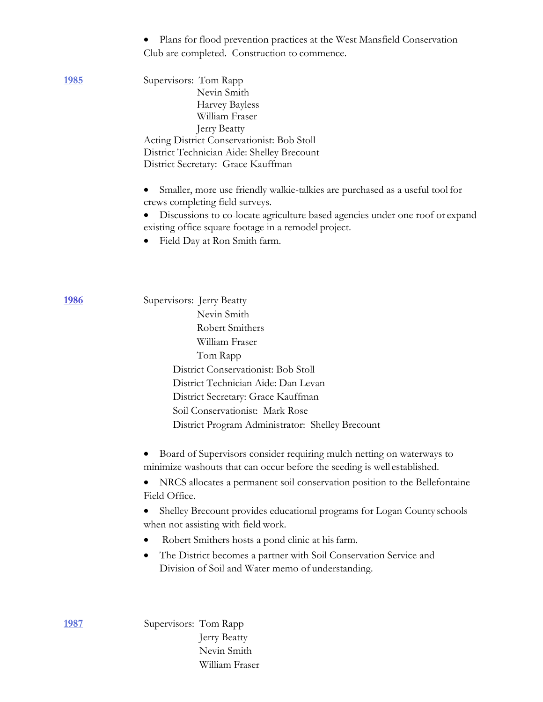|              | Plans for flood prevention practices at the West Mansfield Conservation<br>Club are completed. Construction to commence.                                                                                                                                                                                                                                                                                                                                                                                                                                                                             |
|--------------|------------------------------------------------------------------------------------------------------------------------------------------------------------------------------------------------------------------------------------------------------------------------------------------------------------------------------------------------------------------------------------------------------------------------------------------------------------------------------------------------------------------------------------------------------------------------------------------------------|
| <u> 1985</u> | Supervisors: Tom Rapp<br>Nevin Smith<br><b>Harvey Bayless</b><br>William Fraser<br>Jerry Beatty<br>Acting District Conservationist: Bob Stoll<br>District Technician Aide: Shelley Brecount<br>District Secretary: Grace Kauffman                                                                                                                                                                                                                                                                                                                                                                    |
|              | Smaller, more use friendly walkie-talkies are purchased as a useful tool for<br>crews completing field surveys.<br>Discussions to co-locate agriculture based agencies under one roof or expand<br>existing office square footage in a remodel project.<br>Field Day at Ron Smith farm.                                                                                                                                                                                                                                                                                                              |
| <u>1986</u>  | Supervisors: Jerry Beatty<br>Nevin Smith<br>Robert Smithers<br>William Fraser<br>Tom Rapp<br>District Conservationist: Bob Stoll<br>District Technician Aide: Dan Levan<br>District Secretary: Grace Kauffman<br>Soil Conservationist: Mark Rose                                                                                                                                                                                                                                                                                                                                                     |
|              | District Program Administrator: Shelley Brecount<br>Board of Supervisors consider requiring mulch netting on waterways to<br>minimize washouts that can occur before the seeding is well established.<br>NRCS allocates a permanent soil conservation position to the Bellefontaine<br>Field Office.<br>Shelley Brecount provides educational programs for Logan County schools<br>when not assisting with field work.<br>Robert Smithers hosts a pond clinic at his farm.<br>The District becomes a partner with Soil Conservation Service and<br>Division of Soil and Water memo of understanding. |
| 1987         | Supervisors: Tom Rapp<br>Jerry Beatty<br>Nevin Smith                                                                                                                                                                                                                                                                                                                                                                                                                                                                                                                                                 |

# William Fraser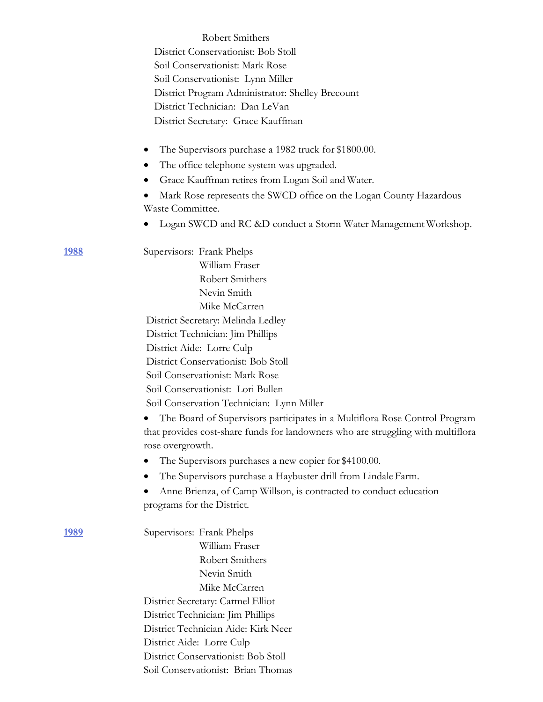|              | Robert Smithers                                                                                                                                                                    |
|--------------|------------------------------------------------------------------------------------------------------------------------------------------------------------------------------------|
|              | District Conservationist: Bob Stoll                                                                                                                                                |
|              | Soil Conservationist: Mark Rose                                                                                                                                                    |
|              | Soil Conservationist: Lynn Miller                                                                                                                                                  |
|              | District Program Administrator: Shelley Brecount                                                                                                                                   |
|              | District Technician: Dan LeVan                                                                                                                                                     |
|              | District Secretary: Grace Kauffman                                                                                                                                                 |
|              | The Supervisors purchase a 1982 truck for \$1800.00.<br>٠                                                                                                                          |
|              | The office telephone system was upgraded.                                                                                                                                          |
|              | Grace Kauffman retires from Logan Soil and Water.                                                                                                                                  |
|              | Mark Rose represents the SWCD office on the Logan County Hazardous                                                                                                                 |
|              | Waste Committee.                                                                                                                                                                   |
|              | Logan SWCD and RC &D conduct a Storm Water Management Workshop.                                                                                                                    |
| <u> 1988</u> | Supervisors: Frank Phelps                                                                                                                                                          |
|              | William Fraser                                                                                                                                                                     |
|              | Robert Smithers                                                                                                                                                                    |
|              | Nevin Smith                                                                                                                                                                        |
|              | Mike McCarren                                                                                                                                                                      |
|              | District Secretary: Melinda Ledley                                                                                                                                                 |
|              | District Technician: Jim Phillips                                                                                                                                                  |
|              | District Aide: Lorre Culp                                                                                                                                                          |
|              | District Conservationist: Bob Stoll                                                                                                                                                |
|              | Soil Conservationist: Mark Rose                                                                                                                                                    |
|              | Soil Conservationist: Lori Bullen                                                                                                                                                  |
|              | Soil Conservation Technician: Lynn Miller                                                                                                                                          |
|              | The Board of Supervisors participates in a Multiflora Rose Control Program<br>that provides cost-share funds for landowners who are struggling with multiflora<br>rose overgrowth. |
|              | The Supervisors purchases a new copier for \$4100.00.<br>$\bullet$                                                                                                                 |
|              | The Supervisors purchase a Haybuster drill from Lindale Farm.<br>$\bullet$                                                                                                         |
|              | Anne Brienza, of Camp Willson, is contracted to conduct education                                                                                                                  |
|              | programs for the District.                                                                                                                                                         |
| <u> 1989</u> | Supervisors: Frank Phelps                                                                                                                                                          |
|              | William Fraser                                                                                                                                                                     |
|              | Robert Smithers                                                                                                                                                                    |
|              | Nevin Smith                                                                                                                                                                        |
|              | Mike McCarren                                                                                                                                                                      |
|              | District Secretary: Carmel Elliot                                                                                                                                                  |
|              | District Technician: Jim Phillips                                                                                                                                                  |
|              | District Technician Aide: Kirk Neer                                                                                                                                                |
|              | District Aide: Lorre Culp                                                                                                                                                          |
|              | District Conservationist: Bob Stoll                                                                                                                                                |
|              | Soil Conservationist: Brian Thomas                                                                                                                                                 |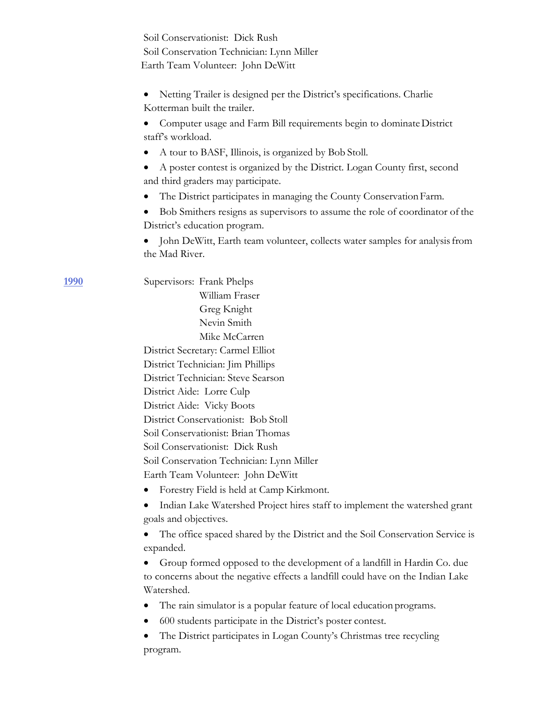| Soil Conservationist: Dick Rush                                                                                                                                          |  |
|--------------------------------------------------------------------------------------------------------------------------------------------------------------------------|--|
| Soil Conservation Technician: Lynn Miller                                                                                                                                |  |
| Earth Team Volunteer: John DeWitt                                                                                                                                        |  |
|                                                                                                                                                                          |  |
| Netting Trailer is designed per the District's specifications. Charlie                                                                                                   |  |
| Kotterman built the trailer.                                                                                                                                             |  |
| Computer usage and Farm Bill requirements begin to dominate District                                                                                                     |  |
| staff's workload.                                                                                                                                                        |  |
| A tour to BASF, Illinois, is organized by Bob Stoll.                                                                                                                     |  |
| A poster contest is organized by the District. Logan County first, second<br>and third graders may participate.                                                          |  |
| The District participates in managing the County Conservation Farm.                                                                                                      |  |
| Bob Smithers resigns as supervisors to assume the role of coordinator of the                                                                                             |  |
| District's education program.                                                                                                                                            |  |
| John DeWitt, Earth team volunteer, collects water samples for analysis from<br>the Mad River.                                                                            |  |
| Supervisors: Frank Phelps                                                                                                                                                |  |
| William Fraser                                                                                                                                                           |  |
| Greg Knight                                                                                                                                                              |  |
| Nevin Smith                                                                                                                                                              |  |
| Mike McCarren                                                                                                                                                            |  |
| District Secretary: Carmel Elliot                                                                                                                                        |  |
| District Technician: Jim Phillips                                                                                                                                        |  |
| District Technician: Steve Searson                                                                                                                                       |  |
| District Aide: Lorre Culp                                                                                                                                                |  |
| District Aide: Vicky Boots                                                                                                                                               |  |
| District Conservationist: Bob Stoll                                                                                                                                      |  |
| Soil Conservationist: Brian Thomas                                                                                                                                       |  |
| Soil Conservationist: Dick Rush                                                                                                                                          |  |
| Soil Conservation Technician: Lynn Miller                                                                                                                                |  |
| Earth Team Volunteer: John DeWitt                                                                                                                                        |  |
| Forestry Field is held at Camp Kirkmont.                                                                                                                                 |  |
| Indian Lake Watershed Project hires staff to implement the watershed grant<br>goals and objectives.                                                                      |  |
| The office spaced shared by the District and the Soil Conservation Service is<br>expanded.                                                                               |  |
| Group formed opposed to the development of a landfill in Hardin Co. due<br>to concerns about the negative effects a landfill could have on the Indian Lake<br>Watershed. |  |
| The rain simulator is a popular feature of local education programs.<br>$\bullet$                                                                                        |  |
| 600 students participate in the District's poster contest.                                                                                                               |  |
| The District participates in Logan County's Christmas tree recycling<br>program.                                                                                         |  |

**1990**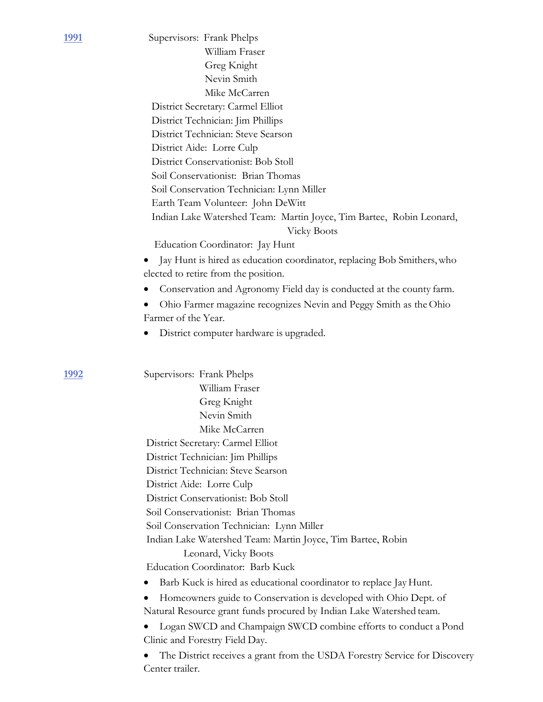|                           | Supervisors: Frank Phelps                                                                  |
|---------------------------|--------------------------------------------------------------------------------------------|
|                           | William Fraser                                                                             |
|                           | Greg Knight                                                                                |
|                           | Nevin Smith                                                                                |
|                           | Mike McCarren                                                                              |
|                           | District Secretary: Carmel Elliot                                                          |
|                           | District Technician: Jim Phillips                                                          |
|                           | District Technician: Steve Searson                                                         |
|                           | District Aide: Lorre Culp                                                                  |
|                           | District Conservationist: Bob Stoll                                                        |
|                           | Soil Conservationist: Brian Thomas                                                         |
|                           | Soil Conservation Technician: Lynn Miller                                                  |
|                           | Earth Team Volunteer: John DeWitt                                                          |
|                           | Indian Lake Watershed Team: Martin Joyce, Tim Bartee, Robin Leonard,<br><b>Vicky Boots</b> |
|                           | Education Coordinator: Jay Hunt                                                            |
|                           | Jay Hunt is hired as education coordinator, replacing Bob Smithers, who                    |
|                           | elected to retire from the position.                                                       |
|                           | Conservation and Agronomy Field day is conducted at the county farm.                       |
|                           |                                                                                            |
| Farmer of the Year.       | Ohio Farmer magazine recognizes Nevin and Peggy Smith as the Ohio                          |
|                           |                                                                                            |
|                           | District computer hardware is upgraded.                                                    |
|                           | William Fraser                                                                             |
|                           | Greg Knight                                                                                |
|                           | Nevin Smith                                                                                |
|                           | Mike McCarren                                                                              |
|                           | District Secretary: Carmel Elliot                                                          |
|                           | District Technician: Jim Phillips                                                          |
|                           | District Technician: Steve Searson                                                         |
| District Aide: Lorre Culp |                                                                                            |
|                           | District Conservationist: Bob Stoll                                                        |
|                           | Soil Conservationist: Brian Thomas                                                         |
|                           | Soil Conservation Technician: Lynn Miller                                                  |
|                           | Indian Lake Watershed Team: Martin Joyce, Tim Bartee, Robin                                |
|                           | Leonard, Vicky Boots                                                                       |
|                           | Education Coordinator: Barb Kuck                                                           |
|                           | Barb Kuck is hired as educational coordinator to replace Jay Hunt.                         |
|                           | Homeowners guide to Conservation is developed with Ohio Dept. of                           |
|                           | Natural Resource grant funds procured by Indian Lake Watershed team.                       |
|                           | Logan SWCD and Champaign SWCD combine efforts to conduct a Pond                            |
|                           | Clinic and Forestry Field Day.                                                             |
|                           | The District receives a grant from the USDA Forestry Service for Discovery                 |
| Center trailer.           |                                                                                            |
|                           |                                                                                            |

**1992** 

**1991**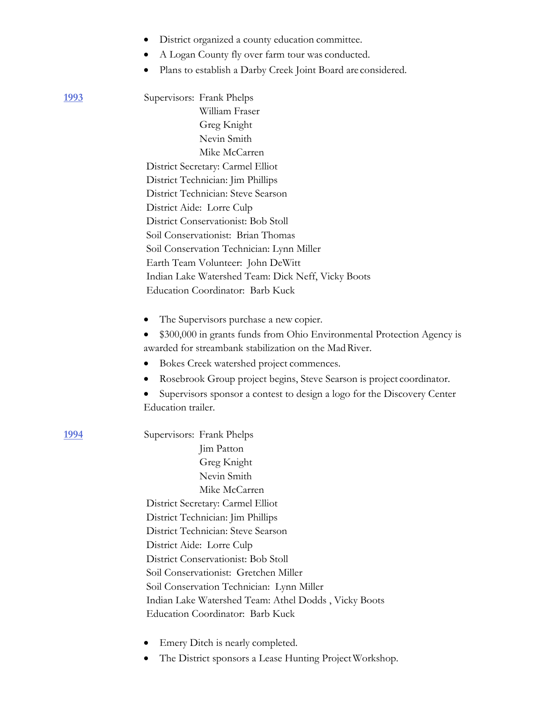|              | District organized a county education committee.                                              |  |  |  |  |
|--------------|-----------------------------------------------------------------------------------------------|--|--|--|--|
|              | A Logan County fly over farm tour was conducted.                                              |  |  |  |  |
|              | Plans to establish a Darby Creek Joint Board are considered.                                  |  |  |  |  |
| <u> 1993</u> | Supervisors: Frank Phelps                                                                     |  |  |  |  |
|              | William Fraser                                                                                |  |  |  |  |
|              | Greg Knight                                                                                   |  |  |  |  |
|              | Nevin Smith                                                                                   |  |  |  |  |
|              | Mike McCarren                                                                                 |  |  |  |  |
|              | District Secretary: Carmel Elliot                                                             |  |  |  |  |
|              | District Technician: Jim Phillips                                                             |  |  |  |  |
|              | District Technician: Steve Searson                                                            |  |  |  |  |
|              | District Aide: Lorre Culp                                                                     |  |  |  |  |
|              | District Conservationist: Bob Stoll                                                           |  |  |  |  |
|              | Soil Conservationist: Brian Thomas                                                            |  |  |  |  |
|              | Soil Conservation Technician: Lynn Miller                                                     |  |  |  |  |
|              | Earth Team Volunteer: John DeWitt                                                             |  |  |  |  |
|              | Indian Lake Watershed Team: Dick Neff, Vicky Boots                                            |  |  |  |  |
|              | Education Coordinator: Barb Kuck                                                              |  |  |  |  |
|              | The Supervisors purchase a new copier.                                                        |  |  |  |  |
|              | \$300,000 in grants funds from Ohio Environmental Protection Agency is                        |  |  |  |  |
|              | awarded for streambank stabilization on the Mad River.                                        |  |  |  |  |
|              | Bokes Creek watershed project commences.                                                      |  |  |  |  |
|              | Rosebrook Group project begins, Steve Searson is project coordinator.                         |  |  |  |  |
|              | Supervisors sponsor a contest to design a logo for the Discovery Center<br>Education trailer. |  |  |  |  |
| <u> 1994</u> | Supervisors: Frank Phelps                                                                     |  |  |  |  |
|              | Jim Patton                                                                                    |  |  |  |  |
|              | Greg Knight                                                                                   |  |  |  |  |
|              | Nevin Smith                                                                                   |  |  |  |  |
|              | Mike McCarren                                                                                 |  |  |  |  |
|              | District Secretary: Carmel Elliot                                                             |  |  |  |  |
|              | District Technician: Jim Phillips                                                             |  |  |  |  |
|              | District Technician: Steve Searson                                                            |  |  |  |  |
|              | District Aide: Lorre Culp                                                                     |  |  |  |  |
|              | District Conservationist: Bob Stoll                                                           |  |  |  |  |
|              | Soil Conservationist: Gretchen Miller                                                         |  |  |  |  |
|              | Soil Conservation Technician: Lynn Miller                                                     |  |  |  |  |
|              | Indian Lake Watershed Team: Athel Dodds, Vicky Boots                                          |  |  |  |  |
|              | Education Coordinator: Barb Kuck                                                              |  |  |  |  |
|              |                                                                                               |  |  |  |  |

- Emery Ditch is nearly completed.
- The District sponsors a Lease Hunting ProjectWorkshop.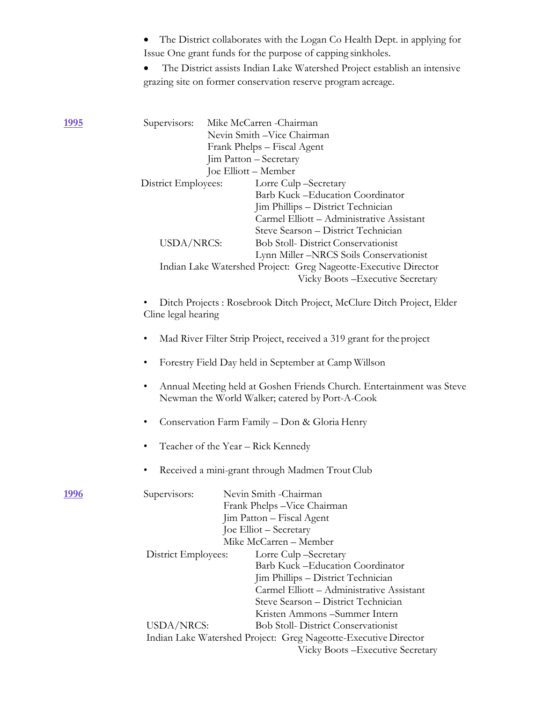|               | The District collaborates with the Logan Co Health Dept. in applying for<br>Issue One grant funds for the purpose of capping sinkholes.<br>The District assists Indian Lake Watershed Project establish an intensive<br>grazing site on former conservation reserve program acreage. |  |  |  |
|---------------|--------------------------------------------------------------------------------------------------------------------------------------------------------------------------------------------------------------------------------------------------------------------------------------|--|--|--|
|               |                                                                                                                                                                                                                                                                                      |  |  |  |
| <u> 1995 </u> | Supervisors:<br>Mike McCarren - Chairman<br>Nevin Smith - Vice Chairman<br>Frank Phelps - Fiscal Agent<br>Jim Patton - Secretary<br>Joe Elliott - Member                                                                                                                             |  |  |  |
|               | District Employees:<br>Lorre Culp-Secretary<br>Barb Kuck - Education Coordinator<br>Jim Phillips - District Technician<br>Carmel Elliott - Administrative Assistant<br>Steve Searson - District Technician                                                                           |  |  |  |
|               | USDA/NRCS:<br><b>Bob Stoll- District Conservationist</b><br>Lynn Miller -NRCS Soils Conservationist                                                                                                                                                                                  |  |  |  |
|               | Indian Lake Watershed Project: Greg Nageotte-Executive Director<br>Vicky Boots - Executive Secretary                                                                                                                                                                                 |  |  |  |
|               | Ditch Projects: Rosebrook Ditch Project, McClure Ditch Project, Elder<br>Cline legal hearing                                                                                                                                                                                         |  |  |  |
|               | Mad River Filter Strip Project, received a 319 grant for the project                                                                                                                                                                                                                 |  |  |  |
|               | Forestry Field Day held in September at Camp Willson                                                                                                                                                                                                                                 |  |  |  |
|               | Annual Meeting held at Goshen Friends Church. Entertainment was Steve<br>Newman the World Walker; catered by Port-A-Cook                                                                                                                                                             |  |  |  |
|               | Conservation Farm Family - Don & Gloria Henry                                                                                                                                                                                                                                        |  |  |  |
|               | Teacher of the Year – Rick Kennedy                                                                                                                                                                                                                                                   |  |  |  |
|               | Received a mini-grant through Madmen Trout Club                                                                                                                                                                                                                                      |  |  |  |
| <u> 1996</u>  | Nevin Smith - Chairman<br>Supervisors:<br>Frank Phelps - Vice Chairman<br>Jim Patton - Fiscal Agent<br>Joe Elliot – Secretary<br>Mike McCarren - Member                                                                                                                              |  |  |  |
|               | Lorre Culp-Secretary<br>District Employees:<br>Barb Kuck - Education Coordinator<br>Jim Phillips - District Technician<br>Carmel Elliott - Administrative Assistant<br>Steve Searson - District Technician                                                                           |  |  |  |

Kristen Ammons –Summer Intern USDA/NRCS: Bob Stoll- District Conservationist Indian Lake Watershed Project: Greg Nageotte-Executive Director Vicky Boots –Executive Secretary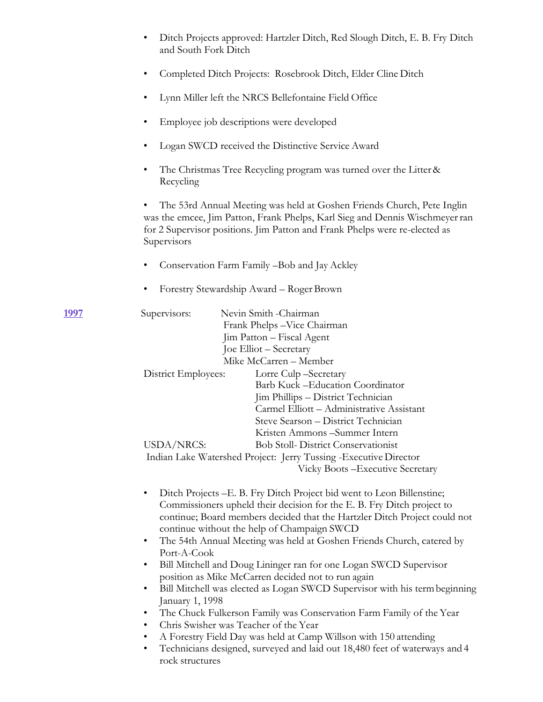|               | Ditch Projects approved: Hartzler Ditch, Red Slough Ditch, E. B. Fry Ditch<br>and South Fork Ditch                                                                                                                                                                                                                                                                                                                                                                                                                                                                                                                                                                                                                                                                                                                                                                                                                                                            |
|---------------|---------------------------------------------------------------------------------------------------------------------------------------------------------------------------------------------------------------------------------------------------------------------------------------------------------------------------------------------------------------------------------------------------------------------------------------------------------------------------------------------------------------------------------------------------------------------------------------------------------------------------------------------------------------------------------------------------------------------------------------------------------------------------------------------------------------------------------------------------------------------------------------------------------------------------------------------------------------|
|               | Completed Ditch Projects: Rosebrook Ditch, Elder Cline Ditch<br>٠                                                                                                                                                                                                                                                                                                                                                                                                                                                                                                                                                                                                                                                                                                                                                                                                                                                                                             |
|               | Lynn Miller left the NRCS Bellefontaine Field Office<br>٠                                                                                                                                                                                                                                                                                                                                                                                                                                                                                                                                                                                                                                                                                                                                                                                                                                                                                                     |
|               | Employee job descriptions were developed<br>٠                                                                                                                                                                                                                                                                                                                                                                                                                                                                                                                                                                                                                                                                                                                                                                                                                                                                                                                 |
|               | Logan SWCD received the Distinctive Service Award<br>٠                                                                                                                                                                                                                                                                                                                                                                                                                                                                                                                                                                                                                                                                                                                                                                                                                                                                                                        |
|               | The Christmas Tree Recycling program was turned over the Litter &<br>٠<br>Recycling                                                                                                                                                                                                                                                                                                                                                                                                                                                                                                                                                                                                                                                                                                                                                                                                                                                                           |
|               | The 53rd Annual Meeting was held at Goshen Friends Church, Pete Inglin<br>was the emcee, Jim Patton, Frank Phelps, Karl Sieg and Dennis Wischmeyer ran<br>for 2 Supervisor positions. Jim Patton and Frank Phelps were re-elected as<br>Supervisors                                                                                                                                                                                                                                                                                                                                                                                                                                                                                                                                                                                                                                                                                                           |
|               | Conservation Farm Family -Bob and Jay Ackley<br>٠                                                                                                                                                                                                                                                                                                                                                                                                                                                                                                                                                                                                                                                                                                                                                                                                                                                                                                             |
|               | Forestry Stewardship Award - Roger Brown<br>٠                                                                                                                                                                                                                                                                                                                                                                                                                                                                                                                                                                                                                                                                                                                                                                                                                                                                                                                 |
| <u> 1997 </u> | Nevin Smith -Chairman<br>Supervisors:<br>Frank Phelps - Vice Chairman<br>Jim Patton - Fiscal Agent<br>Joe Elliot – Secretary<br>Mike McCarren - Member                                                                                                                                                                                                                                                                                                                                                                                                                                                                                                                                                                                                                                                                                                                                                                                                        |
|               | District Employees:<br>Lorre Culp-Secretary<br>Barb Kuck -Education Coordinator<br>Jim Phillips - District Technician<br>Carmel Elliott - Administrative Assistant<br>Steve Searson - District Technician<br>Kristen Ammons-Summer Intern<br>USDA/NRCS:<br><b>Bob Stoll- District Conservationist</b><br>Indian Lake Watershed Project: Jerry Tussing - Executive Director<br>Vicky Boots - Executive Secretary                                                                                                                                                                                                                                                                                                                                                                                                                                                                                                                                               |
|               | Ditch Projects - E. B. Fry Ditch Project bid went to Leon Billenstine;<br>$\bullet$<br>Commissioners upheld their decision for the E. B. Fry Ditch project to<br>continue; Board members decided that the Hartzler Ditch Project could not<br>continue without the help of Champaign SWCD<br>The 54th Annual Meeting was held at Goshen Friends Church, catered by<br>$\bullet$<br>Port-A-Cook<br>Bill Mitchell and Doug Lininger ran for one Logan SWCD Supervisor<br>٠<br>position as Mike McCarren decided not to run again<br>Bill Mitchell was elected as Logan SWCD Supervisor with his term beginning<br>$\bullet$<br>January 1, 1998<br>The Chuck Fulkerson Family was Conservation Farm Family of the Year<br>٠<br>Chris Swisher was Teacher of the Year<br>$\bullet$<br>A Forestry Field Day was held at Camp Willson with 150 attending<br>٠<br>Technicians designed, surveyed and laid out 18,480 feet of waterways and 4<br>٠<br>rock structures |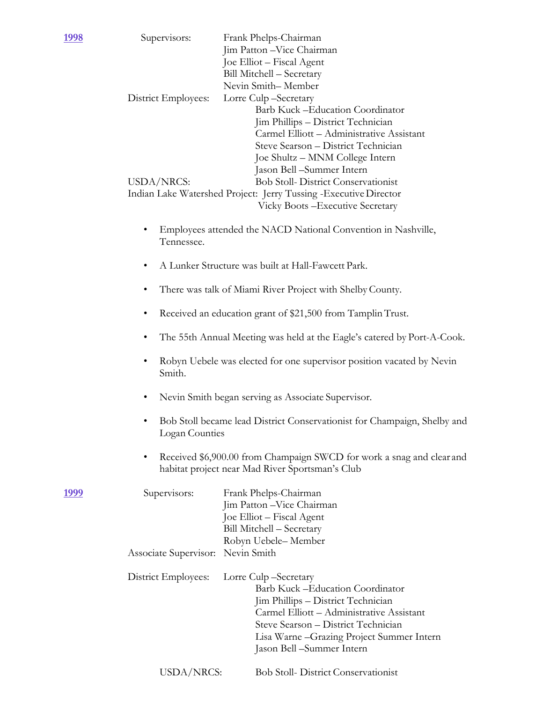| <u> 1998</u> | Supervisors:                                                                                                                  | Frank Phelps-Chairman<br>Jim Patton - Vice Chairman<br>Joe Elliot - Fiscal Agent<br>Bill Mitchell - Secretary                                                                                                                                                  |  |  |  |  |
|--------------|-------------------------------------------------------------------------------------------------------------------------------|----------------------------------------------------------------------------------------------------------------------------------------------------------------------------------------------------------------------------------------------------------------|--|--|--|--|
|              | District Employees:                                                                                                           | Nevin Smith-Member<br>Lorre Culp-Secretary<br>Barb Kuck -Education Coordinator<br>Jim Phillips - District Technician<br>Carmel Elliott - Administrative Assistant<br>Steve Searson - District Technician<br>Joe Shultz - MNM College Intern                    |  |  |  |  |
|              | USDA/NRCS:                                                                                                                    | Jason Bell -Summer Intern<br><b>Bob Stoll- District Conservationist</b><br>Indian Lake Watershed Project: Jerry Tussing - Executive Director<br>Vicky Boots - Executive Secretary                                                                              |  |  |  |  |
|              | Tennessee.                                                                                                                    | Employees attended the NACD National Convention in Nashville,                                                                                                                                                                                                  |  |  |  |  |
|              |                                                                                                                               | A Lunker Structure was built at Hall-Fawcett Park.                                                                                                                                                                                                             |  |  |  |  |
|              | There was talk of Miami River Project with Shelby County.<br>٠                                                                |                                                                                                                                                                                                                                                                |  |  |  |  |
|              | Received an education grant of \$21,500 from Tamplin Trust.<br>٠                                                              |                                                                                                                                                                                                                                                                |  |  |  |  |
|              | ٠                                                                                                                             | The 55th Annual Meeting was held at the Eagle's catered by Port-A-Cook.                                                                                                                                                                                        |  |  |  |  |
|              | Robyn Uebele was elected for one supervisor position vacated by Nevin<br>Smith.                                               |                                                                                                                                                                                                                                                                |  |  |  |  |
|              | Nevin Smith began serving as Associate Supervisor.<br>٠                                                                       |                                                                                                                                                                                                                                                                |  |  |  |  |
|              | Bob Stoll became lead District Conservationist for Champaign, Shelby and<br>٠<br>Logan Counties                               |                                                                                                                                                                                                                                                                |  |  |  |  |
|              | Received \$6,900.00 from Champaign SWCD for work a snag and clear and<br>٠<br>habitat project near Mad River Sportsman's Club |                                                                                                                                                                                                                                                                |  |  |  |  |
| <u> 1999</u> | Supervisors:                                                                                                                  | Frank Phelps-Chairman<br>Jim Patton - Vice Chairman<br>Joe Elliot - Fiscal Agent<br>Bill Mitchell - Secretary<br>Robyn Uebele-Member                                                                                                                           |  |  |  |  |
|              | Associate Supervisor: Nevin Smith                                                                                             |                                                                                                                                                                                                                                                                |  |  |  |  |
|              | District Employees:                                                                                                           | Lorre Culp-Secretary<br>Barb Kuck – Education Coordinator<br>Jim Phillips - District Technician<br>Carmel Elliott - Administrative Assistant<br>Steve Searson - District Technician<br>Lisa Warne - Grazing Project Summer Intern<br>Jason Bell –Summer Intern |  |  |  |  |
|              | USDA/NRCS:                                                                                                                    | <b>Bob Stoll- District Conservationist</b>                                                                                                                                                                                                                     |  |  |  |  |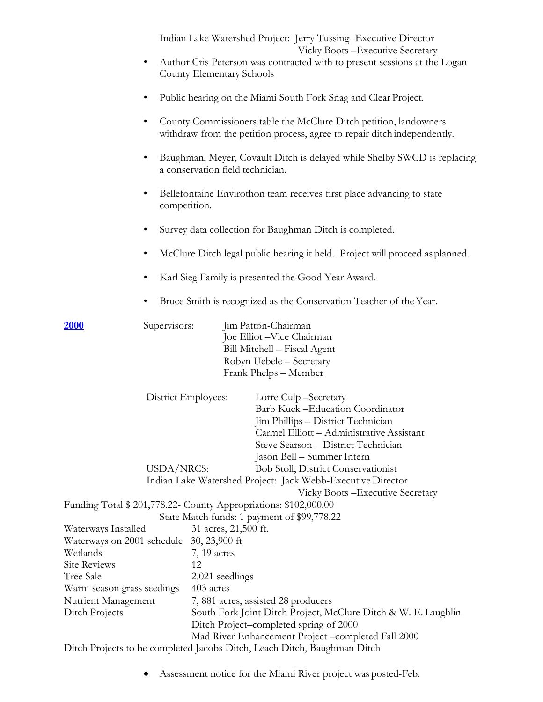|                                                                     | ٠                                                                                                                                                                                                                                                                                                                                                                                     | County Elementary Schools              | Indian Lake Watershed Project: Jerry Tussing - Executive Director<br>Vicky Boots - Executive Secretary<br>Author Cris Peterson was contracted with to present sessions at the Logan                                                                                                                                           |  |
|---------------------------------------------------------------------|---------------------------------------------------------------------------------------------------------------------------------------------------------------------------------------------------------------------------------------------------------------------------------------------------------------------------------------------------------------------------------------|----------------------------------------|-------------------------------------------------------------------------------------------------------------------------------------------------------------------------------------------------------------------------------------------------------------------------------------------------------------------------------|--|
|                                                                     | ٠                                                                                                                                                                                                                                                                                                                                                                                     |                                        | Public hearing on the Miami South Fork Snag and Clear Project.                                                                                                                                                                                                                                                                |  |
|                                                                     | County Commissioners table the McClure Ditch petition, landowners<br>$\bullet$<br>withdraw from the petition process, agree to repair ditch independently.<br>Baughman, Meyer, Covault Ditch is delayed while Shelby SWCD is replacing<br>٠<br>a conservation field technician.<br>Bellefontaine Envirothon team receives first place advancing to state<br>$\bullet$<br>competition. |                                        |                                                                                                                                                                                                                                                                                                                               |  |
|                                                                     |                                                                                                                                                                                                                                                                                                                                                                                       |                                        |                                                                                                                                                                                                                                                                                                                               |  |
|                                                                     |                                                                                                                                                                                                                                                                                                                                                                                       |                                        |                                                                                                                                                                                                                                                                                                                               |  |
|                                                                     | ٠                                                                                                                                                                                                                                                                                                                                                                                     |                                        | Survey data collection for Baughman Ditch is completed.                                                                                                                                                                                                                                                                       |  |
|                                                                     | ٠                                                                                                                                                                                                                                                                                                                                                                                     |                                        | McClure Ditch legal public hearing it held. Project will proceed as planned.                                                                                                                                                                                                                                                  |  |
|                                                                     | Karl Sieg Family is presented the Good Year Award.<br>$\bullet$                                                                                                                                                                                                                                                                                                                       |                                        |                                                                                                                                                                                                                                                                                                                               |  |
|                                                                     | Bruce Smith is recognized as the Conservation Teacher of the Year.                                                                                                                                                                                                                                                                                                                    |                                        |                                                                                                                                                                                                                                                                                                                               |  |
| <u> 2000</u>                                                        | Supervisors:                                                                                                                                                                                                                                                                                                                                                                          |                                        | Jim Patton-Chairman<br>Joe Elliot - Vice Chairman<br>Bill Mitchell - Fiscal Agent<br>Robyn Uebele - Secretary<br>Frank Phelps - Member                                                                                                                                                                                        |  |
|                                                                     | District Employees:<br>USDA/NRCS:                                                                                                                                                                                                                                                                                                                                                     |                                        | Lorre Culp-Secretary<br>Barb Kuck -Education Coordinator<br>Jim Phillips - District Technician<br>Carmel Elliott - Administrative Assistant<br>Steve Searson - District Technician<br>Jason Bell – Summer Intern<br><b>Bob Stoll, District Conservationist</b><br>Indian Lake Watershed Project: Jack Webb-Executive Director |  |
|                                                                     |                                                                                                                                                                                                                                                                                                                                                                                       |                                        | Vicky Boots – Executive Secretary<br>Funding Total \$ 201,778.22- County Appropriations: \$102,000.00                                                                                                                                                                                                                         |  |
| Waterways Installed<br>Waterways on 2001 schedule 30, 23,900 ft     |                                                                                                                                                                                                                                                                                                                                                                                       | 31 acres, 21,500 ft.                   | State Match funds: 1 payment of \$99,778.22                                                                                                                                                                                                                                                                                   |  |
| Wetlands<br><b>Site Reviews</b><br>Tree Sale                        |                                                                                                                                                                                                                                                                                                                                                                                       | $7, 19$ acres<br>12<br>2,021 seedlings |                                                                                                                                                                                                                                                                                                                               |  |
| Warm season grass seedings<br>Nutrient Management<br>Ditch Projects |                                                                                                                                                                                                                                                                                                                                                                                       | 403 acres                              | 7,881 acres, assisted 28 producers<br>South Fork Joint Ditch Project, McClure Ditch & W. E. Laughlin<br>Ditch Project-completed spring of 2000<br>Mad River Enhancement Project-completed Fall 2000                                                                                                                           |  |

Ditch Projects to be completed Jacobs Ditch, Leach Ditch, Baughman Ditch

• Assessment notice for the Miami River project was posted-Feb.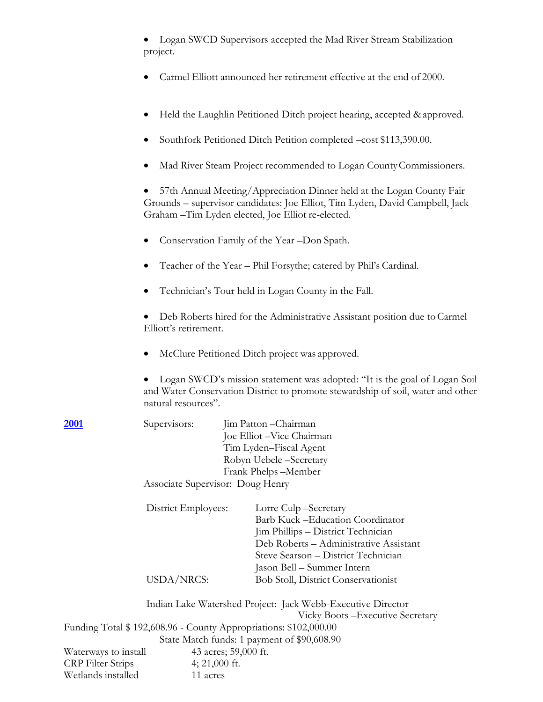|                                                     | project.                                                                                                                                                                                                    | Logan SWCD Supervisors accepted the Mad River Stream Stabilization                                                                                                                                            |  |  |  |
|-----------------------------------------------------|-------------------------------------------------------------------------------------------------------------------------------------------------------------------------------------------------------------|---------------------------------------------------------------------------------------------------------------------------------------------------------------------------------------------------------------|--|--|--|
|                                                     | Carmel Elliott announced her retirement effective at the end of 2000.                                                                                                                                       |                                                                                                                                                                                                               |  |  |  |
|                                                     |                                                                                                                                                                                                             | Held the Laughlin Petitioned Ditch project hearing, accepted & approved.                                                                                                                                      |  |  |  |
|                                                     |                                                                                                                                                                                                             | Southfork Petitioned Ditch Petition completed -cost \$113,390.00.                                                                                                                                             |  |  |  |
|                                                     |                                                                                                                                                                                                             | Mad River Steam Project recommended to Logan County Commissioners.                                                                                                                                            |  |  |  |
|                                                     | 57th Annual Meeting/Appreciation Dinner held at the Logan County Fair<br>Grounds - supervisor candidates: Joe Elliot, Tim Lyden, David Campbell, Jack<br>Graham - Tim Lyden elected, Joe Elliot re-elected. |                                                                                                                                                                                                               |  |  |  |
|                                                     |                                                                                                                                                                                                             | Conservation Family of the Year -Don Spath.                                                                                                                                                                   |  |  |  |
|                                                     |                                                                                                                                                                                                             | Teacher of the Year - Phil Forsythe; catered by Phil's Cardinal.                                                                                                                                              |  |  |  |
| Technician's Tour held in Logan County in the Fall. |                                                                                                                                                                                                             |                                                                                                                                                                                                               |  |  |  |
|                                                     | Elliott's retirement.                                                                                                                                                                                       | Deb Roberts hired for the Administrative Assistant position due to Carmel                                                                                                                                     |  |  |  |
|                                                     |                                                                                                                                                                                                             | McClure Petitioned Ditch project was approved.                                                                                                                                                                |  |  |  |
|                                                     | natural resources".                                                                                                                                                                                         | Logan SWCD's mission statement was adopted: "It is the goal of Logan Soil<br>and Water Conservation District to promote stewardship of soil, water and other                                                  |  |  |  |
| <b>2001</b>                                         | Supervisors:                                                                                                                                                                                                | Jim Patton - Chairman<br>Joe Elliot - Vice Chairman<br>Tim Lyden-Fiscal Agent<br>Robyn Uebele -Secretary                                                                                                      |  |  |  |
|                                                     | Frank Phelps-Member<br>Associate Supervisor: Doug Henry                                                                                                                                                     |                                                                                                                                                                                                               |  |  |  |
|                                                     | District Employees:                                                                                                                                                                                         | Lorre Culp-Secretary<br>Barb Kuck -Education Coordinator<br>Jim Phillips - District Technician<br>Deb Roberts - Administrative Assistant<br>Steve Searson - District Technician<br>Jason Bell – Summer Intern |  |  |  |
|                                                     | USDA/NRCS:                                                                                                                                                                                                  | <b>Bob Stoll, District Conservationist</b>                                                                                                                                                                    |  |  |  |
|                                                     | Indian Lake Watershed Project: Jack Webb-Executive Director<br>Vicky Boots - Executive Secretary                                                                                                            |                                                                                                                                                                                                               |  |  |  |
|                                                     |                                                                                                                                                                                                             | Funding Total \$192,608.96 - County Appropriations: \$102,000.00<br>State Match funds: 1 payment of \$90,608.90                                                                                               |  |  |  |
| Waterways to install                                |                                                                                                                                                                                                             | 43 acres; 59,000 ft.<br>$\Omega$                                                                                                                                                                              |  |  |  |

CRP Filter Strips 4; 21,000 ft. Wetlands installed 11 acres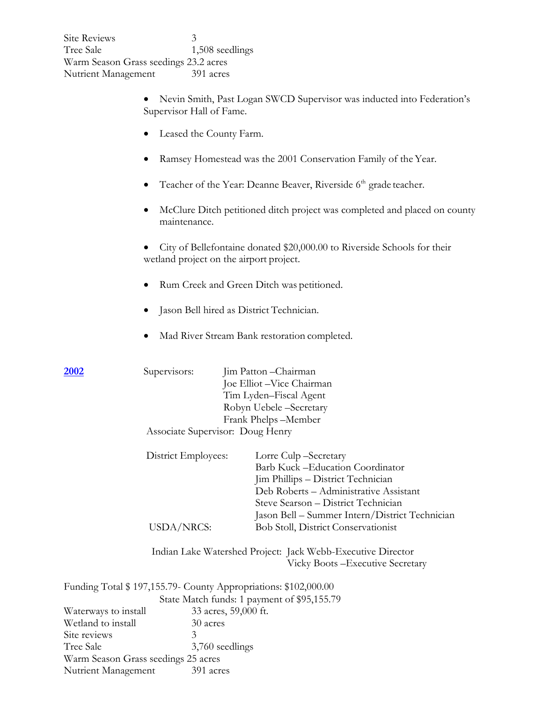| <b>Site Reviews</b><br>Tree Sale<br>Nutrient Management    | 3<br>1,508 seedlings<br>Warm Season Grass seedings 23.2 acres<br>391 acres |                                                                                                                                                                                                                                   |  |  |  |
|------------------------------------------------------------|----------------------------------------------------------------------------|-----------------------------------------------------------------------------------------------------------------------------------------------------------------------------------------------------------------------------------|--|--|--|
|                                                            | Supervisor Hall of Fame.                                                   | Nevin Smith, Past Logan SWCD Supervisor was inducted into Federation's                                                                                                                                                            |  |  |  |
|                                                            | Leased the County Farm.                                                    |                                                                                                                                                                                                                                   |  |  |  |
|                                                            |                                                                            | Ramsey Homestead was the 2001 Conservation Family of the Year.                                                                                                                                                                    |  |  |  |
|                                                            |                                                                            | Teacher of the Year: Deanne Beaver, Riverside 6 <sup>th</sup> grade teacher.                                                                                                                                                      |  |  |  |
|                                                            | maintenance.                                                               | McClure Ditch petitioned ditch project was completed and placed on county                                                                                                                                                         |  |  |  |
|                                                            | wetland project on the airport project.                                    | City of Bellefontaine donated \$20,000.00 to Riverside Schools for their                                                                                                                                                          |  |  |  |
|                                                            | Rum Creek and Green Ditch was petitioned.                                  |                                                                                                                                                                                                                                   |  |  |  |
|                                                            |                                                                            | Jason Bell hired as District Technician.                                                                                                                                                                                          |  |  |  |
|                                                            |                                                                            | Mad River Stream Bank restoration completed.                                                                                                                                                                                      |  |  |  |
| <u>2002</u>                                                | Supervisors:                                                               | Jim Patton - Chairman<br>Joe Elliot - Vice Chairman<br>Tim Lyden-Fiscal Agent<br>Robyn Uebele -Secretary<br>Frank Phelps-Member                                                                                                   |  |  |  |
|                                                            | Associate Supervisor: Doug Henry                                           |                                                                                                                                                                                                                                   |  |  |  |
|                                                            | District Employees:                                                        | Lorre Culp-Secretary<br>Barb Kuck -Education Coordinator<br>Jim Phillips - District Technician<br>Deb Roberts - Administrative Assistant<br>Steve Searson - District Technician<br>Jason Bell - Summer Intern/District Technician |  |  |  |
|                                                            | <b>USDA/NRCS:</b>                                                          | <b>Bob Stoll, District Conservationist</b>                                                                                                                                                                                        |  |  |  |
|                                                            |                                                                            | Indian Lake Watershed Project: Jack Webb-Executive Director<br>Vicky Boots - Executive Secretary                                                                                                                                  |  |  |  |
|                                                            |                                                                            | Funding Total \$197,155.79 County Appropriations: \$102,000.00                                                                                                                                                                    |  |  |  |
|                                                            |                                                                            | State Match funds: 1 payment of \$95,155.79                                                                                                                                                                                       |  |  |  |
| Waterways to install<br>Wetland to install<br>Site reviews | 30 acres<br>3                                                              | 33 acres, 59,000 ft.                                                                                                                                                                                                              |  |  |  |
| Tree Sale                                                  | 3,760 seedlings                                                            |                                                                                                                                                                                                                                   |  |  |  |
| Warm Season Grass seedings 25 acres<br>Nutrient Management | 391 acres                                                                  |                                                                                                                                                                                                                                   |  |  |  |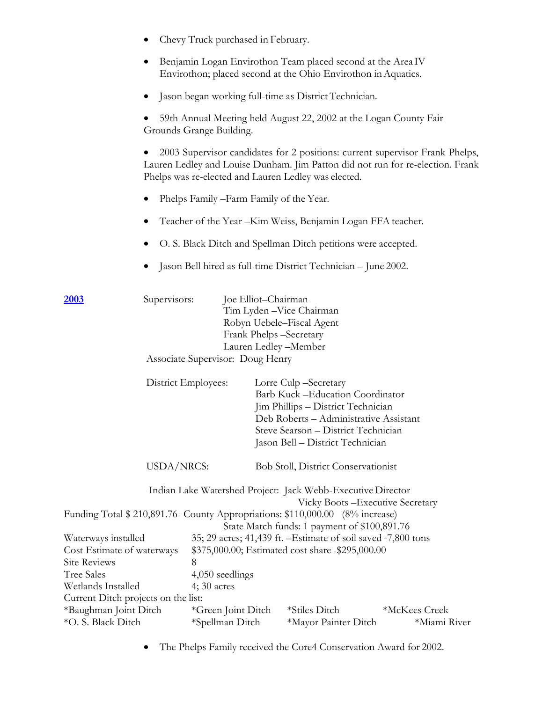|                                                                                                                                                                 | ٠                                                                                                | Chevy Truck purchased in February.                                                                                                                   |                                                                                                                                   |                                                                                                                                                                                             |                                                                                                                                                                |
|-----------------------------------------------------------------------------------------------------------------------------------------------------------------|--------------------------------------------------------------------------------------------------|------------------------------------------------------------------------------------------------------------------------------------------------------|-----------------------------------------------------------------------------------------------------------------------------------|---------------------------------------------------------------------------------------------------------------------------------------------------------------------------------------------|----------------------------------------------------------------------------------------------------------------------------------------------------------------|
|                                                                                                                                                                 | $\bullet$                                                                                        | Benjamin Logan Envirothon Team placed second at the Area IV<br>Envirothon; placed second at the Ohio Envirothon in Aquatics.                         |                                                                                                                                   |                                                                                                                                                                                             |                                                                                                                                                                |
|                                                                                                                                                                 | $\bullet$                                                                                        | Jason began working full-time as District Technician.                                                                                                |                                                                                                                                   |                                                                                                                                                                                             |                                                                                                                                                                |
|                                                                                                                                                                 | $\bullet$                                                                                        | 59th Annual Meeting held August 22, 2002 at the Logan County Fair<br>Grounds Grange Building.                                                        |                                                                                                                                   |                                                                                                                                                                                             |                                                                                                                                                                |
|                                                                                                                                                                 |                                                                                                  | Phelps was re-elected and Lauren Ledley was elected.                                                                                                 |                                                                                                                                   |                                                                                                                                                                                             | 2003 Supervisor candidates for 2 positions: current supervisor Frank Phelps,<br>Lauren Ledley and Louise Dunham. Jim Patton did not run for re-election. Frank |
|                                                                                                                                                                 | $\bullet$                                                                                        | Phelps Family - Farm Family of the Year.                                                                                                             |                                                                                                                                   |                                                                                                                                                                                             |                                                                                                                                                                |
|                                                                                                                                                                 | ٠                                                                                                | Teacher of the Year - Kim Weiss, Benjamin Logan FFA teacher.                                                                                         |                                                                                                                                   |                                                                                                                                                                                             |                                                                                                                                                                |
|                                                                                                                                                                 | ٠                                                                                                | O. S. Black Ditch and Spellman Ditch petitions were accepted.                                                                                        |                                                                                                                                   |                                                                                                                                                                                             |                                                                                                                                                                |
|                                                                                                                                                                 | $\bullet$                                                                                        | Jason Bell hired as full-time District Technician - June 2002.                                                                                       |                                                                                                                                   |                                                                                                                                                                                             |                                                                                                                                                                |
| 2003                                                                                                                                                            | Supervisors:                                                                                     | Associate Supervisor: Doug Henry                                                                                                                     | Joe Elliot-Chairman<br>Tim Lyden - Vice Chairman<br>Robyn Uebele-Fiscal Agent<br>Frank Phelps -Secretary<br>Lauren Ledley -Member |                                                                                                                                                                                             |                                                                                                                                                                |
|                                                                                                                                                                 |                                                                                                  | District Employees:                                                                                                                                  | Lorre Culp -Secretary                                                                                                             | Barb Kuck -Education Coordinator<br>Jim Phillips - District Technician<br>Deb Roberts - Administrative Assistant<br>Steve Searson - District Technician<br>Jason Bell - District Technician |                                                                                                                                                                |
|                                                                                                                                                                 | USDA/NRCS:                                                                                       |                                                                                                                                                      | <b>Bob Stoll, District Conservationist</b>                                                                                        |                                                                                                                                                                                             |                                                                                                                                                                |
|                                                                                                                                                                 | Indian Lake Watershed Project: Jack Webb-Executive Director<br>Vicky Boots - Executive Secretary |                                                                                                                                                      |                                                                                                                                   |                                                                                                                                                                                             |                                                                                                                                                                |
|                                                                                                                                                                 |                                                                                                  | Funding Total \$210,891.76- County Appropriations: \$110,000.00 (8% increase)                                                                        |                                                                                                                                   | State Match funds: 1 payment of \$100,891.76                                                                                                                                                |                                                                                                                                                                |
| Waterways installed<br>Cost Estimate of waterways<br><b>Site Reviews</b><br>8<br><b>Tree Sales</b><br>Wetlands Installed<br>Current Ditch projects on the list: |                                                                                                  | 35; 29 acres; 41,439 ft. - Estimate of soil saved -7,800 tons<br>\$375,000.00; Estimated cost share -\$295,000.00<br>4,050 seedlings<br>$4;30$ acres |                                                                                                                                   |                                                                                                                                                                                             |                                                                                                                                                                |
| *Baughman Joint Ditch<br>*O. S. Black Ditch                                                                                                                     |                                                                                                  | *Green Joint Ditch<br>*Spellman Ditch                                                                                                                |                                                                                                                                   | *Stiles Ditch<br>*Mayor Painter Ditch                                                                                                                                                       | *McKees Creek<br>*Miami River                                                                                                                                  |

• The Phelps Family received the Core4 Conservation Award for 2002.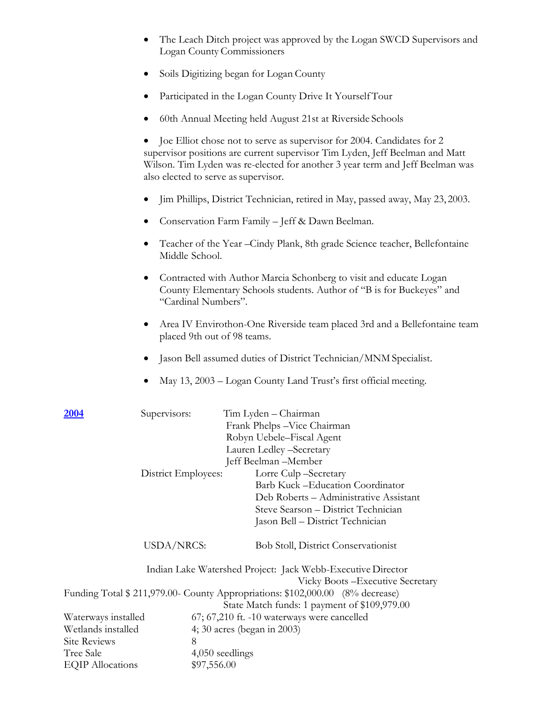- The Leach Ditch project was approved by the Logan SWCD Supervisors and Logan County Commissioners
- Soils Digitizing began for Logan County
- Participated in the Logan County Drive It Yourself Tour
- 60th Annual Meeting held August 21st at Riverside Schools

• Joe Elliot chose not to serve as supervisor for 2004. Candidates for 2 supervisor positions are current supervisor Tim Lyden, Jeff Beelman and Matt Wilson. Tim Lyden was re-elected for another 3 year term and Jeff Beelman was also elected to serve as supervisor.

- Jim Phillips, District Technician, retired in May, passed away, May 23, 2003.
- Conservation Farm Family Jeff & Dawn Beelman.
- Teacher of the Year –Cindy Plank, 8th grade Science teacher, Bellefontaine Middle School.
- Contracted with Author Marcia Schonberg to visit and educate Logan County Elementary Schools students. Author of "B is for Buckeyes" and "Cardinal Numbers".
- Area IV Envirothon-One Riverside team placed 3rd and a Bellefontaine team placed 9th out of 98 teams.
- Jason Bell assumed duties of District Technician/MNM Specialist.
- May 13, 2003 Logan County Land Trust's first official meeting.

| Tim Lyden - Chairman                                                           |  |  |
|--------------------------------------------------------------------------------|--|--|
| Frank Phelps - Vice Chairman                                                   |  |  |
| Robyn Uebele–Fiscal Agent                                                      |  |  |
| Lauren Ledley -Secretary                                                       |  |  |
| Jeff Beelman -Member                                                           |  |  |
| Lorre Culp-Secretary<br>District Employees:                                    |  |  |
| Barb Kuck - Education Coordinator                                              |  |  |
| Deb Roberts - Administrative Assistant                                         |  |  |
| Steve Searson - District Technician                                            |  |  |
| Jason Bell – District Technician                                               |  |  |
| <b>USDA/NRCS:</b><br><b>Bob Stoll, District Conservationist</b>                |  |  |
| Indian Lake Watershed Project: Jack Webb-Executive Director                    |  |  |
| Vicky Boots – Executive Secretary                                              |  |  |
| Funding Total \$ 211,979.00- County Appropriations: \$102,000.00 (8% decrease) |  |  |
| State Match funds: 1 payment of \$109,979.00                                   |  |  |
| 67; 67,210 ft. -10 waterways were cancelled                                    |  |  |
| Waterways installed<br>Wetlands installed<br>4; 30 acres (began in 2003)       |  |  |
|                                                                                |  |  |
| 4,050 seedlings                                                                |  |  |
| \$97,556.00                                                                    |  |  |
|                                                                                |  |  |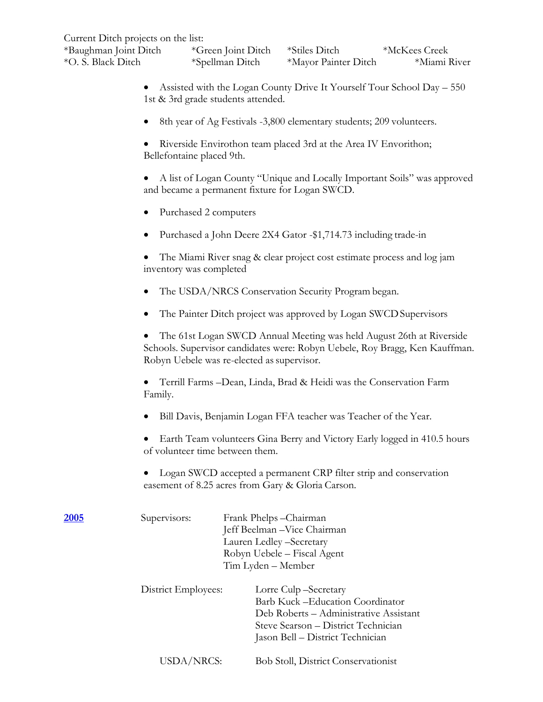| Current Ditch projects on the list: |  |  |  |
|-------------------------------------|--|--|--|
|                                     |  |  |  |

| *Baughman Joint Ditch | *Green Joint Ditch | *Stiles Ditch        | *McKees Creek |
|-----------------------|--------------------|----------------------|---------------|
| *O. S. Black Ditch    | *Spellman Ditch    | *Mayor Painter Ditch | *Miami River  |

- Assisted with the Logan County Drive It Yourself Tour School Day 550 1st & 3rd grade students attended.
- 8th year of Ag Festivals -3,800 elementary students; 209 volunteers.
- Riverside Envirothon team placed 3rd at the Area IV Envorithon; Bellefontaine placed 9th.
- A list of Logan County "Unique and Locally Important Soils" was approved and became a permanent fixture for Logan SWCD.
- Purchased 2 computers
- Purchased a John Deere 2X4 Gator -\$1,714.73 including trade-in

• The Miami River snag & clear project cost estimate process and log jam inventory was completed

- The USDA/NRCS Conservation Security Program began.
- The Painter Ditch project was approved by Logan SWCD Supervisors

• The 61st Logan SWCD Annual Meeting was held August 26th at Riverside Schools. Supervisor candidates were: Robyn Uebele, Roy Bragg, Ken Kauffman. Robyn Uebele was re-elected as supervisor.

• Terrill Farms –Dean, Linda, Brad & Heidi was the Conservation Farm Family.

- Bill Davis, Benjamin Logan FFA teacher was Teacher of the Year.
- Earth Team volunteers Gina Berry and Victory Early logged in 410.5 hours of volunteer time between them.
- Logan SWCD accepted a permanent CRP filter strip and conservation easement of 8.25 acres from Gary & Gloria Carson.

| 2005 | Supervisors:        | Frank Phelps-Chairman<br>Jeff Beelman - Vice Chairman<br>Lauren Ledley -Secretary<br>Robyn Uebele – Fiscal Agent<br>Tim Lyden – Member                                         |
|------|---------------------|--------------------------------------------------------------------------------------------------------------------------------------------------------------------------------|
|      | District Employees: | Lorre Culp-Secretary<br>Barb Kuck – Education Coordinator<br>Deb Roberts – Administrative Assistant<br>Steve Searson - District Technician<br>Jason Bell – District Technician |
|      | USDA/NRCS:          | <b>Bob Stoll, District Conservationist</b>                                                                                                                                     |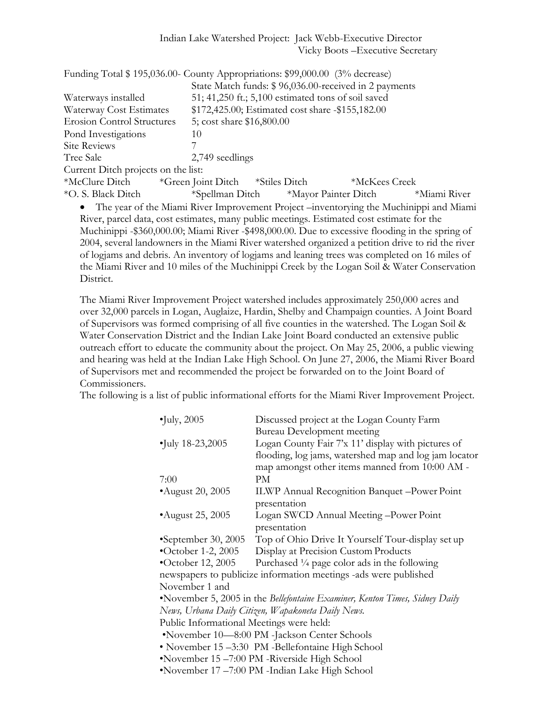| Funding Total \$195,036.00- County Appropriations: \$99,000.00 (3% decrease)              |                                                    |  |  |                                                       |              |
|-------------------------------------------------------------------------------------------|----------------------------------------------------|--|--|-------------------------------------------------------|--------------|
|                                                                                           |                                                    |  |  | State Match funds: \$96,036.00-received in 2 payments |              |
| Waterways installed                                                                       | 51; 41,250 ft.; 5,100 estimated tons of soil saved |  |  |                                                       |              |
| Waterway Cost Estimates                                                                   | \$172,425.00; Estimated cost share -\$155,182.00   |  |  |                                                       |              |
| <b>Erosion Control Structures</b>                                                         | 5; cost share \$16,800.00                          |  |  |                                                       |              |
| Pond Investigations                                                                       | 10                                                 |  |  |                                                       |              |
| <b>Site Reviews</b>                                                                       |                                                    |  |  |                                                       |              |
| Tree Sale                                                                                 | 2,749 seedlings                                    |  |  |                                                       |              |
| Current Ditch projects on the list:                                                       |                                                    |  |  |                                                       |              |
| *McClure Ditch                                                                            | *Green Joint Ditch *Stiles Ditch                   |  |  | *McKees Creek                                         |              |
| *O. S. Black Ditch                                                                        | *Spellman Ditch *Mayor Painter Ditch               |  |  |                                                       | *Miami River |
| • The year of the Miami River Improvement Project —inventorying the Muchinippi and Miami  |                                                    |  |  |                                                       |              |
| River, parcel data, cost estimates, many public meetings. Estimated cost estimate for the |                                                    |  |  |                                                       |              |

River, parcel data, cost estimates, many public meetings. Estimated cost estimate for the Muchinippi -\$360,000.00; Miami River -\$498,000.00. Due to excessive flooding in the spring of 2004, several landowners in the Miami River watershed organized a petition drive to rid the river of logjams and debris. An inventory of logjams and leaning trees was completed on 16 miles of the Miami River and 10 miles of the Muchinippi Creek by the Logan Soil & Water Conservation District.

The Miami River Improvement Project watershed includes approximately 250,000 acres and over 32,000 parcels in Logan, Auglaize, Hardin, Shelby and Champaign counties. A Joint Board of Supervisors was formed comprising of all five counties in the watershed. The Logan Soil & Water Conservation District and the Indian Lake Joint Board conducted an extensive public outreach effort to educate the community about the project. On May 25, 2006, a public viewing and hearing was held at the Indian Lake High School. On June 27, 2006, the Miami River Board of Supervisors met and recommended the project be forwarded on to the Joint Board of Commissioners.

The following is a list of public informational efforts for the Miami River Improvement Project.

| $\bullet$ July, 2005                     | Discussed project at the Logan County Farm                                  |
|------------------------------------------|-----------------------------------------------------------------------------|
|                                          | <b>Bureau Development meeting</b>                                           |
| $\bullet$ July 18-23,2005                | Logan County Fair 7'x 11' display with pictures of                          |
|                                          | flooding, log jams, watershed map and log jam locator                       |
|                                          | map amongst other items manned from 10:00 AM -                              |
| 7:00                                     | PM.                                                                         |
| August $20, 2005$                        | <b>ILWP Annual Recognition Banquet -Power Point</b>                         |
|                                          | presentation                                                                |
| • August 25, 2005                        | Logan SWCD Annual Meeting -Power Point                                      |
|                                          | presentation                                                                |
| •September 30, 2005                      | Top of Ohio Drive It Yourself Tour-display set up                           |
| •October 1-2, 2005                       | Display at Precision Custom Products                                        |
| $\bullet$ October 12, 2005               | Purchased 1/4 page color ads in the following                               |
|                                          | newspapers to publicize information meetings -ads were published            |
| November 1 and                           |                                                                             |
|                                          | •November 5, 2005 in the Bellefontaine Examiner, Kenton Times, Sidney Daily |
|                                          | News, Urbana Daily Citizen, Wapakoneta Daily News.                          |
| Public Informational Meetings were held: |                                                                             |
|                                          | •November 10-8:00 PM -Jackson Center Schools                                |
|                                          | • November 15 –3:30 PM -Bellefontaine High School                           |
|                                          | •November 15-7:00 PM -Riverside High School                                 |
|                                          | •November 17 –7:00 PM -Indian Lake High School                              |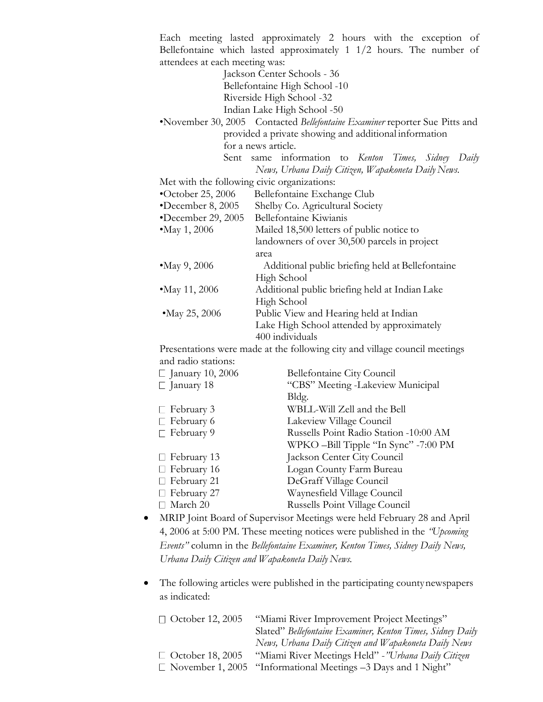Each meeting lasted approximately 2 hours with the exception of Bellefontaine which lasted approximately 1 1/2 hours. The number of attendees at each meeting was:

> Jackson Center Schools - 36 Bellefontaine High School -10 Riverside High School -32 Indian Lake High School -50

•November 30, 2005 Contacted *Bellefontaine Examiner* reporter Sue Pitts and provided a private showing and additional information for a news article.

Sent same information to *Kenton Times, Sidney Daily News, Urbana Daily Citizen, Wapakoneta Daily News.*

Met with the following civic organizations:

| $\bullet$ October 25, 2006 | Bellefontaine Exchange Club                      |
|----------------------------|--------------------------------------------------|
| *December 8, 2005          | Shelby Co. Agricultural Society                  |
| *December 29, 2005         | Bellefontaine Kiwianis                           |
| • May 1, 2006              | Mailed 18,500 letters of public notice to        |
|                            | landowners of over 30,500 parcels in project     |
|                            | area                                             |
| • May 9, 2006              | Additional public briefing held at Bellefontaine |
|                            | High School                                      |
| • May 11, 2006             | Additional public briefing held at Indian Lake   |
|                            | High School                                      |
| • May 25, 2006             | Public View and Hearing held at Indian           |
|                            | Lake High School attended by approximately       |
|                            | 400 individuals                                  |
|                            |                                                  |

Presentations were made at the following city and village council meetings and radio stations:

| $\Box$ January 10, 2006 | Bellefontaine City Council             |
|-------------------------|----------------------------------------|
| $\Box$ January 18       | "CBS" Meeting -Lakeview Municipal      |
|                         | Bldg.                                  |
| $\Box$ February 3       | WBLL-Will Zell and the Bell            |
| $\Gamma$ February 6     | Lakeview Village Council               |
| $\Gamma$ February 9     | Russells Point Radio Station -10:00 AM |
|                         | WPKO -Bill Tipple "In Sync" -7:00 PM   |
| $\Box$ February 13      | Jackson Center City Council            |
| $\Box$ February 16      | Logan County Farm Bureau               |
| $\Box$ February 21      | DeGraff Village Council                |
| $\Box$ February 27      | Waynesfield Village Council            |
| March 20                | Russells Point Village Council         |

- MRIP Joint Board of Supervisor Meetings were held February 28 and April 4, 2006 at 5:00 PM. These meeting notices were published in the *"Upcoming Events"* column in the *Bellefontaine Examiner, Kenton Times, Sidney Daily News, Urbana Daily Citizen and Wapakoneta Daily News.*
- The following articles were published in the participating countynewspapers as indicated:

| Slated" Bellefontaine Examiner, Kenton Times, Sidney Daily |
|------------------------------------------------------------|
| News, Urbana Daily Citizen and Wapakoneta Daily News       |
| "Miami River Meetings Held" - "Urbana Daily Citizen"       |
|                                                            |
|                                                            |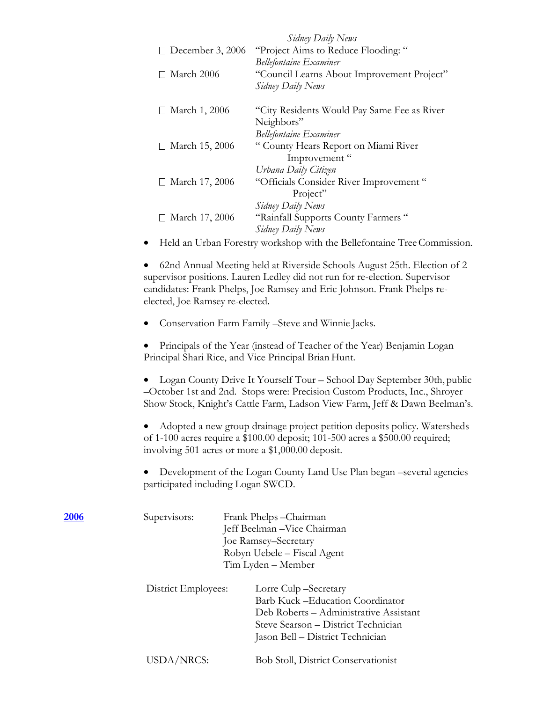|                                | Sidney Daily News                                                       |
|--------------------------------|-------------------------------------------------------------------------|
| $\Box$ December 3, 2006        | "Project Aims to Reduce Flooding:"                                      |
|                                | <b>Bellefontaine Examiner</b>                                           |
| March 2006                     | "Council Learns About Improvement Project"                              |
|                                | Sidney Daily News                                                       |
| March 1, 2006<br>$\mathsf{L}$  | "City Residents Would Pay Same Fee as River"                            |
|                                | Neighbors"                                                              |
|                                | <b>Bellefontaine Examiner</b>                                           |
| March 15, 2006<br>$\mathsf{L}$ | "County Hears Report on Miami River                                     |
|                                | Improvement "                                                           |
|                                | Urbana Daily Citizen                                                    |
| March 17, 2006<br>$\mathsf{L}$ | "Officials Consider River Improvement"                                  |
|                                | Project"                                                                |
|                                | Sidney Daily News                                                       |
| March 17, 2006<br>$\mathsf{L}$ | "Rainfall Supports County Farmers"                                      |
|                                | Sidney Daily News                                                       |
|                                | Held an Urban Forestry workshop with the Bellefontaine Tree Commission. |

• 62nd Annual Meeting held at Riverside Schools August 25th. Election of 2 supervisor positions. Lauren Ledley did not run for re-election. Supervisor candidates: Frank Phelps, Joe Ramsey and Eric Johnson. Frank Phelps reelected, Joe Ramsey re-elected.

• Conservation Farm Family –Steve and Winnie Jacks.

• Principals of the Year (instead of Teacher of the Year) Benjamin Logan Principal Shari Rice, and Vice Principal Brian Hunt.

• Logan County Drive It Yourself Tour – School Day September 30th, public –October 1st and 2nd. Stops were: Precision Custom Products, Inc., Shroyer Show Stock, Knight's Cattle Farm, Ladson View Farm, Jeff & Dawn Beelman's.

• Adopted a new group drainage project petition deposits policy. Watersheds of 1-100 acres require a \$100.00 deposit; 101-500 acres a \$500.00 required; involving 501 acres or more a \$1,000.00 deposit.

• Development of the Logan County Land Use Plan began –several agencies participated including Logan SWCD.

| Barb Kuck - Education Coordinator<br>Deb Roberts – Administrative Assistant<br>Steve Searson – District Technician<br>Jason Bell – District Technician |
|--------------------------------------------------------------------------------------------------------------------------------------------------------|
| <b>Bob Stoll, District Conservationist</b>                                                                                                             |
|                                                                                                                                                        |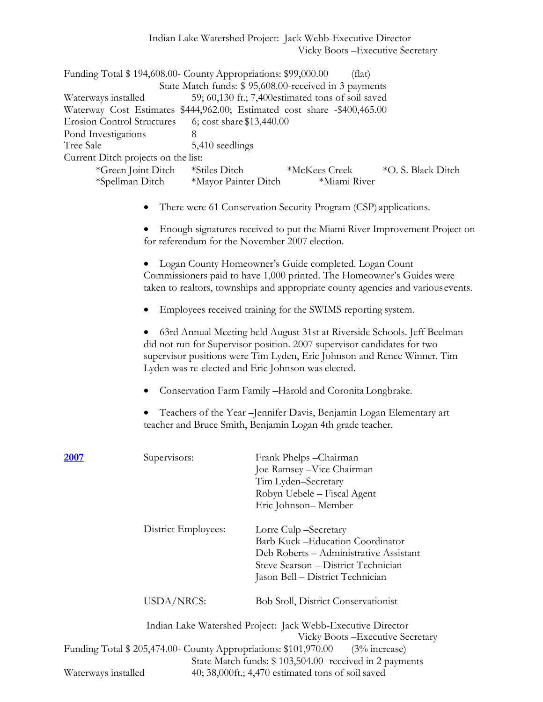Indian Lake Watershed Project: Jack Webb-Executive Director Vicky Boots –Executive Secretary

| Funding Total \$194,608.00- County Appropriations: \$99,000.00           |                                                   | (flat)                                                |                    |  |  |
|--------------------------------------------------------------------------|---------------------------------------------------|-------------------------------------------------------|--------------------|--|--|
|                                                                          |                                                   | State Match funds: \$95,608.00-received in 3 payments |                    |  |  |
| Waterways installed                                                      | 59; 60,130 ft.; 7,400estimated tons of soil saved |                                                       |                    |  |  |
| Waterway Cost Estimates \$444,962.00; Estimated cost share -\$400,465.00 |                                                   |                                                       |                    |  |  |
| <b>Erosion Control Structures</b>                                        | 6; cost share \$13,440.00                         |                                                       |                    |  |  |
| Pond Investigations                                                      | 8                                                 |                                                       |                    |  |  |
| Tree Sale                                                                | 5,410 seedlings                                   |                                                       |                    |  |  |
| Current Ditch projects on the list:                                      |                                                   |                                                       |                    |  |  |
| *Green Joint Ditch<br>*Spellman Ditch                                    | *Stiles Ditch<br>*Mayor Painter Ditch             | *McKees Creek<br>*Miami River                         | *O. S. Black Ditch |  |  |

• There were 61 Conservation Security Program (CSP) applications.

• Enough signatures received to put the Miami River Improvement Project on for referendum for the November 2007 election.

• Logan County Homeowner's Guide completed. Logan Count Commissioners paid to have 1,000 printed. The Homeowner's Guides were taken to realtors, townships and appropriate county agencies and variousevents.

• Employees received training for the SWIMS reporting system.

• 63rd Annual Meeting held August 31st at Riverside Schools. Jeff Beelman did not run for Supervisor position. 2007 supervisor candidates for two supervisor positions were Tim Lyden, Eric Johnson and Renee Winner. Tim Lyden was re-elected and Eric Johnson was elected.

• Conservation Farm Family –Harold and Coronita Longbrake.

• Teachers of the Year –Jennifer Davis, Benjamin Logan Elementary art teacher and Bruce Smith, Benjamin Logan 4th grade teacher.

| 2007                | Supervisors:                                                   | Frank Phelps - Chairman                                     |
|---------------------|----------------------------------------------------------------|-------------------------------------------------------------|
|                     |                                                                | Joe Ramsey - Vice Chairman                                  |
|                     |                                                                | Tim Lyden-Secretary                                         |
|                     |                                                                | Robyn Uebele - Fiscal Agent                                 |
|                     |                                                                | Eric Johnson-Member                                         |
|                     | District Employees:                                            | Lorre Culp – Secretary                                      |
|                     |                                                                | Barb Kuck - Education Coordinator                           |
|                     |                                                                | Deb Roberts - Administrative Assistant                      |
|                     |                                                                | Steve Searson - District Technician                         |
|                     |                                                                | Jason Bell – District Technician                            |
|                     | <b>USDA/NRCS:</b>                                              | <b>Bob Stoll, District Conservationist</b>                  |
|                     |                                                                | Indian Lake Watershed Project: Jack Webb-Executive Director |
|                     |                                                                | Vicky Boots – Executive Secretary                           |
|                     | Funding Total \$205,474.00 County Appropriations: \$101,970.00 | $(3\%$ increase)                                            |
|                     |                                                                | State Match funds: \$103,504.00 - received in 2 payments    |
| Waterways installed |                                                                | 40; 38,000ft.; 4,470 estimated tons of soil saved           |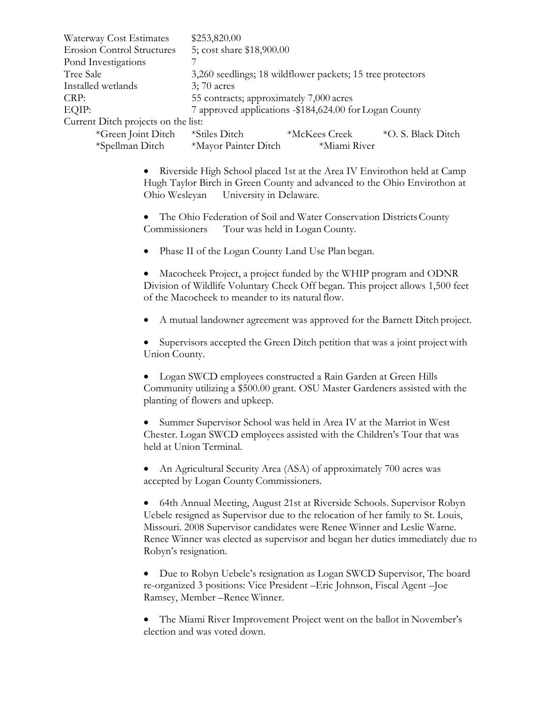| Waterway Cost Estimates             | \$253,820.00                                           |                                                            |                    |  |
|-------------------------------------|--------------------------------------------------------|------------------------------------------------------------|--------------------|--|
| <b>Erosion Control Structures</b>   | 5; cost share \$18,900.00                              |                                                            |                    |  |
| Pond Investigations                 |                                                        |                                                            |                    |  |
| Tree Sale                           |                                                        | 3,260 seedlings; 18 wildflower packets; 15 tree protectors |                    |  |
| Installed wetlands                  | $3;70 \text{ acres}$                                   |                                                            |                    |  |
| CRP:                                | 55 contracts; approximately 7,000 acres                |                                                            |                    |  |
| EQIP:                               | 7 approved applications -\$184,624.00 for Logan County |                                                            |                    |  |
| Current Ditch projects on the list: |                                                        |                                                            |                    |  |
| *Green Joint Ditch                  | *Stiles Ditch                                          | *McKees Creek                                              | *O. S. Black Ditch |  |
| *Spellman Ditch                     | *Mayor Painter Ditch                                   | *Miami River                                               |                    |  |

• Riverside High School placed 1st at the Area IV Envirothon held at Camp Hugh Taylor Birch in Green County and advanced to the Ohio Envirothon at Ohio Wesleyan University in Delaware.

• The Ohio Federation of Soil and Water Conservation Districts County Commissioners Tour was held in Logan County.

Phase II of the Logan County Land Use Plan began.

• Macocheek Project, a project funded by the WHIP program and ODNR Division of Wildlife Voluntary Check Off began. This project allows 1,500 feet of the Macocheek to meander to its natural flow.

• A mutual landowner agreement was approved for the Barnett Ditch project.

• Supervisors accepted the Green Ditch petition that was a joint project with Union County.

• Logan SWCD employees constructed a Rain Garden at Green Hills Community utilizing a \$500.00 grant. OSU Master Gardeners assisted with the planting of flowers and upkeep.

• Summer Supervisor School was held in Area IV at the Marriot in West Chester. Logan SWCD employees assisted with the Children's Tour that was held at Union Terminal.

• An Agricultural Security Area (ASA) of approximately 700 acres was accepted by Logan County Commissioners.

• 64th Annual Meeting, August 21st at Riverside Schools. Supervisor Robyn Uebele resigned as Supervisor due to the relocation of her family to St. Louis, Missouri. 2008 Supervisor candidates were Renee Winner and Leslie Warne. Renee Winner was elected as supervisor and began her duties immediately due to Robyn's resignation.

• Due to Robyn Uebele's resignation as Logan SWCD Supervisor, The board re-organized 3 positions: Vice President –Eric Johnson, Fiscal Agent –Joe Ramsey, Member –Renee Winner.

• The Miami River Improvement Project went on the ballot in November's election and was voted down.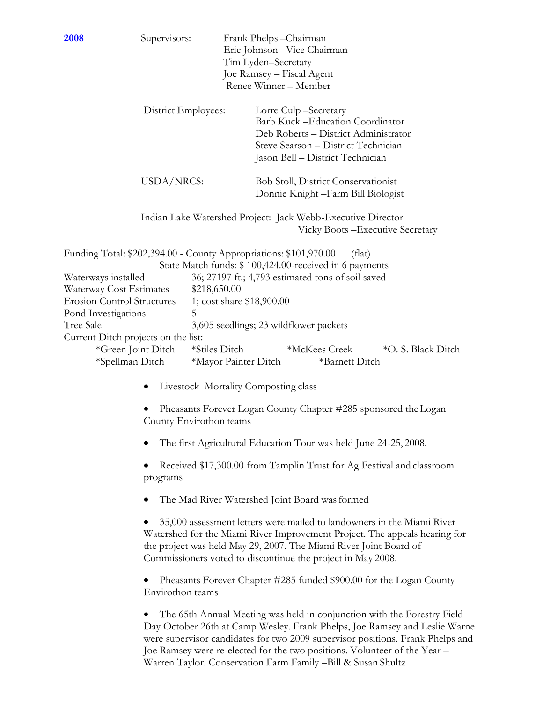| <u>2008</u>                                                                                                                                                                                                                         | Supervisors:                                                                                                                                                                                                                                                                             |                                                                                                                              | Frank Phelps-Chairman<br>Eric Johnson - Vice Chairman<br>Tim Lyden-Secretary<br>Joe Ramsey - Fiscal Agent<br>Renee Winner - Member |  |                                                                                                                                                           |                                                                                                                                                                                                                                                                                                                      |
|-------------------------------------------------------------------------------------------------------------------------------------------------------------------------------------------------------------------------------------|------------------------------------------------------------------------------------------------------------------------------------------------------------------------------------------------------------------------------------------------------------------------------------------|------------------------------------------------------------------------------------------------------------------------------|------------------------------------------------------------------------------------------------------------------------------------|--|-----------------------------------------------------------------------------------------------------------------------------------------------------------|----------------------------------------------------------------------------------------------------------------------------------------------------------------------------------------------------------------------------------------------------------------------------------------------------------------------|
|                                                                                                                                                                                                                                     | District Employees:                                                                                                                                                                                                                                                                      |                                                                                                                              | Lorre Culp-Secretary                                                                                                               |  | <b>Barb Kuck-Education Coordinator</b><br>Deb Roberts - District Administrator<br>Steve Searson - District Technician<br>Jason Bell - District Technician |                                                                                                                                                                                                                                                                                                                      |
|                                                                                                                                                                                                                                     | USDA/NRCS:                                                                                                                                                                                                                                                                               |                                                                                                                              |                                                                                                                                    |  | <b>Bob Stoll, District Conservationist</b><br>Donnie Knight - Farm Bill Biologist                                                                         |                                                                                                                                                                                                                                                                                                                      |
|                                                                                                                                                                                                                                     |                                                                                                                                                                                                                                                                                          |                                                                                                                              |                                                                                                                                    |  | Indian Lake Watershed Project: Jack Webb-Executive Director                                                                                               | Vicky Boots - Executive Secretary                                                                                                                                                                                                                                                                                    |
| Funding Total: \$202,394.00 - County Appropriations: \$101,970.00<br>Waterways installed<br>Waterway Cost Estimates<br><b>Erosion Control Structures</b><br>Pond Investigations<br>Tree Sale<br>Current Ditch projects on the list: | 5<br>*Green Joint Ditch<br>*Spellman Ditch                                                                                                                                                                                                                                               | \$218,650.00<br>1; cost share \$18,900.00<br>3,605 seedlings; 23 wildflower packets<br>*Stiles Ditch<br>*Mayor Painter Ditch |                                                                                                                                    |  | (flat)<br>State Match funds: \$100,424.00-received in 6 payments<br>36; 27197 ft.; 4,793 estimated tons of soil saved<br>*McKees Creek<br>*Barnett Ditch  | *O. S. Black Ditch                                                                                                                                                                                                                                                                                                   |
|                                                                                                                                                                                                                                     |                                                                                                                                                                                                                                                                                          | Livestock Mortality Composting class                                                                                         |                                                                                                                                    |  |                                                                                                                                                           |                                                                                                                                                                                                                                                                                                                      |
|                                                                                                                                                                                                                                     |                                                                                                                                                                                                                                                                                          | Pheasants Forever Logan County Chapter #285 sponsored the Logan<br>County Envirothon teams                                   |                                                                                                                                    |  |                                                                                                                                                           |                                                                                                                                                                                                                                                                                                                      |
|                                                                                                                                                                                                                                     |                                                                                                                                                                                                                                                                                          | The first Agricultural Education Tour was held June 24-25, 2008.                                                             |                                                                                                                                    |  |                                                                                                                                                           |                                                                                                                                                                                                                                                                                                                      |
|                                                                                                                                                                                                                                     | Received \$17,300.00 from Tamplin Trust for Ag Festival and classroom<br>programs                                                                                                                                                                                                        |                                                                                                                              |                                                                                                                                    |  |                                                                                                                                                           |                                                                                                                                                                                                                                                                                                                      |
|                                                                                                                                                                                                                                     | The Mad River Watershed Joint Board was formed                                                                                                                                                                                                                                           |                                                                                                                              |                                                                                                                                    |  |                                                                                                                                                           |                                                                                                                                                                                                                                                                                                                      |
|                                                                                                                                                                                                                                     | 35,000 assessment letters were mailed to landowners in the Miami River<br>Watershed for the Miami River Improvement Project. The appeals hearing for<br>the project was held May 29, 2007. The Miami River Joint Board of<br>Commissioners voted to discontinue the project in May 2008. |                                                                                                                              |                                                                                                                                    |  |                                                                                                                                                           |                                                                                                                                                                                                                                                                                                                      |
|                                                                                                                                                                                                                                     | Pheasants Forever Chapter #285 funded \$900.00 for the Logan County<br>Envirothon teams                                                                                                                                                                                                  |                                                                                                                              |                                                                                                                                    |  |                                                                                                                                                           |                                                                                                                                                                                                                                                                                                                      |
|                                                                                                                                                                                                                                     |                                                                                                                                                                                                                                                                                          |                                                                                                                              |                                                                                                                                    |  |                                                                                                                                                           | The 65th Annual Meeting was held in conjunction with the Forestry Field<br>Day October 26th at Camp Wesley. Frank Phelps, Joe Ramsey and Leslie Warne<br>were supervisor candidates for two 2009 supervisor positions. Frank Phelps and<br>Joe Ramsey were re-elected for the two positions. Volunteer of the Year - |

Warren Taylor. Conservation Farm Family –Bill & Susan Shultz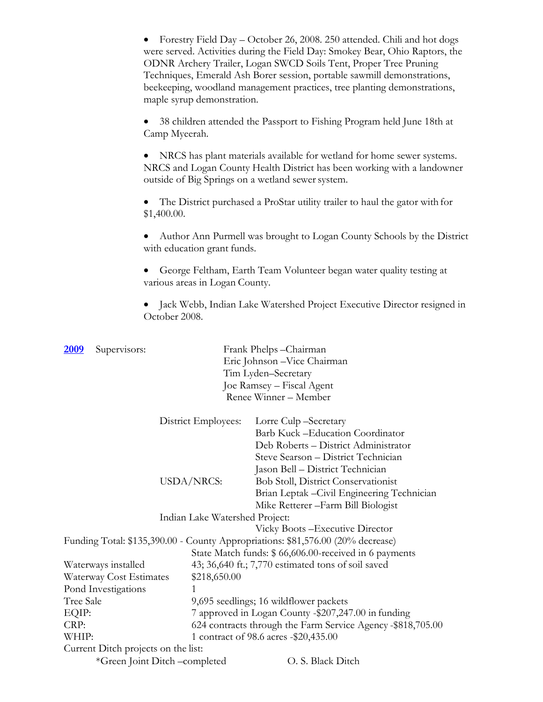|                                     | $\bullet$<br>maple syrup demonstration. | Forestry Field Day – October 26, 2008. 250 attended. Chili and hot dogs<br>were served. Activities during the Field Day: Smokey Bear, Ohio Raptors, the<br>ODNR Archery Trailer, Logan SWCD Soils Tent, Proper Tree Pruning<br>Techniques, Emerald Ash Borer session, portable sawmill demonstrations,<br>beekeeping, woodland management practices, tree planting demonstrations, |
|-------------------------------------|-----------------------------------------|------------------------------------------------------------------------------------------------------------------------------------------------------------------------------------------------------------------------------------------------------------------------------------------------------------------------------------------------------------------------------------|
|                                     | Camp Myeerah.                           | 38 children attended the Passport to Fishing Program held June 18th at                                                                                                                                                                                                                                                                                                             |
|                                     |                                         | NRCS has plant materials available for wetland for home sewer systems.<br>NRCS and Logan County Health District has been working with a landowner<br>outside of Big Springs on a wetland sewer system.                                                                                                                                                                             |
|                                     | \$1,400.00.                             | The District purchased a ProStar utility trailer to haul the gator with for                                                                                                                                                                                                                                                                                                        |
|                                     | with education grant funds.             | Author Ann Purmell was brought to Logan County Schools by the District                                                                                                                                                                                                                                                                                                             |
|                                     | various areas in Logan County.          | George Feltham, Earth Team Volunteer began water quality testing at                                                                                                                                                                                                                                                                                                                |
|                                     | October 2008.                           | Jack Webb, Indian Lake Watershed Project Executive Director resigned in                                                                                                                                                                                                                                                                                                            |
| <u>2009</u><br>Supervisors:         |                                         | Frank Phelps-Chairman<br>Eric Johnson - Vice Chairman<br>Tim Lyden-Secretary<br>Joe Ramsey – Fiscal Agent<br>Renee Winner - Member                                                                                                                                                                                                                                                 |
|                                     | District Employees:                     | Lorre Culp-Secretary<br><b>Barb Kuck-Education Coordinator</b><br>Deb Roberts - District Administrator<br>Steve Searson - District Technician                                                                                                                                                                                                                                      |
|                                     | USDA/NRCS:                              | Jason Bell - District Technician<br>Bob Stoll, District Conservationist<br>Brian Leptak - Civil Engineering Technician<br>Mike Retterer-Farm Bill Biologist                                                                                                                                                                                                                        |
|                                     | Indian Lake Watershed Project:          |                                                                                                                                                                                                                                                                                                                                                                                    |
|                                     |                                         | Vicky Boots-Executive Director                                                                                                                                                                                                                                                                                                                                                     |
|                                     |                                         | Funding Total: \$135,390.00 - County Appropriations: \$81,576.00 (20% decrease)                                                                                                                                                                                                                                                                                                    |
| Waterways installed                 |                                         | State Match funds: \$ 66,606.00-received in 6 payments<br>43; 36,640 ft.; 7,770 estimated tons of soil saved                                                                                                                                                                                                                                                                       |
| Waterway Cost Estimates             | \$218,650.00                            |                                                                                                                                                                                                                                                                                                                                                                                    |
| Pond Investigations                 | 1                                       |                                                                                                                                                                                                                                                                                                                                                                                    |
| Tree Sale                           |                                         | 9,695 seedlings; 16 wildflower packets                                                                                                                                                                                                                                                                                                                                             |
| EQIP:                               |                                         | 7 approved in Logan County -\$207,247.00 in funding                                                                                                                                                                                                                                                                                                                                |
| CRP:                                |                                         | 624 contracts through the Farm Service Agency -\$818,705.00                                                                                                                                                                                                                                                                                                                        |
| WHIP:                               |                                         | 1 contract of 98.6 acres -\$20,435.00                                                                                                                                                                                                                                                                                                                                              |
| Current Ditch projects on the list: |                                         |                                                                                                                                                                                                                                                                                                                                                                                    |
|                                     | *Green Joint Ditch -completed           | O. S. Black Ditch                                                                                                                                                                                                                                                                                                                                                                  |
|                                     |                                         |                                                                                                                                                                                                                                                                                                                                                                                    |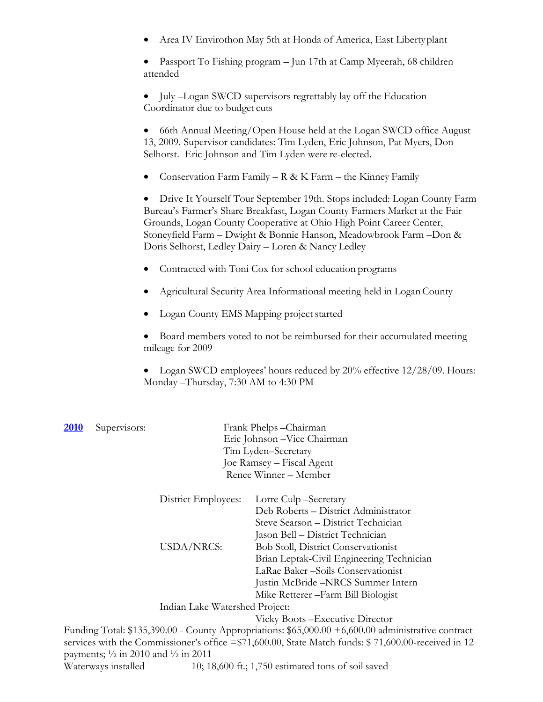• Area IV Envirothon May 5th at Honda of America, East Libertyplant

• Passport To Fishing program – Jun 17th at Camp Myeerah, 68 children attended

• July –Logan SWCD supervisors regrettably lay off the Education Coordinator due to budget cuts

• 66th Annual Meeting/Open House held at the Logan SWCD office August 13, 2009. Supervisor candidates: Tim Lyden, Eric Johnson, Pat Myers, Don Selhorst. Eric Johnson and Tim Lyden were re-elected.

• Conservation Farm Family – R & K Farm – the Kinney Family

• Drive It Yourself Tour September 19th. Stops included: Logan County Farm Bureau's Farmer's Share Breakfast, Logan County Farmers Market at the Fair Grounds, Logan County Cooperative at Ohio High Point Career Center, Stoneyfield Farm – Dwight & Bonnie Hanson, Meadowbrook Farm –Don & Doris Selhorst, Ledley Dairy – Loren & Nancy Ledley

- Contracted with Toni Cox for school education programs
- Agricultural Security Area Informational meeting held in LoganCounty
- Logan County EMS Mapping project started
- Board members voted to not be reimbursed for their accumulated meeting mileage for 2009

• Logan SWCD employees' hours reduced by 20% effective 12/28/09. Hours: Monday –Thursday, 7:30 AM to 4:30 PM

| 2010                         | Supervisors: |                                | Frank Phelps - Chairman                                                                            |
|------------------------------|--------------|--------------------------------|----------------------------------------------------------------------------------------------------|
| Eric Johnson - Vice Chairman |              |                                |                                                                                                    |
|                              |              |                                | Tim Lyden-Secretary                                                                                |
|                              |              |                                | Joe Ramsey – Fiscal Agent                                                                          |
|                              |              |                                | Renee Winner - Member                                                                              |
|                              |              | District Employees:            | Lorre Culp – Secretary                                                                             |
|                              |              |                                | Deb Roberts - District Administrator                                                               |
|                              |              |                                | Steve Searson - District Technician                                                                |
|                              |              |                                | Jason Bell – District Technician                                                                   |
|                              |              | <b>USDA/NRCS:</b>              | <b>Bob Stoll, District Conservationist</b>                                                         |
|                              |              |                                | Brian Leptak-Civil Engineering Technician                                                          |
|                              |              |                                | LaRae Baker-Soils Conservationist                                                                  |
|                              |              |                                | Justin McBride -NRCS Summer Intern                                                                 |
|                              |              |                                | Mike Retterer – Farm Bill Biologist                                                                |
|                              |              | Indian Lake Watershed Project: |                                                                                                    |
|                              |              |                                | Vicky Boots – Executive Director                                                                   |
|                              |              |                                | Funding Total: \$135,390.00 - County Appropriations: \$65,000.00 +6,600.00 administrative contract |

services with the Commissioner's office =\$71,600.00, State Match funds: \$ 71,600.00-received in 12 payments;  $\frac{1}{2}$  in 2010 and  $\frac{1}{2}$  in 2011

Waterways installed 10; 18,600 ft.; 1,750 estimated tons of soil saved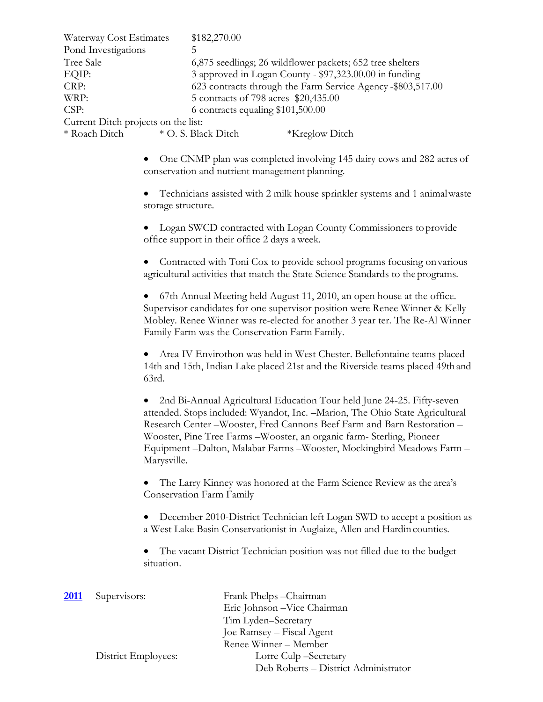| Waterway Cost Estimates             | \$182,270.00                                                |  |  |
|-------------------------------------|-------------------------------------------------------------|--|--|
| Pond Investigations                 |                                                             |  |  |
| Tree Sale                           | 6,875 seedlings; 26 wildflower packets; 652 tree shelters   |  |  |
| EQIP:                               | 3 approved in Logan County - \$97,323.00.00 in funding      |  |  |
| CRP:                                | 623 contracts through the Farm Service Agency -\$803,517.00 |  |  |
| WRP:                                | 5 contracts of 798 acres -\$20,435.00                       |  |  |
| CSP:                                | 6 contracts equaling \$101,500.00                           |  |  |
| Current Ditch projects on the list: |                                                             |  |  |
| * Roach Ditch                       | * O. S. Black Ditch<br><i><b>*Kreglow Ditch</b></i>         |  |  |
|                                     |                                                             |  |  |

• One CNMP plan was completed involving 145 dairy cows and 282 acres of conservation and nutrient management planning.

• Technicians assisted with 2 milk house sprinkler systems and 1 animalwaste storage structure.

• Logan SWCD contracted with Logan County Commissioners to provide office support in their office 2 days a week.

• Contracted with Toni Cox to provide school programs focusing onvarious agricultural activities that match the State Science Standards to the programs.

• 67th Annual Meeting held August 11, 2010, an open house at the office. Supervisor candidates for one supervisor position were Renee Winner & Kelly Mobley. Renee Winner was re-elected for another 3 year ter. The Re-Al Winner Family Farm was the Conservation Farm Family.

• Area IV Envirothon was held in West Chester. Bellefontaine teams placed 14th and 15th, Indian Lake placed 21st and the Riverside teams placed 49thand 63rd.

• 2nd Bi-Annual Agricultural Education Tour held June 24-25. Fifty-seven attended. Stops included: Wyandot, Inc. –Marion, The Ohio State Agricultural Research Center –Wooster, Fred Cannons Beef Farm and Barn Restoration – Wooster, Pine Tree Farms –Wooster, an organic farm- Sterling, Pioneer Equipment –Dalton, Malabar Farms –Wooster, Mockingbird Meadows Farm – Marysville.

• The Larry Kinney was honored at the Farm Science Review as the area's Conservation Farm Family

• December 2010-District Technician left Logan SWD to accept a position as a West Lake Basin Conservationist in Auglaize, Allen and Hardin counties.

The vacant District Technician position was not filled due to the budget situation.

| <b>2011</b> | Supervisors:        | Frank Phelps - Chairman              |
|-------------|---------------------|--------------------------------------|
|             |                     | Eric Johnson - Vice Chairman         |
|             |                     | Tim Lyden-Secretary                  |
|             |                     | Joe Ramsey – Fiscal Agent            |
|             |                     | Renee Winner – Member                |
|             | District Employees: | Lorre Culp -Secretary                |
|             |                     | Deb Roberts - District Administrator |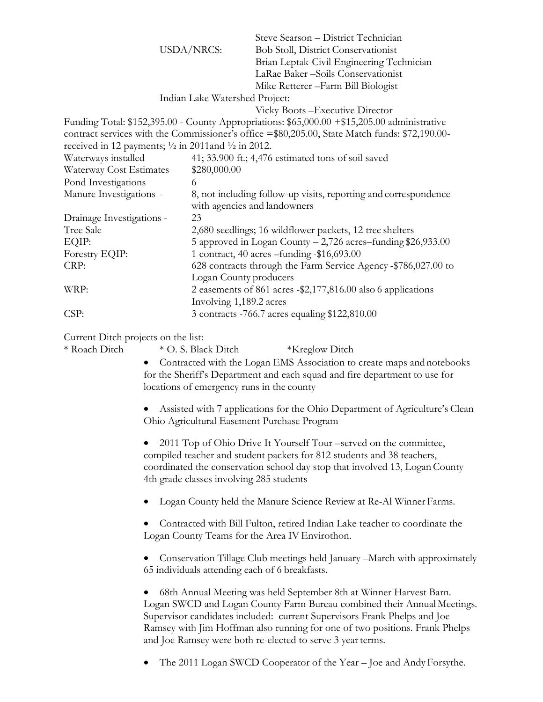|                                     | USDA/NRCS:                                                                | Steve Searson - District Technician<br><b>Bob Stoll, District Conservationist</b><br>Brian Leptak-Civil Engineering Technician<br>LaRae Baker-Soils Conservationist<br>Mike Retterer-Farm Bill Biologist                   |
|-------------------------------------|---------------------------------------------------------------------------|----------------------------------------------------------------------------------------------------------------------------------------------------------------------------------------------------------------------------|
|                                     | Indian Lake Watershed Project:                                            |                                                                                                                                                                                                                            |
|                                     |                                                                           | Vicky Boots - Executive Director                                                                                                                                                                                           |
|                                     | received in 12 payments; $\frac{1}{2}$ in 2011 and $\frac{1}{2}$ in 2012. | Funding Total: \$152,395.00 - County Appropriations: \$65,000.00 +\$15,205.00 administrative<br>contract services with the Commissioner's office =\$80,205.00, State Match funds: \$72,190.00-                             |
| Waterways installed                 |                                                                           | 41; 33.900 ft.; 4,476 estimated tons of soil saved                                                                                                                                                                         |
| Waterway Cost Estimates             | \$280,000.00                                                              |                                                                                                                                                                                                                            |
| Pond Investigations                 | 6                                                                         |                                                                                                                                                                                                                            |
| Manure Investigations -             |                                                                           | 8, not including follow-up visits, reporting and correspondence<br>with agencies and landowners                                                                                                                            |
| Drainage Investigations -           | 23                                                                        |                                                                                                                                                                                                                            |
| Tree Sale                           |                                                                           | 2,680 seedlings; 16 wildflower packets, 12 tree shelters                                                                                                                                                                   |
| EQIP:                               |                                                                           | 5 approved in Logan County – 2,726 acres–funding \$26,933.00                                                                                                                                                               |
| Forestry EQIP:                      |                                                                           | 1 contract, 40 acres -funding -\$16,693.00                                                                                                                                                                                 |
| CRP:                                |                                                                           | 628 contracts through the Farm Service Agency -\$786,027.00 to<br>Logan County producers                                                                                                                                   |
| WRP:                                | Involving 1,189.2 acres                                                   | 2 easements of 861 acres -\$2,177,816.00 also 6 applications                                                                                                                                                               |
| CSP:                                |                                                                           | 3 contracts -766.7 acres equaling \$122,810.00                                                                                                                                                                             |
| Current Ditch projects on the list: |                                                                           |                                                                                                                                                                                                                            |
| * Roach Ditch                       | * O. S. Black Ditch                                                       | *Kreglow Ditch                                                                                                                                                                                                             |
|                                     | locations of emergency runs in the county                                 | Contracted with the Logan EMS Association to create maps and notebooks<br>for the Sheriff's Department and each squad and fire department to use for                                                                       |
|                                     |                                                                           | Assisted with 7 applications for the Ohio Department of Agriculture's Clean<br>Ohio Agricultural Easement Purchase Program                                                                                                 |
|                                     | 4th grade classes involving 285 students                                  | 2011 Top of Ohio Drive It Yourself Tour –served on the committee,<br>compiled teacher and student packets for 812 students and 38 teachers,<br>coordinated the conservation school day stop that involved 13, Logan County |
|                                     |                                                                           | Logan County held the Manure Science Review at Re-Al Winner Farms.                                                                                                                                                         |

• Contracted with Bill Fulton, retired Indian Lake teacher to coordinate the Logan County Teams for the Area IV Envirothon.

• Conservation Tillage Club meetings held January –March with approximately 65 individuals attending each of 6 breakfasts.

• 68th Annual Meeting was held September 8th at Winner Harvest Barn. Logan SWCD and Logan County Farm Bureau combined their Annual Meetings. Supervisor candidates included: current Supervisors Frank Phelps and Joe Ramsey with Jim Hoffman also running for one of two positions. Frank Phelps and Joe Ramsey were both re-elected to serve 3 year terms.

• The 2011 Logan SWCD Cooperator of the Year – Joe and Andy Forsythe.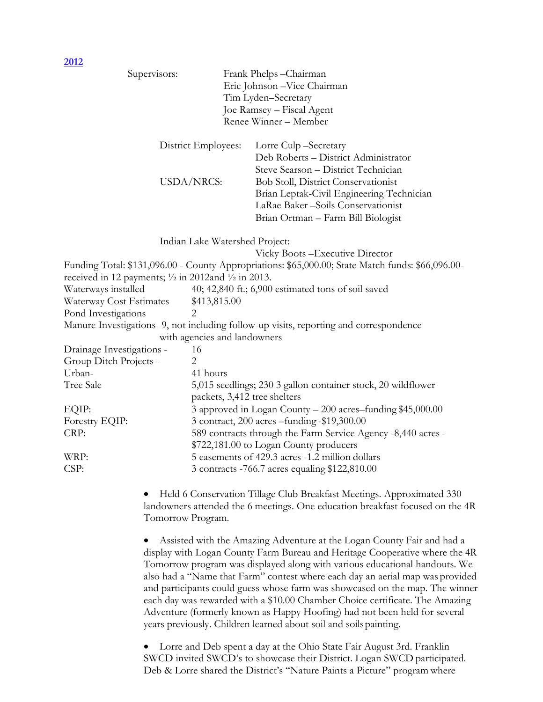| <u>ZUIZ</u>                                                              |                   |                                |                                                                                                                                                                                                                                                                                                                                                                                                                                                                                                                                                                   |
|--------------------------------------------------------------------------|-------------------|--------------------------------|-------------------------------------------------------------------------------------------------------------------------------------------------------------------------------------------------------------------------------------------------------------------------------------------------------------------------------------------------------------------------------------------------------------------------------------------------------------------------------------------------------------------------------------------------------------------|
|                                                                          | Supervisors:      |                                | Frank Phelps-Chairman<br>Eric Johnson - Vice Chairman<br>Tim Lyden-Secretary<br>Joe Ramsey – Fiscal Agent                                                                                                                                                                                                                                                                                                                                                                                                                                                         |
|                                                                          |                   |                                | Renee Winner - Member                                                                                                                                                                                                                                                                                                                                                                                                                                                                                                                                             |
|                                                                          |                   | District Employees:            | Lorre Culp -Secretary<br>Deb Roberts - District Administrator                                                                                                                                                                                                                                                                                                                                                                                                                                                                                                     |
|                                                                          |                   | USDA/NRCS:                     | Steve Searson - District Technician<br><b>Bob Stoll, District Conservationist</b><br>Brian Leptak-Civil Engineering Technician<br>LaRae Baker-Soils Conservationist<br>Brian Ortman - Farm Bill Biologist                                                                                                                                                                                                                                                                                                                                                         |
|                                                                          |                   | Indian Lake Watershed Project: |                                                                                                                                                                                                                                                                                                                                                                                                                                                                                                                                                                   |
|                                                                          |                   |                                | Vicky Boots - Executive Director                                                                                                                                                                                                                                                                                                                                                                                                                                                                                                                                  |
|                                                                          |                   |                                | Funding Total: \$131,096.00 - County Appropriations: \$65,000.00; State Match funds: \$66,096.00-                                                                                                                                                                                                                                                                                                                                                                                                                                                                 |
| received in 12 payments; $\frac{1}{2}$ in 2012and $\frac{1}{2}$ in 2013. |                   |                                |                                                                                                                                                                                                                                                                                                                                                                                                                                                                                                                                                                   |
| Waterways installed                                                      |                   |                                | 40; 42,840 ft.; 6,900 estimated tons of soil saved                                                                                                                                                                                                                                                                                                                                                                                                                                                                                                                |
| Waterway Cost Estimates                                                  |                   | \$413,815.00                   |                                                                                                                                                                                                                                                                                                                                                                                                                                                                                                                                                                   |
| Pond Investigations                                                      |                   |                                |                                                                                                                                                                                                                                                                                                                                                                                                                                                                                                                                                                   |
|                                                                          |                   |                                | Manure Investigations -9, not including follow-up visits, reporting and correspondence                                                                                                                                                                                                                                                                                                                                                                                                                                                                            |
|                                                                          |                   | with agencies and landowners   |                                                                                                                                                                                                                                                                                                                                                                                                                                                                                                                                                                   |
| Drainage Investigations -                                                |                   | 16                             |                                                                                                                                                                                                                                                                                                                                                                                                                                                                                                                                                                   |
| Group Ditch Projects -                                                   |                   | $\overline{2}$                 |                                                                                                                                                                                                                                                                                                                                                                                                                                                                                                                                                                   |
| Urban-                                                                   |                   | 41 hours                       |                                                                                                                                                                                                                                                                                                                                                                                                                                                                                                                                                                   |
| Tree Sale                                                                |                   |                                | 5,015 seedlings; 230 3 gallon container stock, 20 wildflower                                                                                                                                                                                                                                                                                                                                                                                                                                                                                                      |
| EQIP:                                                                    |                   | packets, 3,412 tree shelters   | 3 approved in Logan County - 200 acres-funding \$45,000.00                                                                                                                                                                                                                                                                                                                                                                                                                                                                                                        |
| Forestry EQIP:                                                           |                   |                                | 3 contract, 200 acres – funding -\$19,300.00                                                                                                                                                                                                                                                                                                                                                                                                                                                                                                                      |
| CRP:                                                                     |                   |                                | 589 contracts through the Farm Service Agency -8,440 acres -                                                                                                                                                                                                                                                                                                                                                                                                                                                                                                      |
|                                                                          |                   |                                | \$722,181.00 to Logan County producers                                                                                                                                                                                                                                                                                                                                                                                                                                                                                                                            |
| WRP:                                                                     |                   |                                | 5 easements of 429.3 acres -1.2 million dollars                                                                                                                                                                                                                                                                                                                                                                                                                                                                                                                   |
| CSP:                                                                     |                   |                                | 3 contracts -766.7 acres equaling \$122,810.00                                                                                                                                                                                                                                                                                                                                                                                                                                                                                                                    |
|                                                                          | Tomorrow Program. |                                | Held 6 Conservation Tillage Club Breakfast Meetings. Approximated 330<br>landowners attended the 6 meetings. One education breakfast focused on the 4R                                                                                                                                                                                                                                                                                                                                                                                                            |
|                                                                          |                   |                                | Assisted with the Amazing Adventure at the Logan County Fair and had a<br>display with Logan County Farm Bureau and Heritage Cooperative where the 4R<br>Tomorrow program was displayed along with various educational handouts. We<br>also had a "Name that Farm" contest where each day an aerial map was provided<br>and participants could guess whose farm was showcased on the map. The winner<br>each day was rewarded with a \$10.00 Chamber Choice certificate. The Amazing<br>Adventure (formerly known as Happy Hoofing) had not been held for several |

• Lorre and Deb spent a day at the Ohio State Fair August 3rd. Franklin SWCD invited SWCD's to showcase their District. Logan SWCD participated. Deb & Lorre shared the District's "Nature Paints a Picture" program where

years previously. Children learned about soil and soilspainting.

**2012**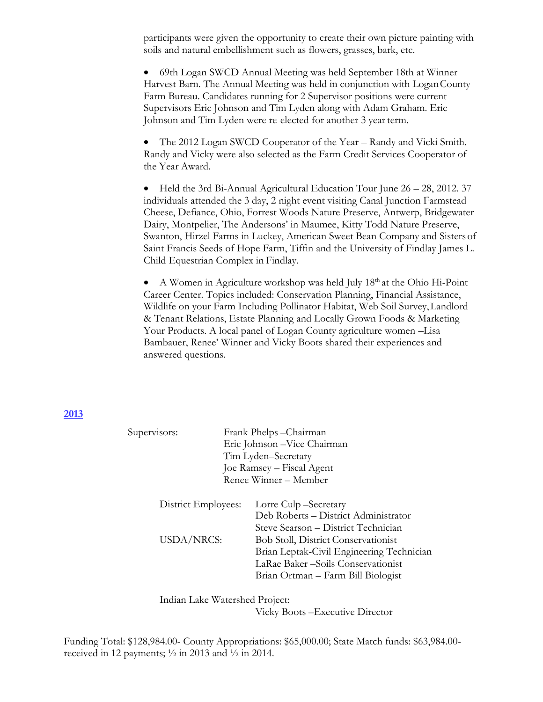participants were given the opportunity to create their own picture painting with soils and natural embellishment such as flowers, grasses, bark, etc.

• 69th Logan SWCD Annual Meeting was held September 18th at Winner Harvest Barn. The Annual Meeting was held in conjunction with LoganCounty Farm Bureau. Candidates running for 2 Supervisor positions were current Supervisors Eric Johnson and Tim Lyden along with Adam Graham. Eric Johnson and Tim Lyden were re-elected for another 3 year term.

• The 2012 Logan SWCD Cooperator of the Year – Randy and Vicki Smith. Randy and Vicky were also selected as the Farm Credit Services Cooperator of the Year Award.

• Held the 3rd Bi-Annual Agricultural Education Tour June 26 – 28, 2012. 37 individuals attended the 3 day, 2 night event visiting Canal Junction Farmstead Cheese, Defiance, Ohio, Forrest Woods Nature Preserve, Antwerp, Bridgewater Dairy, Montpelier, The Andersons' in Maumee, Kitty Todd Nature Preserve, Swanton, Hirzel Farms in Luckey, American Sweet Bean Company and Sisters of Saint Francis Seeds of Hope Farm, Tiffin and the University of Findlay James L. Child Equestrian Complex in Findlay.

• A Women in Agriculture workshop was held July  $18<sup>th</sup>$  at the Ohio Hi-Point Career Center. Topics included: Conservation Planning, Financial Assistance, Wildlife on your Farm Including Pollinator Habitat, Web Soil Survey,Landlord & Tenant Relations, Estate Planning and Locally Grown Foods & Marketing Your Products. A local panel of Logan County agriculture women –Lisa Bambauer, Renee' Winner and Vicky Boots shared their experiences and answered questions.

### **2013**

| Supervisors:        |                     | Frank Phelps-Chairman                      |  |  |
|---------------------|---------------------|--------------------------------------------|--|--|
|                     |                     | Eric Johnson - Vice Chairman               |  |  |
|                     | Tim Lyden-Secretary |                                            |  |  |
|                     |                     | Joe Ramsey – Fiscal Agent                  |  |  |
|                     |                     | Renee Winner – Member                      |  |  |
| District Employees: |                     | Lorre Culp – Secretary                     |  |  |
|                     |                     | Deb Roberts – District Administrator       |  |  |
|                     |                     | Steve Searson - District Technician        |  |  |
| USDA/NRCS:          |                     | <b>Bob Stoll, District Conservationist</b> |  |  |
|                     |                     | Brian Leptak-Civil Engineering Technician  |  |  |
|                     |                     | LaRae Baker-Soils Conservationist          |  |  |
|                     |                     | Brian Ortman – Farm Bill Biologist         |  |  |
|                     |                     |                                            |  |  |

Indian Lake Watershed Project: Vicky Boots –Executive Director

Funding Total: \$128,984.00- County Appropriations: \$65,000.00; State Match funds: \$63,984.00 received in 12 payments; ½ in 2013 and ½ in 2014.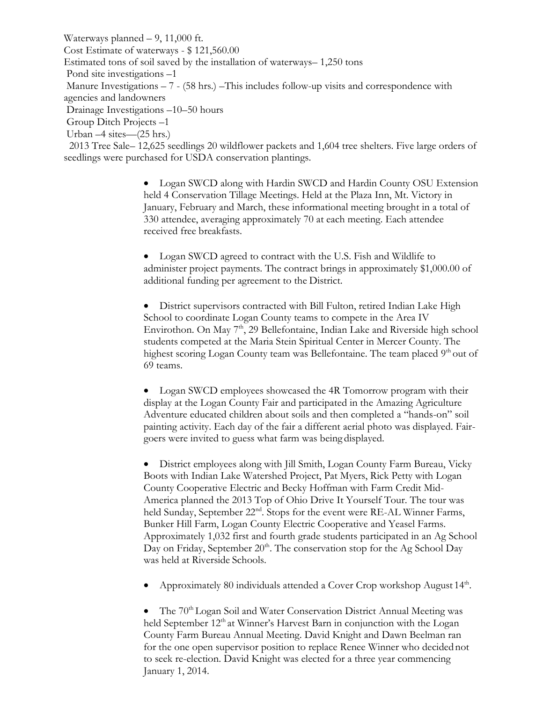Waterways planned – 9, 11,000 ft. Cost Estimate of waterways - \$ 121,560.00 Estimated tons of soil saved by the installation of waterways– 1,250 tons Pond site investigations –1 Manure Investigations – 7 - (58 hrs.) –This includes follow-up visits and correspondence with agencies and landowners Drainage Investigations –10–50 hours Group Ditch Projects –1 Urban –4 sites—(25 hrs.) 2013 Tree Sale– 12,625 seedlings 20 wildflower packets and 1,604 tree shelters. Five large orders of

seedlings were purchased for USDA conservation plantings.

• Logan SWCD along with Hardin SWCD and Hardin County OSU Extension held 4 Conservation Tillage Meetings. Held at the Plaza Inn, Mt. Victory in January, February and March, these informational meeting brought in a total of 330 attendee, averaging approximately 70 at each meeting. Each attendee received free breakfasts.

• Logan SWCD agreed to contract with the U.S. Fish and Wildlife to administer project payments. The contract brings in approximately \$1,000.00 of additional funding per agreement to the District.

• District supervisors contracted with Bill Fulton, retired Indian Lake High School to coordinate Logan County teams to compete in the Area IV Envirothon. On May  $7<sup>th</sup>$ , 29 Bellefontaine, Indian Lake and Riverside high school students competed at the Maria Stein Spiritual Center in Mercer County. The highest scoring Logan County team was Bellefontaine. The team placed 9<sup>th</sup> out of 69 teams.

• Logan SWCD employees showcased the 4R Tomorrow program with their display at the Logan County Fair and participated in the Amazing Agriculture Adventure educated children about soils and then completed a "hands-on" soil painting activity. Each day of the fair a different aerial photo was displayed. Fairgoers were invited to guess what farm was being displayed.

• District employees along with Jill Smith, Logan County Farm Bureau, Vicky Boots with Indian Lake Watershed Project, Pat Myers, Rick Petty with Logan County Cooperative Electric and Becky Hoffman with Farm Credit Mid-America planned the 2013 Top of Ohio Drive It Yourself Tour. The tour was held Sunday, September 22<sup>nd</sup>. Stops for the event were RE-AL Winner Farms, Bunker Hill Farm, Logan County Electric Cooperative and Yeasel Farms. Approximately 1,032 first and fourth grade students participated in an Ag School Day on Friday, September  $20<sup>th</sup>$ . The conservation stop for the Ag School Day was held at Riverside Schools.

• Approximately 80 individuals attended a Cover Crop workshop August 14<sup>th</sup>.

• The  $70<sup>th</sup>$  Logan Soil and Water Conservation District Annual Meeting was held September  $12<sup>th</sup>$  at Winner's Harvest Barn in conjunction with the Logan County Farm Bureau Annual Meeting. David Knight and Dawn Beelman ran for the one open supervisor position to replace Renee Winner who decided not to seek re-election. David Knight was elected for a three year commencing January 1, 2014.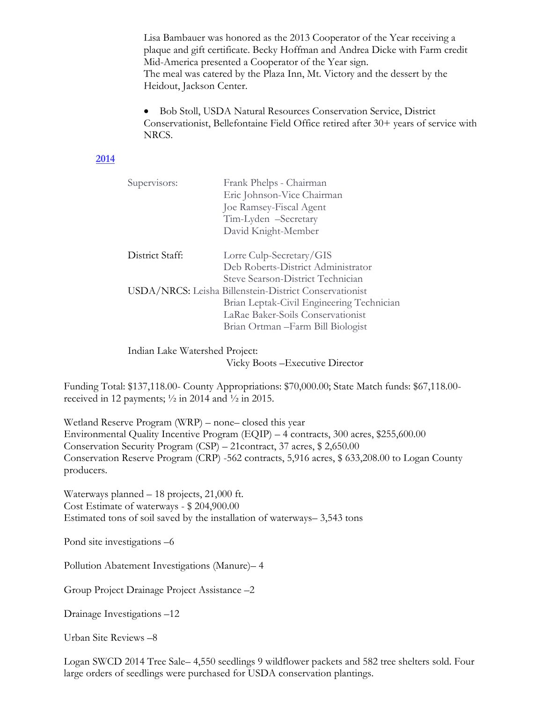Lisa Bambauer was honored as the 2013 Cooperator of the Year receiving a plaque and gift certificate. Becky Hoffman and Andrea Dicke with Farm credit Mid-America presented a Cooperator of the Year sign. The meal was catered by the Plaza Inn, Mt. Victory and the dessert by the Heidout, Jackson Center.

• Bob Stoll, USDA Natural Resources Conservation Service, District Conservationist, Bellefontaine Field Office retired after 30+ years of service with NRCS.

### **2014**

| Supervisors:                                           | Frank Phelps - Chairman                   |  |
|--------------------------------------------------------|-------------------------------------------|--|
|                                                        | Eric Johnson-Vice Chairman                |  |
|                                                        | Joe Ramsey-Fiscal Agent                   |  |
|                                                        | Tim-Lyden -Secretary                      |  |
|                                                        | David Knight-Member                       |  |
|                                                        |                                           |  |
| District Staff:                                        | Lorre Culp-Secretary/GIS                  |  |
|                                                        | Deb Roberts-District Administrator        |  |
|                                                        | Steve Searson-District Technician         |  |
| USDA/NRCS: Leisha Billenstein-District Conservationist |                                           |  |
|                                                        | Brian Leptak-Civil Engineering Technician |  |
|                                                        | LaRae Baker-Soils Conservationist         |  |
|                                                        | Brian Ortman – Farm Bill Biologist        |  |

Indian Lake Watershed Project: Vicky Boots –Executive Director

Funding Total: \$137,118.00- County Appropriations: \$70,000.00; State Match funds: \$67,118.00 received in 12 payments;  $\frac{1}{2}$  in 2014 and  $\frac{1}{2}$  in 2015.

Wetland Reserve Program (WRP) – none– closed this year Environmental Quality Incentive Program (EQIP) – 4 contracts, 300 acres, \$255,600.00 Conservation Security Program (CSP) – 21contract, 37 acres, \$ 2,650.00 Conservation Reserve Program (CRP) -562 contracts, 5,916 acres, \$ 633,208.00 to Logan County producers.

Waterways planned – 18 projects, 21,000 ft. Cost Estimate of waterways - \$ 204,900.00 Estimated tons of soil saved by the installation of waterways– 3,543 tons

Pond site investigations –6

Pollution Abatement Investigations (Manure)– 4

Group Project Drainage Project Assistance –2

Drainage Investigations –12

Urban Site Reviews –8

Logan SWCD 2014 Tree Sale– 4,550 seedlings 9 wildflower packets and 582 tree shelters sold. Four large orders of seedlings were purchased for USDA conservation plantings.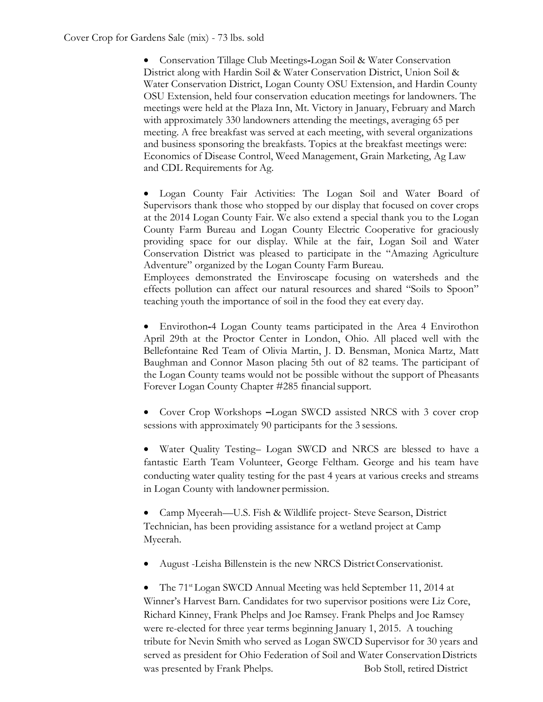• Conservation Tillage Club Meetings**-**Logan Soil & Water Conservation District along with Hardin Soil & Water Conservation District, Union Soil & Water Conservation District, Logan County OSU Extension, and Hardin County OSU Extension, held four conservation education meetings for landowners. The meetings were held at the Plaza Inn, Mt. Victory in January, February and March with approximately 330 landowners attending the meetings, averaging 65 per meeting. A free breakfast was served at each meeting, with several organizations and business sponsoring the breakfasts. Topics at the breakfast meetings were: Economics of Disease Control, Weed Management, Grain Marketing, Ag Law and CDL Requirements for Ag.

• Logan County Fair Activities: The Logan Soil and Water Board of Supervisors thank those who stopped by our display that focused on cover crops at the 2014 Logan County Fair. We also extend a special thank you to the Logan County Farm Bureau and Logan County Electric Cooperative for graciously providing space for our display. While at the fair, Logan Soil and Water Conservation District was pleased to participate in the "Amazing Agriculture Adventure" organized by the Logan County Farm Bureau.

Employees demonstrated the Enviroscape focusing on watersheds and the effects pollution can affect our natural resources and shared "Soils to Spoon" teaching youth the importance of soil in the food they eat every day.

• Envirothon**-**4 Logan County teams participated in the Area 4 Envirothon April 29th at the Proctor Center in London, Ohio. All placed well with the Bellefontaine Red Team of Olivia Martin, J. D. Bensman, Monica Martz, Matt Baughman and Connor Mason placing 5th out of 82 teams. The participant of the Logan County teams would not be possible without the support of Pheasants Forever Logan County Chapter #285 financialsupport.

• Cover Crop Workshops **–**Logan SWCD assisted NRCS with 3 cover crop sessions with approximately 90 participants for the 3 sessions.

• Water Quality Testing– Logan SWCD and NRCS are blessed to have a fantastic Earth Team Volunteer, George Feltham. George and his team have conducting water quality testing for the past 4 years at various creeks and streams in Logan County with landowner permission.

• Camp Myeerah—U.S. Fish & Wildlife project- Steve Searson, District Technician, has been providing assistance for a wetland project at Camp Myeerah.

• August -Leisha Billenstein is the new NRCS District Conservationist.

• The 71<sup>st</sup> Logan SWCD Annual Meeting was held September 11, 2014 at Winner's Harvest Barn. Candidates for two supervisor positions were Liz Core, Richard Kinney, Frank Phelps and Joe Ramsey. Frank Phelps and Joe Ramsey were re-elected for three year terms beginning January 1, 2015. A touching tribute for Nevin Smith who served as Logan SWCD Supervisor for 30 years and served as president for Ohio Federation of Soil and Water Conservation Districts was presented by Frank Phelps. Bob Stoll, retired District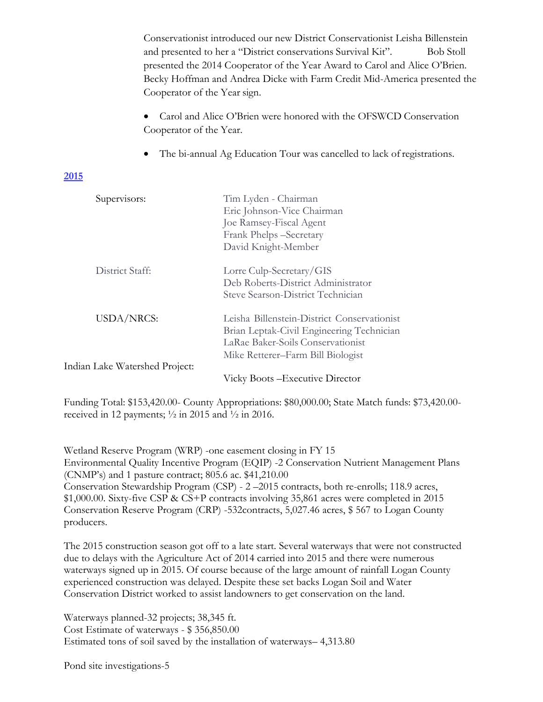Conservationist introduced our new District Conservationist Leisha Billenstein and presented to her a "District conservations Survival Kit". Bob Stoll presented the 2014 Cooperator of the Year Award to Carol and Alice O'Brien. Becky Hoffman and Andrea Dicke with Farm Credit Mid-America presented the Cooperator of the Year sign.

• Carol and Alice O'Brien were honored with the OFSWCD Conservation Cooperator of the Year.

• The bi-annual Ag Education Tour was cancelled to lack ofregistrations.

## **2015**

| Supervisors:                   | Tim Lyden - Chairman<br>Eric Johnson-Vice Chairman<br>Joe Ramsey-Fiscal Agent<br>Frank Phelps -Secretary<br>David Knight-Member                                    |
|--------------------------------|--------------------------------------------------------------------------------------------------------------------------------------------------------------------|
| District Staff:                | Lorre Culp-Secretary/GIS<br>Deb Roberts-District Administrator<br>Steve Searson-District Technician                                                                |
| <b>USDA/NRCS:</b>              | Leisha Billenstein-District Conservationist<br>Brian Leptak-Civil Engineering Technician<br>LaRae Baker-Soils Conservationist<br>Mike Retterer-Farm Bill Biologist |
| Indian Lake Watershed Project: |                                                                                                                                                                    |
|                                | Vicky Boots – Executive Director                                                                                                                                   |

Funding Total: \$153,420.00- County Appropriations: \$80,000.00; State Match funds: \$73,420.00 received in 12 payments;  $\frac{1}{2}$  in 2015 and  $\frac{1}{2}$  in 2016.

Wetland Reserve Program (WRP) -one easement closing in FY 15 Environmental Quality Incentive Program (EQIP) -2 Conservation Nutrient Management Plans (CNMP's) and 1 pasture contract; 805.6 ac. \$41,210.00 Conservation Stewardship Program (CSP) - 2 –2015 contracts, both re-enrolls; 118.9 acres, \$1,000.00. Sixty-five CSP & CS+P contracts involving 35,861 acres were completed in 2015 Conservation Reserve Program (CRP) -532contracts, 5,027.46 acres, \$ 567 to Logan County producers.

The 2015 construction season got off to a late start. Several waterways that were not constructed due to delays with the Agriculture Act of 2014 carried into 2015 and there were numerous waterways signed up in 2015. Of course because of the large amount of rainfall Logan County experienced construction was delayed. Despite these set backs Logan Soil and Water Conservation District worked to assist landowners to get conservation on the land.

Waterways planned-32 projects; 38,345 ft. Cost Estimate of waterways - \$ 356,850.00 Estimated tons of soil saved by the installation of waterways– 4,313.80

Pond site investigations-5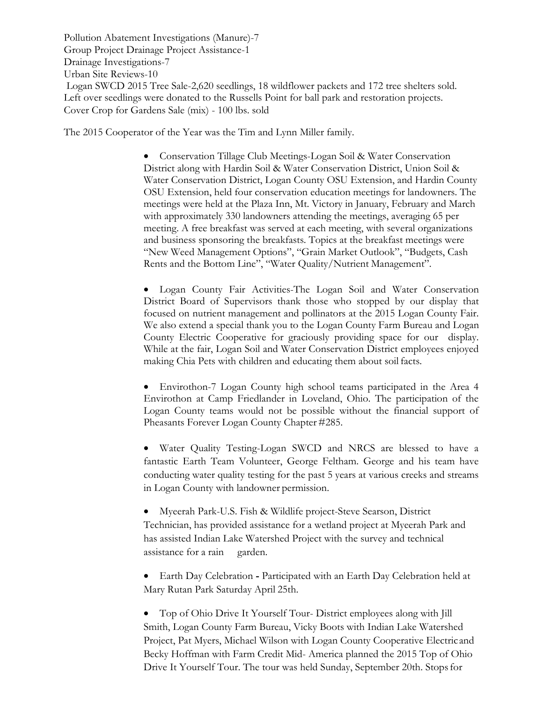Pollution Abatement Investigations (Manure)-7 Group Project Drainage Project Assistance-1 Drainage Investigations-7 Urban Site Reviews-10 Logan SWCD 2015 Tree Sale-2,620 seedlings, 18 wildflower packets and 172 tree shelters sold. Left over seedlings were donated to the Russells Point for ball park and restoration projects. Cover Crop for Gardens Sale (mix) - 100 lbs. sold

The 2015 Cooperator of the Year was the Tim and Lynn Miller family.

• Conservation Tillage Club Meetings-Logan Soil & Water Conservation District along with Hardin Soil & Water Conservation District, Union Soil & Water Conservation District, Logan County OSU Extension, and Hardin County OSU Extension, held four conservation education meetings for landowners. The meetings were held at the Plaza Inn, Mt. Victory in January, February and March with approximately 330 landowners attending the meetings, averaging 65 per meeting. A free breakfast was served at each meeting, with several organizations and business sponsoring the breakfasts. Topics at the breakfast meetings were "New Weed Management Options", "Grain Market Outlook", "Budgets, Cash Rents and the Bottom Line", "Water Quality/Nutrient Management".

• Logan County Fair Activities-The Logan Soil and Water Conservation District Board of Supervisors thank those who stopped by our display that focused on nutrient management and pollinators at the 2015 Logan County Fair. We also extend a special thank you to the Logan County Farm Bureau and Logan County Electric Cooperative for graciously providing space for our display. While at the fair, Logan Soil and Water Conservation District employees enjoyed making Chia Pets with children and educating them about soil facts.

• Envirothon-7 Logan County high school teams participated in the Area 4 Envirothon at Camp Friedlander in Loveland, Ohio. The participation of the Logan County teams would not be possible without the financial support of Pheasants Forever Logan County Chapter #285.

• Water Quality Testing-Logan SWCD and NRCS are blessed to have a fantastic Earth Team Volunteer, George Feltham. George and his team have conducting water quality testing for the past 5 years at various creeks and streams in Logan County with landowner permission.

• Myeerah Park-U.S. Fish & Wildlife project-Steve Searson, District Technician, has provided assistance for a wetland project at Myeerah Park and has assisted Indian Lake Watershed Project with the survey and technical assistance for a rain garden.

• Earth Day Celebration **-** Participated with an Earth Day Celebration held at Mary Rutan Park Saturday April 25th.

• Top of Ohio Drive It Yourself Tour- District employees along with Jill Smith, Logan County Farm Bureau, Vicky Boots with Indian Lake Watershed Project, Pat Myers, Michael Wilson with Logan County Cooperative Electricand Becky Hoffman with Farm Credit Mid- America planned the 2015 Top of Ohio Drive It Yourself Tour. The tour was held Sunday, September 20th. Stops for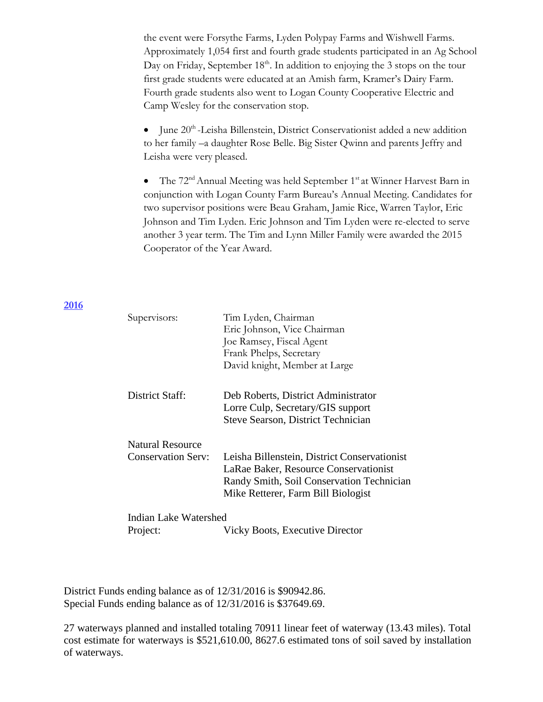the event were Forsythe Farms, Lyden Polypay Farms and Wishwell Farms. Approximately 1,054 first and fourth grade students participated in an Ag School Day on Friday, September 18<sup>th</sup>. In addition to enjoying the 3 stops on the tour first grade students were educated at an Amish farm, Kramer's Dairy Farm. Fourth grade students also went to Logan County Cooperative Electric and Camp Wesley for the conservation stop.

 $\bullet$  June 20<sup>th</sup> -Leisha Billenstein, District Conservationist added a new addition to her family –a daughter Rose Belle. Big Sister Qwinn and parents Jeffry and Leisha were very pleased.

• The 72<sup>nd</sup> Annual Meeting was held September 1<sup>st</sup> at Winner Harvest Barn in conjunction with Logan County Farm Bureau's Annual Meeting. Candidates for two supervisor positions were Beau Graham, Jamie Rice, Warren Taylor, Eric Johnson and Tim Lyden. Eric Johnson and Tim Lyden were re-elected to serve another 3 year term. The Tim and Lynn Miller Family were awarded the 2015 Cooperator of the Year Award.

#### **2016**

| Supervisors:              | Tim Lyden, Chairman                          |  |
|---------------------------|----------------------------------------------|--|
|                           | Eric Johnson, Vice Chairman                  |  |
|                           | Joe Ramsey, Fiscal Agent                     |  |
|                           | Frank Phelps, Secretary                      |  |
|                           | David knight, Member at Large                |  |
| District Staff:           | Deb Roberts, District Administrator          |  |
|                           | Lorre Culp, Secretary/GIS support            |  |
|                           | <b>Steve Searson, District Technician</b>    |  |
| <b>Natural Resource</b>   |                                              |  |
| <b>Conservation Serv:</b> | Leisha Billenstein, District Conservationist |  |
|                           | LaRae Baker, Resource Conservationist        |  |
|                           | Randy Smith, Soil Conservation Technician    |  |
|                           | Mike Retterer, Farm Bill Biologist           |  |
| Indian Lake Watershed     |                                              |  |
| Project:                  | <b>Vicky Boots, Executive Director</b>       |  |

District Funds ending balance as of 12/31/2016 is \$90942.86. Special Funds ending balance as of 12/31/2016 is \$37649.69.

27 waterways planned and installed totaling 70911 linear feet of waterway (13.43 miles). Total cost estimate for waterways is \$521,610.00, 8627.6 estimated tons of soil saved by installation of waterways.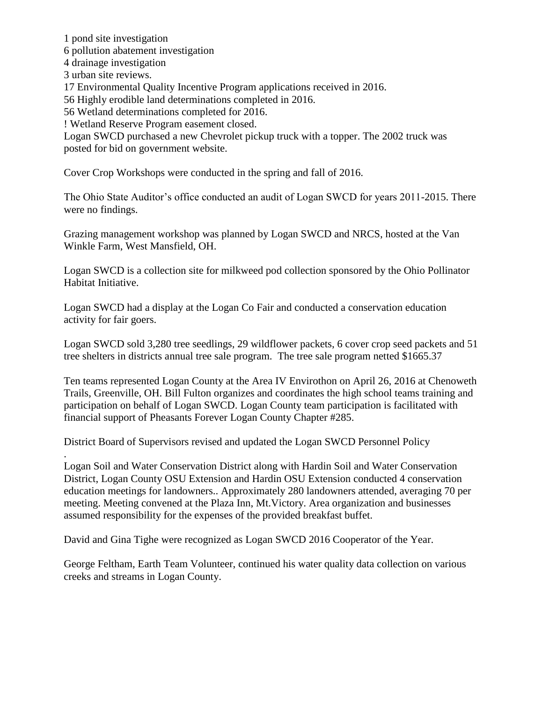1 pond site investigation 6 pollution abatement investigation 4 drainage investigation 3 urban site reviews. 17 Environmental Quality Incentive Program applications received in 2016. 56 Highly erodible land determinations completed in 2016. 56 Wetland determinations completed for 2016. ! Wetland Reserve Program easement closed. Logan SWCD purchased a new Chevrolet pickup truck with a topper. The 2002 truck was posted for bid on government website.

Cover Crop Workshops were conducted in the spring and fall of 2016.

The Ohio State Auditor's office conducted an audit of Logan SWCD for years 2011-2015. There were no findings.

Grazing management workshop was planned by Logan SWCD and NRCS, hosted at the Van Winkle Farm, West Mansfield, OH.

Logan SWCD is a collection site for milkweed pod collection sponsored by the Ohio Pollinator Habitat Initiative.

Logan SWCD had a display at the Logan Co Fair and conducted a conservation education activity for fair goers.

Logan SWCD sold 3,280 tree seedlings, 29 wildflower packets, 6 cover crop seed packets and 51 tree shelters in districts annual tree sale program. The tree sale program netted \$1665.37

Ten teams represented Logan County at the Area IV Envirothon on April 26, 2016 at Chenoweth Trails, Greenville, OH. Bill Fulton organizes and coordinates the high school teams training and participation on behalf of Logan SWCD. Logan County team participation is facilitated with financial support of Pheasants Forever Logan County Chapter #285.

District Board of Supervisors revised and updated the Logan SWCD Personnel Policy

. Logan Soil and Water Conservation District along with Hardin Soil and Water Conservation District, Logan County OSU Extension and Hardin OSU Extension conducted 4 conservation education meetings for landowners.. Approximately 280 landowners attended, averaging 70 per meeting. Meeting convened at the Plaza Inn, Mt.Victory. Area organization and businesses assumed responsibility for the expenses of the provided breakfast buffet.

David and Gina Tighe were recognized as Logan SWCD 2016 Cooperator of the Year.

George Feltham, Earth Team Volunteer, continued his water quality data collection on various creeks and streams in Logan County.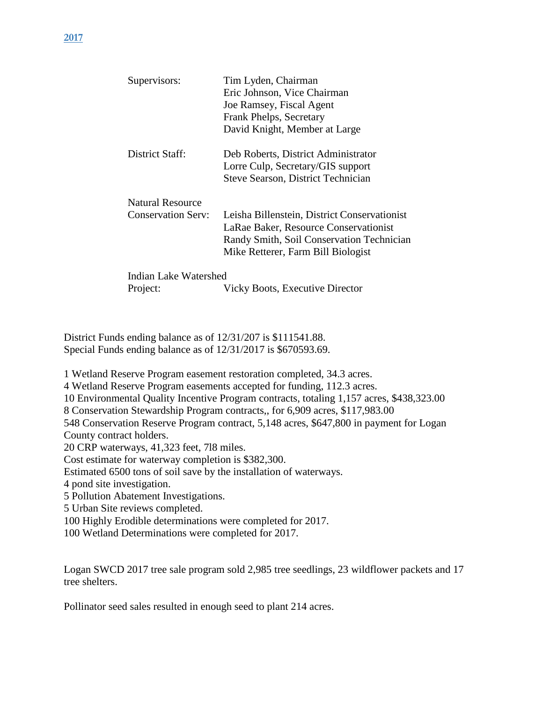| Supervisors:              | Tim Lyden, Chairman                          |  |
|---------------------------|----------------------------------------------|--|
|                           | Eric Johnson, Vice Chairman                  |  |
|                           | Joe Ramsey, Fiscal Agent                     |  |
|                           | Frank Phelps, Secretary                      |  |
|                           | David Knight, Member at Large                |  |
| District Staff:           | Deb Roberts, District Administrator          |  |
|                           | Lorre Culp, Secretary/GIS support            |  |
|                           | <b>Steve Searson, District Technician</b>    |  |
| <b>Natural Resource</b>   |                                              |  |
| <b>Conservation Serv:</b> | Leisha Billenstein, District Conservationist |  |
|                           | LaRae Baker, Resource Conservationist        |  |
|                           | Randy Smith, Soil Conservation Technician    |  |
|                           | Mike Retterer, Farm Bill Biologist           |  |
| Indian Lake Watershed     |                                              |  |
| Project:                  | Vicky Boots, Executive Director              |  |

District Funds ending balance as of 12/31/207 is \$111541.88. Special Funds ending balance as of 12/31/2017 is \$670593.69.

1 Wetland Reserve Program easement restoration completed, 34.3 acres.

4 Wetland Reserve Program easements accepted for funding, 112.3 acres.

10 Environmental Quality Incentive Program contracts, totaling 1,157 acres, \$438,323.00

8 Conservation Stewardship Program contracts,, for 6,909 acres, \$117,983.00

548 Conservation Reserve Program contract, 5,148 acres, \$647,800 in payment for Logan County contract holders.

20 CRP waterways, 41,323 feet, 7l8 miles.

Cost estimate for waterway completion is \$382,300.

Estimated 6500 tons of soil save by the installation of waterways.

4 pond site investigation.

5 Pollution Abatement Investigations.

5 Urban Site reviews completed.

100 Highly Erodible determinations were completed for 2017.

100 Wetland Determinations were completed for 2017.

Logan SWCD 2017 tree sale program sold 2,985 tree seedlings, 23 wildflower packets and 17 tree shelters.

Pollinator seed sales resulted in enough seed to plant 214 acres.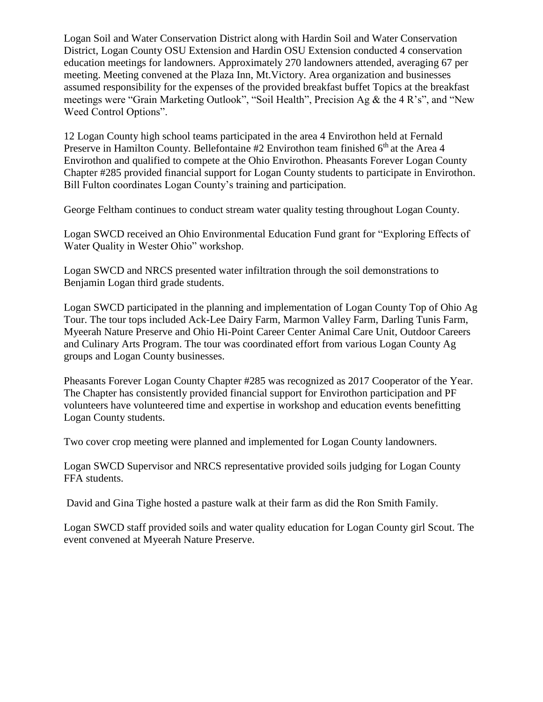Logan Soil and Water Conservation District along with Hardin Soil and Water Conservation District, Logan County OSU Extension and Hardin OSU Extension conducted 4 conservation education meetings for landowners. Approximately 270 landowners attended, averaging 67 per meeting. Meeting convened at the Plaza Inn, Mt.Victory. Area organization and businesses assumed responsibility for the expenses of the provided breakfast buffet Topics at the breakfast meetings were "Grain Marketing Outlook", "Soil Health", Precision Ag & the 4 R's", and "New Weed Control Options".

12 Logan County high school teams participated in the area 4 Envirothon held at Fernald Preserve in Hamilton County. Bellefontaine  $#2$  Envirothon team finished  $6<sup>th</sup>$  at the Area 4 Envirothon and qualified to compete at the Ohio Envirothon. Pheasants Forever Logan County Chapter #285 provided financial support for Logan County students to participate in Envirothon. Bill Fulton coordinates Logan County's training and participation.

George Feltham continues to conduct stream water quality testing throughout Logan County.

Logan SWCD received an Ohio Environmental Education Fund grant for "Exploring Effects of Water Quality in Wester Ohio" workshop.

Logan SWCD and NRCS presented water infiltration through the soil demonstrations to Benjamin Logan third grade students.

Logan SWCD participated in the planning and implementation of Logan County Top of Ohio Ag Tour. The tour tops included Ack-Lee Dairy Farm, Marmon Valley Farm, Darling Tunis Farm, Myeerah Nature Preserve and Ohio Hi-Point Career Center Animal Care Unit, Outdoor Careers and Culinary Arts Program. The tour was coordinated effort from various Logan County Ag groups and Logan County businesses.

Pheasants Forever Logan County Chapter #285 was recognized as 2017 Cooperator of the Year. The Chapter has consistently provided financial support for Envirothon participation and PF volunteers have volunteered time and expertise in workshop and education events benefitting Logan County students.

Two cover crop meeting were planned and implemented for Logan County landowners.

Logan SWCD Supervisor and NRCS representative provided soils judging for Logan County FFA students.

David and Gina Tighe hosted a pasture walk at their farm as did the Ron Smith Family.

Logan SWCD staff provided soils and water quality education for Logan County girl Scout. The event convened at Myeerah Nature Preserve.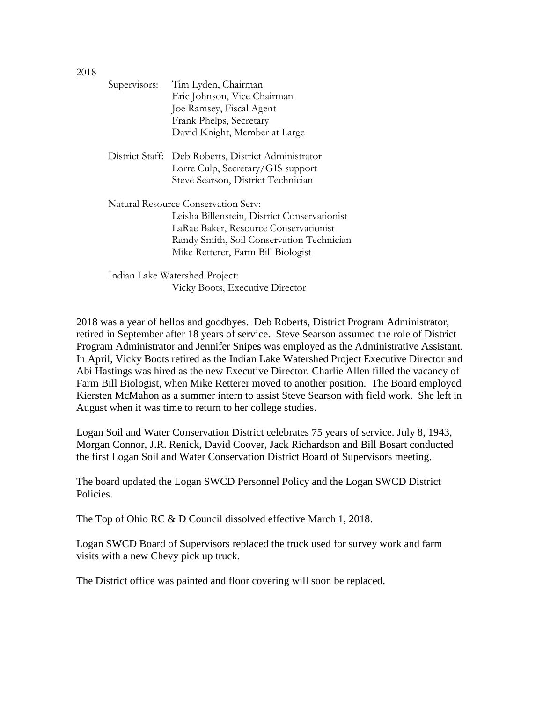| Supervisors:                        | Tim Lyden, Chairman                                 |  |
|-------------------------------------|-----------------------------------------------------|--|
|                                     | Eric Johnson, Vice Chairman                         |  |
|                                     | Joe Ramsey, Fiscal Agent                            |  |
|                                     | Frank Phelps, Secretary                             |  |
|                                     | David Knight, Member at Large                       |  |
|                                     | District Staff: Deb Roberts, District Administrator |  |
|                                     | Lorre Culp, Secretary/GIS support                   |  |
|                                     | Steve Searson, District Technician                  |  |
| Natural Resource Conservation Serv: |                                                     |  |
|                                     | Leisha Billenstein, District Conservationist        |  |
|                                     | LaRae Baker, Resource Conservationist               |  |
|                                     | Randy Smith, Soil Conservation Technician           |  |
|                                     | Mike Retterer, Farm Bill Biologist                  |  |
|                                     | Indian Lake Watershed Project:                      |  |

2018 was a year of hellos and goodbyes. Deb Roberts, District Program Administrator, retired in September after 18 years of service. Steve Searson assumed the role of District Program Administrator and Jennifer Snipes was employed as the Administrative Assistant. In April, Vicky Boots retired as the Indian Lake Watershed Project Executive Director and Abi Hastings was hired as the new Executive Director. Charlie Allen filled the vacancy of Farm Bill Biologist, when Mike Retterer moved to another position. The Board employed Kiersten McMahon as a summer intern to assist Steve Searson with field work. She left in

Vicky Boots, Executive Director

August when it was time to return to her college studies. Logan Soil and Water Conservation District celebrates 75 years of service. July 8, 1943, Morgan Connor, J.R. Renick, David Coover, Jack Richardson and Bill Bosart conducted

The board updated the Logan SWCD Personnel Policy and the Logan SWCD District Policies.

the first Logan Soil and Water Conservation District Board of Supervisors meeting.

The Top of Ohio RC & D Council dissolved effective March 1, 2018.

Logan SWCD Board of Supervisors replaced the truck used for survey work and farm visits with a new Chevy pick up truck.

The District office was painted and floor covering will soon be replaced.

2018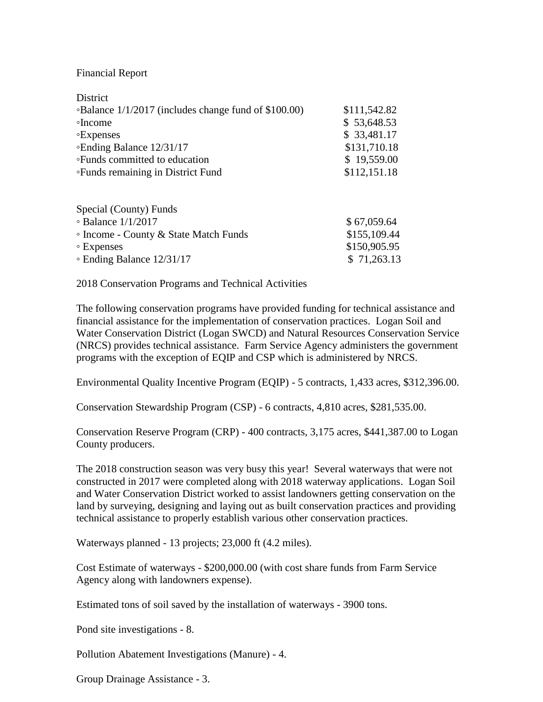## Financial Report

| District                                             |              |
|------------------------------------------------------|--------------|
| ∘Balance 1/1/2017 (includes change fund of \$100.00) | \$111,542.82 |
| ∘Income                                              | \$53,648.53  |
| <b>Expenses</b>                                      | \$33,481.17  |
| ∘Ending Balance 12/31/17                             | \$131,710.18 |
| •Funds committed to education                        | \$19,559.00  |
| <b>•Funds remaining in District Fund</b>             | \$112,151.18 |
| Special (County) Funds                               |              |
| $\circ$ Balance 1/1/2017                             | \$67,059.64  |
| • Income - County & State Match Funds                | \$155,109.44 |
| ∘ Expenses                                           | \$150,905.95 |

 $\degree$  Ending Balance  $12/31/17$  \$ 71,263.13

2018 Conservation Programs and Technical Activities

The following conservation programs have provided funding for technical assistance and financial assistance for the implementation of conservation practices. Logan Soil and Water Conservation District (Logan SWCD) and Natural Resources Conservation Service (NRCS) provides technical assistance. Farm Service Agency administers the government programs with the exception of EQIP and CSP which is administered by NRCS.

Environmental Quality Incentive Program (EQIP) - 5 contracts, 1,433 acres, \$312,396.00.

Conservation Stewardship Program (CSP) - 6 contracts, 4,810 acres, \$281,535.00.

Conservation Reserve Program (CRP) - 400 contracts, 3,175 acres, \$441,387.00 to Logan County producers.

The 2018 construction season was very busy this year! Several waterways that were not constructed in 2017 were completed along with 2018 waterway applications. Logan Soil and Water Conservation District worked to assist landowners getting conservation on the land by surveying, designing and laying out as built conservation practices and providing technical assistance to properly establish various other conservation practices.

Waterways planned - 13 projects; 23,000 ft (4.2 miles).

Cost Estimate of waterways - \$200,000.00 (with cost share funds from Farm Service Agency along with landowners expense).

Estimated tons of soil saved by the installation of waterways - 3900 tons.

Pond site investigations - 8.

Pollution Abatement Investigations (Manure) - 4.

Group Drainage Assistance - 3.